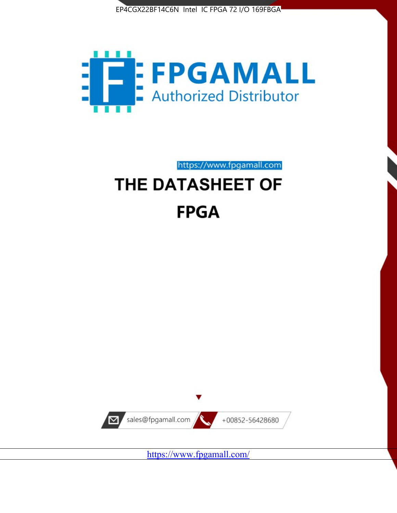



https://www.fpgamall.com THE DATASHEET OF

# **FPGA**



<https://www.fpgamall.com/>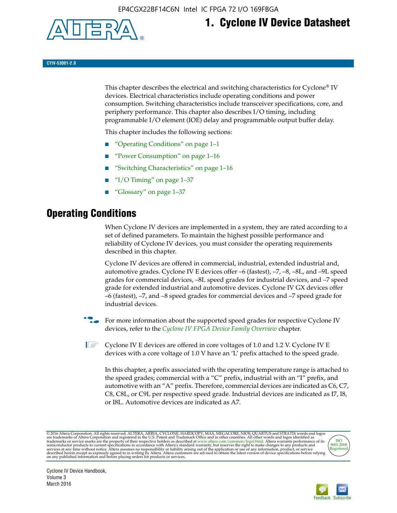

## **1. Cyclone IV Device Datasheet**

**CYIV-53001-2.0**

This chapter describes the electrical and switching characteristics for Cyclone<sup>®</sup> IV devices. Electrical characteristics include operating conditions and power consumption. Switching characteristics include transceiver specifications, core, and periphery performance. This chapter also describes I/O timing, including programmable I/O element (IOE) delay and programmable output buffer delay.

This chapter includes the following sections:

- "Operating Conditions" on page 1–1
- "Power Consumption" on page 1–16
- "Switching Characteristics" on page 1–16
- "I/O Timing" on page  $1-37$
- "Glossary" on page 1–37

## **Operating Conditions**

When Cyclone IV devices are implemented in a system, they are rated according to a set of defined parameters. To maintain the highest possible performance and reliability of Cyclone IV devices, you must consider the operating requirements described in this chapter.

Cyclone IV devices are offered in commercial, industrial, extended industrial and, automotive grades. Cyclone IV E devices offer –6 (fastest), –7, –8, –8L, and –9L speed grades for commercial devices, –8L speed grades for industrial devices, and –7 speed grade for extended industrial and automotive devices. Cyclone IV GX devices offer –6 (fastest), –7, and –8 speed grades for commercial devices and –7 speed grade for industrial devices.

**For more information about the supported speed grades for respective Cyclone IV** devices, refer to the *[Cyclone IV FPGA Device Family Overview](http://www.altera.com/literature/hb/cyclone-iv/cyiv-51001.pdf)* chapter.

**1** Cyclone IV E devices are offered in core voltages of 1.0 and 1.2 V. Cyclone IV E devices with a core voltage of 1.0 V have an 'L' prefix attached to the speed grade.

In this chapter, a prefix associated with the operating temperature range is attached to the speed grades; commercial with a "C" prefix, industrial with an "I" prefix, and automotive with an "A" prefix. Therefore, commercial devices are indicated as C6, C7, C8, C8L, or C9L per respective speed grade. Industrial devices are indicated as I7, I8, or I8L. Automotive devices are indicated as A7.

@2016 Altera Corporation. All rights reserved. ALTERA, ARRIA, CYCLONE, HARDCOPY, MAX, MEGACORE, NIOS, QUARTUS and STRATIX words and logos are trademarks of Altera Corporation and registered in the U.S. Patent and Trademark



Cyclone IV Device Handbook, Volume 3 March 2016

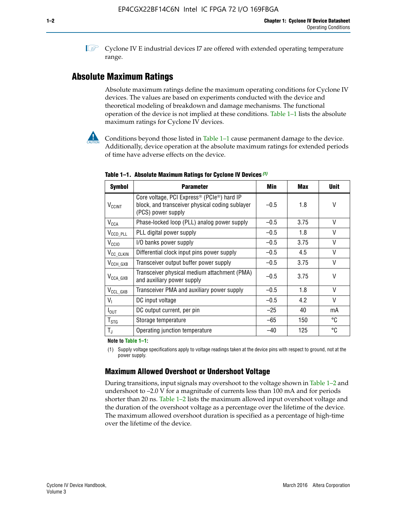**1 Cyclone IV E industrial devices I7 are offered with extended operating temperature** range.

## **Absolute Maximum Ratings**

Absolute maximum ratings define the maximum operating conditions for Cyclone IV devices. The values are based on experiments conducted with the device and theoretical modeling of breakdown and damage mechanisms. The functional operation of the device is not implied at these conditions. Table 1–1 lists the absolute maximum ratings for Cyclone IV devices.



Conditions beyond those listed in Table  $1-1$  cause permanent damage to the device. Additionally, device operation at the absolute maximum ratings for extended periods of time have adverse effects on the device.

| <b>Symbol</b>            | <b>Parameter</b>                                                                                                                | Min    | Max  | <b>Unit</b> |
|--------------------------|---------------------------------------------------------------------------------------------------------------------------------|--------|------|-------------|
| <b>V<sub>CCINT</sub></b> | Core voltage, PCI Express <sup>®</sup> (PCIe®) hard IP<br>block, and transceiver physical coding sublayer<br>(PCS) power supply | $-0.5$ | 1.8  | V           |
| $V_{CCA}$                | Phase-locked loop (PLL) analog power supply                                                                                     | $-0.5$ | 3.75 | $\vee$      |
| $V_{\text{CCD\_PLL}}$    | PLL digital power supply                                                                                                        | $-0.5$ | 1.8  | $\vee$      |
| V <sub>CCIO</sub>        | I/O banks power supply                                                                                                          | $-0.5$ | 3.75 | $\vee$      |
| V <sub>CC_CLKIN</sub>    | Differential clock input pins power supply                                                                                      | $-0.5$ | 4.5  | $\vee$      |
| $V_{\text{CCH_GXB}}$     | Transceiver output buffer power supply                                                                                          | $-0.5$ | 3.75 | V           |
| $V_{\text{CCA\_GXB}}$    | Transceiver physical medium attachment (PMA)<br>and auxiliary power supply                                                      | $-0.5$ | 3.75 | $\vee$      |
| $V_{CCL_GXB}$            | Transceiver PMA and auxiliary power supply                                                                                      | $-0.5$ | 1.8  | $\vee$      |
| $V_{1}$                  | DC input voltage                                                                                                                | $-0.5$ | 4.2  | $\vee$      |
| $I_{\text{OUT}}$         | DC output current, per pin                                                                                                      | $-25$  | 40   | mA          |
| $T_{\mathtt{STG}}$       | Storage temperature                                                                                                             | $-65$  | 150  | °C          |
| $T_{\rm J}$              | Operating junction temperature                                                                                                  | $-40$  | 125  | °C          |

**Table 1–1. Absolute Maximum Ratings for Cyclone IV Devices** *(1)*

**Note to Table 1–1:**

(1) Supply voltage specifications apply to voltage readings taken at the device pins with respect to ground, not at the power supply.

## **Maximum Allowed Overshoot or Undershoot Voltage**

During transitions, input signals may overshoot to the voltage shown in Table 1–2 and undershoot to –2.0 V for a magnitude of currents less than 100 mA and for periods shorter than 20 ns. Table 1–2 lists the maximum allowed input overshoot voltage and the duration of the overshoot voltage as a percentage over the lifetime of the device. The maximum allowed overshoot duration is specified as a percentage of high-time over the lifetime of the device.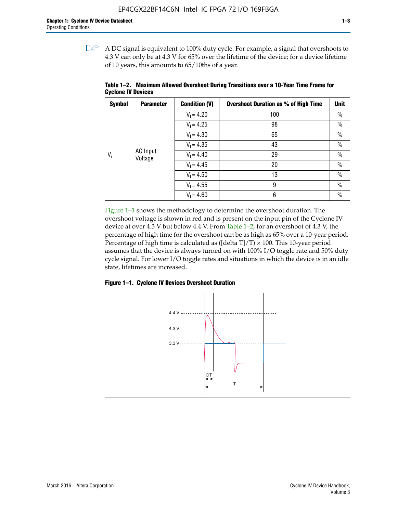$\mathbb{I}$  A DC signal is equivalent to 100% duty cycle. For example, a signal that overshoots to 4.3 V can only be at 4.3 V for 65% over the lifetime of the device; for a device lifetime of 10 years, this amounts to 65/10ths of a year.

| <b>Symbol</b> | <b>Parameter</b>           | <b>Condition (V)</b> | <b>Overshoot Duration as % of High Time</b> | <b>Unit</b>   |  |  |              |    |
|---------------|----------------------------|----------------------|---------------------------------------------|---------------|--|--|--------------|----|
|               |                            | $V_1 = 4.20$         | 100                                         | $\%$          |  |  |              |    |
|               |                            | $V_1 = 4.25$         | 98                                          | $\%$          |  |  |              |    |
| $V_i$         | <b>AC</b> Input<br>Voltage | $V_1 = 4.30$         | 65                                          | $\%$          |  |  |              |    |
|               |                            | $V_1 = 4.35$         | 43                                          | $\frac{0}{0}$ |  |  |              |    |
|               |                            |                      |                                             |               |  |  | $V_1 = 4.40$ | 29 |
|               |                            | $V_1 = 4.45$         | 20                                          | $\%$          |  |  |              |    |
|               |                            | $V_1 = 4.50$         | 13                                          | $\%$          |  |  |              |    |
|               |                            | $V_1 = 4.55$         | 9                                           | $\%$          |  |  |              |    |
|               |                            | $V_1 = 4.60$         | 6                                           | $\%$          |  |  |              |    |

**Table 1–2. Maximum Allowed Overshoot During Transitions over a 10**-**Year Time Frame for Cyclone IV Devices**

Figure 1–1 shows the methodology to determine the overshoot duration. The overshoot voltage is shown in red and is present on the input pin of the Cyclone IV device at over 4.3 V but below 4.4 V. From Table 1–2, for an overshoot of 4.3 V, the percentage of high time for the overshoot can be as high as 65% over a 10-year period. Percentage of high time is calculated as ([delta  $T$ ]/T)  $\times$  100. This 10-year period assumes that the device is always turned on with 100% I/O toggle rate and 50% duty cycle signal. For lower I/O toggle rates and situations in which the device is in an idle state, lifetimes are increased.



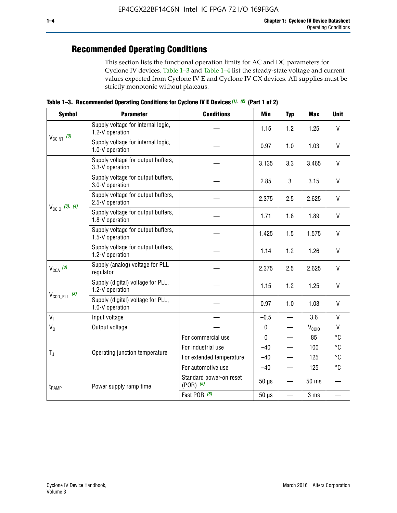## **Recommended Operating Conditions**

This section lists the functional operation limits for AC and DC parameters for Cyclone IV devices. Table 1–3 and Table 1–4 list the steady-state voltage and current values expected from Cyclone IV E and Cyclone IV GX devices. All supplies must be strictly monotonic without plateaus.

**Table 1–3. Recommended Operating Conditions for Cyclone IV E Devices** *(1)***,** *(2)* **(Part 1 of 2)**

| <b>Symbol</b>              | <b>Parameter</b>                                      | <b>Conditions</b>                        | <b>Min</b>  | <b>Typ</b>               | <b>Max</b>     | <b>Unit</b>  |
|----------------------------|-------------------------------------------------------|------------------------------------------|-------------|--------------------------|----------------|--------------|
|                            | Supply voltage for internal logic,<br>1.2-V operation |                                          | 1.15        | 1.2                      | 1.25           | $\mathsf{V}$ |
| $V_{CClNT}$ (3)            | Supply voltage for internal logic,<br>1.0-V operation |                                          | 0.97        | 1.0                      | 1.03           | $\mathsf{V}$ |
|                            | Supply voltage for output buffers,<br>3.3-V operation |                                          | 3.135       | 3.3                      | 3.465          | $\vee$       |
| $V_{\text{CC10}}$ (3), (4) | Supply voltage for output buffers,<br>3.0-V operation |                                          | 2.85        | 3                        | 3.15           | V            |
|                            | Supply voltage for output buffers,<br>2.5-V operation |                                          | 2.375       | 2.5                      | 2.625          | $\vee$       |
|                            | Supply voltage for output buffers,<br>1.8-V operation |                                          | 1.71        | 1.8                      | 1.89           | V            |
|                            | Supply voltage for output buffers,<br>1.5-V operation |                                          | 1.425       | 1.5                      | 1.575          | $\vee$       |
|                            | Supply voltage for output buffers,<br>1.2-V operation |                                          | 1.14        | 1.2                      | 1.26           | $\mathsf{V}$ |
| $V_{CCA}$ (3)              | Supply (analog) voltage for PLL<br>regulator          |                                          | 2.375       | 2.5                      | 2.625          | $\vee$       |
|                            | Supply (digital) voltage for PLL,<br>1.2-V operation  |                                          | 1.15        | 1.2                      | 1.25           | V            |
| $V_{\text{CCD\_PLL}}$ (3)  | Supply (digital) voltage for PLL,<br>1.0-V operation  |                                          | 0.97        | 1.0                      | 1.03           | $\vee$       |
| V <sub>1</sub>             | Input voltage                                         |                                          | $-0.5$      | $\overline{\phantom{0}}$ | 3.6            | $\mathsf{V}$ |
| $V_0$                      | Output voltage                                        |                                          | $\pmb{0}$   | —                        | $V_{\rm CClO}$ | $\mathsf{V}$ |
|                            |                                                       | For commercial use                       | $\mathbf 0$ |                          | 85             | °C           |
| $T_{\rm J}$                | Operating junction temperature                        | For industrial use                       | $-40$       |                          | 100            | °C           |
|                            |                                                       | For extended temperature                 | $-40$       |                          | 125            | °C           |
|                            |                                                       | For automotive use                       | $-40$       | $\qquad \qquad$          | 125            | °C           |
| $t_{\rm{RAMP}}$            | Power supply ramp time                                | Standard power-on reset<br>$(POR)$ $(5)$ | $50 \mu s$  |                          | 50 ms          |              |
|                            |                                                       | Fast POR (6)                             | $50 \mu s$  | $\overline{\phantom{0}}$ | 3 ms           |              |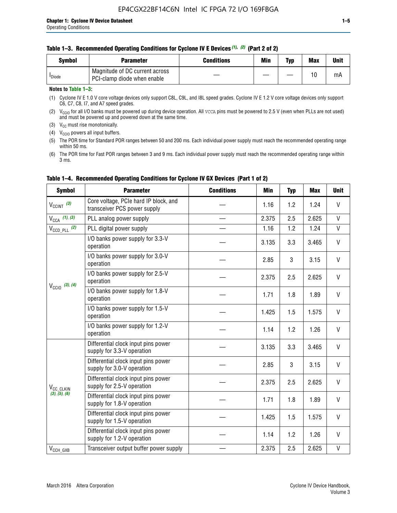#### **Table 1–3. Recommended Operating Conditions for Cyclone IV E Devices** *(1)***,** *(2)* **(Part 2 of 2)**

| Svmbol             | <b>Parameter</b>                                              | <b>Conditions</b> | Min | Typ | <b>Max</b> | Unit |
|--------------------|---------------------------------------------------------------|-------------------|-----|-----|------------|------|
| <sup>I</sup> Diode | Magnitude of DC current across<br>PCI-clamp diode when enable |                   |     |     | 10         | mA   |

### **Notes to Table 1–3:**

(1) Cyclone IV E 1.0 V core voltage devices only support C8L, C9L, and I8L speed grades. Cyclone IV E 1.2 V core voltage devices only support C6, C7, C8, I7, and A7 speed grades.

(2)  $V_{CCIO}$  for all I/O banks must be powered up during device operation. All vcca pins must be powered to 2.5 V (even when PLLs are not used) and must be powered up and powered down at the same time.

(3)  $V_{CC}$  must rise monotonically.

(4)  $V_{\text{CCIO}}$  powers all input buffers.

(5) The POR time for Standard POR ranges between 50 and 200 ms. Each individual power supply must reach the recommended operating range within 50 ms.

(6) The POR time for Fast POR ranges between 3 and 9 ms. Each individual power supply must reach the recommended operating range within 3 ms.

| <b>Symbol</b>                | <b>Parameter</b>                                                      | <b>Conditions</b> | Min   | <b>Typ</b> | <b>Max</b> | <b>Unit</b>  |
|------------------------------|-----------------------------------------------------------------------|-------------------|-------|------------|------------|--------------|
| $V_{\text{CCINT}}$ (3)       | Core voltage, PCIe hard IP block, and<br>transceiver PCS power supply |                   | 1.16  | 1.2        | 1.24       | V            |
| $V_{CCA}$ (1), (3)           | PLL analog power supply                                               |                   | 2.375 | 2.5        | 2.625      | V            |
| $V_{\text{CCD\_PLL}}$ (2)    | PLL digital power supply                                              |                   | 1.16  | 1.2        | 1.24       | $\mathsf{V}$ |
|                              | I/O banks power supply for 3.3-V<br>operation                         |                   | 3.135 | 3.3        | 3.465      | $\mathsf{V}$ |
| $V_{\text{CC10}}$ (3), (4)   | I/O banks power supply for 3.0-V<br>operation                         |                   | 2.85  | 3          | 3.15       | $\mathsf{V}$ |
|                              | I/O banks power supply for 2.5-V<br>operation                         |                   | 2.375 | 2.5        | 2.625      | V            |
|                              | I/O banks power supply for 1.8-V<br>operation                         |                   | 1.71  | 1.8        | 1.89       | V            |
|                              | I/O banks power supply for 1.5-V<br>operation                         |                   | 1.425 | 1.5        | 1.575      | V            |
|                              | I/O banks power supply for 1.2-V<br>operation                         |                   | 1.14  | 1.2        | 1.26       | V            |
|                              | Differential clock input pins power<br>supply for 3.3-V operation     |                   | 3.135 | 3.3        | 3.465      | V            |
|                              | Differential clock input pins power<br>supply for 3.0-V operation     |                   | 2.85  | 3          | 3.15       | $\mathsf{V}$ |
| V <sub>CC_CLKIN</sub>        | Differential clock input pins power<br>supply for 2.5-V operation     |                   | 2.375 | 2.5        | 2.625      | V            |
| (3), (5), (6)                | Differential clock input pins power<br>supply for 1.8-V operation     |                   | 1.71  | 1.8        | 1.89       | $\mathsf{V}$ |
|                              | Differential clock input pins power<br>supply for 1.5-V operation     |                   | 1.425 | 1.5        | 1.575      | V            |
|                              | Differential clock input pins power<br>supply for 1.2-V operation     |                   | 1.14  | 1.2        | 1.26       | $\vee$       |
| $V_{\text{CCH}\_\text{GXB}}$ | Transceiver output buffer power supply                                |                   | 2.375 | 2.5        | 2.625      | V            |

## **Table 1–4. Recommended Operating Conditions for Cyclone IV GX Devices (Part 1 of 2)**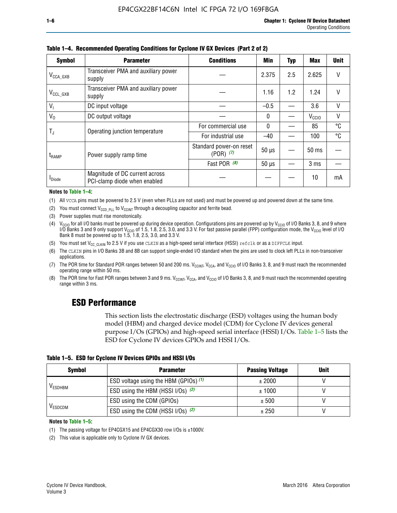| <b>Symbol</b>           | <b>Parameter</b>                                               | <b>Conditions</b>                        | Min          | Typ | Max               | <b>Unit</b> |
|-------------------------|----------------------------------------------------------------|------------------------------------------|--------------|-----|-------------------|-------------|
| $V_{\text{CCA\_GXB}}$   | Transceiver PMA and auxiliary power<br>supply                  |                                          | 2.375        | 2.5 | 2.625             | V           |
| $V_{\rm CCL\_GXB}$      | Transceiver PMA and auxiliary power<br>supply                  |                                          | 1.16         | 1.2 | 1.24              | V           |
| $V_{1}$                 | DC input voltage                                               |                                          | $-0.5$       |     | 3.6               | V           |
| $V_0$                   | DC output voltage                                              |                                          | $\mathbf{0}$ |     | V <sub>CCIO</sub> | ٧           |
|                         | Operating junction temperature                                 | For commercial use                       | $\mathbf{0}$ |     | 85                | °C          |
| $\mathsf{T}_\mathrm{J}$ |                                                                | For industrial use                       | $-40$        |     | 100               | °C          |
| $t_{\sf{RAMP}}$         | Power supply ramp time                                         | Standard power-on reset<br>$(POR)$ $(7)$ | $50 \mu s$   |     | $50$ ms           |             |
|                         |                                                                | Fast POR (8)                             | $50 \mu s$   |     | 3 <sub>ms</sub>   |             |
| <b>I</b> Diode          | Magnitude of DC current across<br>PCI-clamp diode when enabled |                                          |              |     | 10                | mA          |

**Table 1–4. Recommended Operating Conditions for Cyclone IV GX Devices (Part 2 of 2)**

#### **Notes to Table 1–4:**

- (1) All VCCA pins must be powered to 2.5 V (even when PLLs are not used) and must be powered up and powered down at the same time.
- (2) You must connect  $V_{CCD-PLL}$  to  $V_{CCINT}$  through a decoupling capacitor and ferrite bead.
- (3) Power supplies must rise monotonically.
- (4)  $V_{\text{CCIO}}$  for all I/O banks must be powered up during device operation. Configurations pins are powered up by V<sub>CCIO</sub> of I/O Banks 3, 8, and 9 where I/O Banks 3 and 9 only support V<sub>CCIO</sub> of 1.5, 1.8, 2.5, 3.0, and 3.3 V. For fast passive parallel (FPP) configuration mode, the V<sub>CCIO</sub> level of I/O<br>Bank 8 must be powered up to 1.5, 1.8, 2.5, 3.0, and 3.3 V.
- (5) You must set  $V_{CC_CCLKIN}$  to 2.5 V if you use CLKIN as a high-speed serial interface (HSSI) refclk or as a DIFFCLK input.
- (6) The CLKIN pins in I/O Banks 3B and 8B can support single-ended I/O standard when the pins are used to clock left PLLs in non-transceiver applications.
- (7) The POR time for Standard POR ranges between 50 and 200 ms.  $V_{\text{CCIA}}$ ,  $V_{\text{CCIA}}$ , and  $V_{\text{CCIO}}$  of I/O Banks 3, 8, and 9 must reach the recommended operating range within 50 ms.
- (8) The POR time for Fast POR ranges between 3 and 9 ms.  $V_{\text{CCH},T}$ ,  $V_{\text{CCA}}$ , and  $V_{\text{CCI}}$  of I/O Banks 3, 8, and 9 must reach the recommended operating range within 3 ms.

## **ESD Performance**

This section lists the electrostatic discharge (ESD) voltages using the human body model (HBM) and charged device model (CDM) for Cyclone IV devices general purpose I/Os (GPIOs) and high-speed serial interface (HSSI) I/Os. Table 1–5 lists the ESD for Cyclone IV devices GPIOs and HSSI I/Os.

|  |  |  |  | Table 1–5. ESD for Cyclone IV Devices GPIOs and HSSI I/Os |  |
|--|--|--|--|-----------------------------------------------------------|--|
|--|--|--|--|-----------------------------------------------------------|--|

| <b>Symbol</b>  | <b>Parameter</b>                      | <b>Passing Voltage</b> | <b>Unit</b> |
|----------------|---------------------------------------|------------------------|-------------|
|                | ESD voltage using the HBM (GPIOs) (1) | ± 2000                 |             |
| <b>VESDHBM</b> | ESD using the HBM (HSSI I/Os) (2)     | ± 1000                 |             |
|                | ESD using the CDM (GPIOs)             | ± 500                  |             |
| <b>VESDCDM</b> | ESD using the CDM (HSSI I/Os) (2)     | ± 250                  |             |

#### **Notes to Table 1–5:**

(1) The passing voltage for EP4CGX15 and EP4CGX30 row I/Os is ±1000V.

(2) This value is applicable only to Cyclone IV GX devices.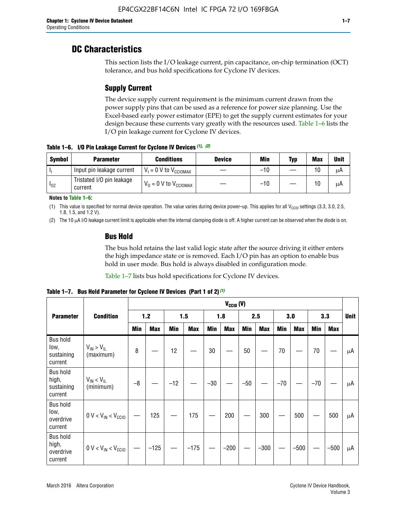## **DC Characteristics**

This section lists the I/O leakage current, pin capacitance, on-chip termination (OCT) tolerance, and bus hold specifications for Cyclone IV devices.

## **Supply Current**

The device supply current requirement is the minimum current drawn from the power supply pins that can be used as a reference for power size planning. Use the Excel-based early power estimator (EPE) to get the supply current estimates for your design because these currents vary greatly with the resources used. Table 1–6 lists the I/O pin leakage current for Cyclone IV devices.

**Table 1–6. I/O Pin Leakage Current for Cyclone IV Devices** *(1)***,** *(2)*

| <b>Symbol</b> | <b>Parameter</b>                     | <b>Conditions</b>                     | <b>Device</b> | Min   | Typ | <b>Max</b> | <b>Unit</b> |
|---------------|--------------------------------------|---------------------------------------|---------------|-------|-----|------------|-------------|
| -lı           | Input pin leakage current            | $V_1 = 0$ V to $V_{\text{CCIOMAX}}$   |               | $-10$ |     | 10         | μA          |
| $I_{0Z}$      | Tristated I/O pin leakage<br>current | $V_0 = 0 V$ to $V_{\text{CCIOMAX}}$ I |               | $-10$ |     | 10         | μA          |

**Notes to Table 1–6:**

(1) This value is specified for normal device operation. The value varies during device power-up. This applies for all V<sub>CCIO</sub> settings (3.3, 3.0, 2.5, 1.8, 1.5, and 1.2 V).

(2) The 10 µA I/O leakage current limit is applicable when the internal clamping diode is off. A higher current can be observed when the diode is on.

## **Bus Hold**

The bus hold retains the last valid logic state after the source driving it either enters the high impedance state or is removed. Each I/O pin has an option to enable bus hold in user mode. Bus hold is always disabled in configuration mode.

Table 1–7 lists bus hold specifications for Cyclone IV devices.

|                                                   |                                  | $V_{CClO}$ (V) |            |       |            |            |            |            |            |       |            |       |            |             |
|---------------------------------------------------|----------------------------------|----------------|------------|-------|------------|------------|------------|------------|------------|-------|------------|-------|------------|-------------|
| <b>Parameter</b>                                  | <b>Condition</b>                 | $1.2$          |            | 1.5   |            | 1.8        |            | 2.5        |            | 3.0   |            | 3.3   |            | <b>Unit</b> |
|                                                   |                                  | <b>Min</b>     | <b>Max</b> | Min   | <b>Max</b> | <b>Min</b> | <b>Max</b> | <b>Min</b> | <b>Max</b> | Min   | <b>Max</b> | Min   | <b>Max</b> |             |
| <b>Bus hold</b><br>low,<br>sustaining<br>current  | $V_{IN}$ > $V_{IL}$<br>(maximum) | 8              |            | 12    |            | $30\,$     |            | 50         |            | 70    |            | 70    |            | μA          |
| <b>Bus hold</b><br>high,<br>sustaining<br>current | $V_{IN}$ < $V_{IL}$<br>(minimum) | $-8$           |            | $-12$ |            | $-30$      |            | $-50$      |            | $-70$ |            | $-70$ |            | μA          |
| <b>Bus hold</b><br>low,<br>overdrive<br>current   | $0 V < V_{IN} < V_{CG10}$        |                | 125        |       | 175        |            | 200        |            | 300        |       | 500        |       | 500        | μA          |
| <b>Bus hold</b><br>high,<br>overdrive<br>current  | $0 V < V_{IN} < V_{CG10}$        |                | $-125$     |       | $-175$     |            | $-200$     |            | $-300$     |       | $-500$     |       | $-500$     | μA          |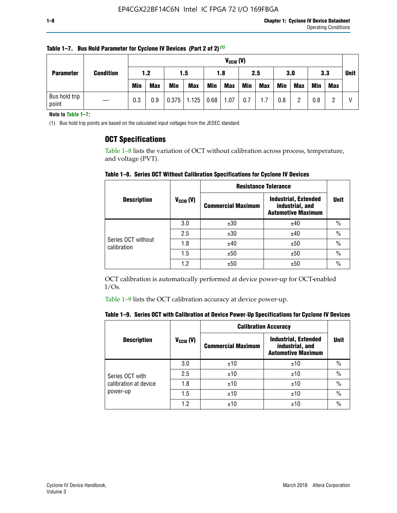| <b>Parameter</b>       | <b>Condition</b> |            | $V_{CGI0} (V)$ |            |            |      |            |     |            |            |            |            |     |             |
|------------------------|------------------|------------|----------------|------------|------------|------|------------|-----|------------|------------|------------|------------|-----|-------------|
|                        |                  | 1.2        |                | 1.5        |            | 1.8  |            | 2.5 |            | 3.0        |            | 3.3        |     | <b>Unit</b> |
|                        |                  | <b>Min</b> | <b>Max</b>     | <b>Min</b> | <b>Max</b> | Min  | <b>Max</b> | Min | <b>Max</b> | <b>Min</b> | <b>Max</b> | <b>Min</b> | Max |             |
| Bus hold trip<br>point |                  | 0.3        | 0.9            | 0.375      | 1.125      | 0.68 | 1.07       | 0.7 | 1.7        | 0.8        |            | 0.8        |     |             |

**Table 1–7. Bus Hold Parameter for Cyclone IV Devices (Part 2 of 2)** *(1)*

**Note to Table 1–7:**

(1) Bus hold trip points are based on the calculated input voltages from the JEDEC standard.

## **OCT Specifications**

Table 1–8 lists the variation of OCT without calibration across process, temperature, and voltage (PVT).

**Table 1–8. Series OCT Without Calibration Specifications for Cyclone IV Devices**

|                                   |                       | <b>Resistance Tolerance</b> |                                                                             |               |
|-----------------------------------|-----------------------|-----------------------------|-----------------------------------------------------------------------------|---------------|
| <b>Description</b>                | $V_{\text{CCIO}}$ (V) | <b>Commercial Maximum</b>   | <b>Industrial, Extended</b><br>industrial, and<br><b>Automotive Maximum</b> | <b>Unit</b>   |
|                                   | 3.0                   | ±30                         | ±40                                                                         | $\frac{0}{0}$ |
|                                   | 2.5                   | ±30                         | ±40                                                                         | $\frac{0}{0}$ |
| Series OCT without<br>calibration | 1.8                   | ±40                         | ±50                                                                         | $\frac{0}{0}$ |
|                                   | 1.5                   | ±50                         | ±50                                                                         | $\frac{0}{0}$ |
|                                   | 1.2                   | ±50                         | ±50                                                                         | $\frac{0}{0}$ |

OCT calibration is automatically performed at device power-up for OCT-enabled I/Os.

Table 1–9 lists the OCT calibration accuracy at device power-up.

|  | Table 1–9.  Series OCT with Calibration at Device Power-Up Specifications for Cyclone IV Devices |  |  |  |
|--|--------------------------------------------------------------------------------------------------|--|--|--|
|--|--------------------------------------------------------------------------------------------------|--|--|--|

|                       |                | <b>Calibration Accuracy</b> |                                                                             |               |
|-----------------------|----------------|-----------------------------|-----------------------------------------------------------------------------|---------------|
| <b>Description</b>    | $V_{CGI0} (V)$ | <b>Commercial Maximum</b>   | <b>Industrial, Extended</b><br>industrial, and<br><b>Automotive Maximum</b> | Unit          |
|                       | 3.0            | ±10                         | ±10                                                                         | $\%$          |
| Series OCT with       | 2.5            | ±10                         | ±10                                                                         | $\%$          |
| calibration at device | 1.8            | ±10                         | ±10                                                                         | $\frac{0}{0}$ |
| power-up              | 1.5            | ±10                         | ±10                                                                         | $\frac{0}{0}$ |
|                       | 1.2            | ±10                         | ±10                                                                         | $\frac{0}{0}$ |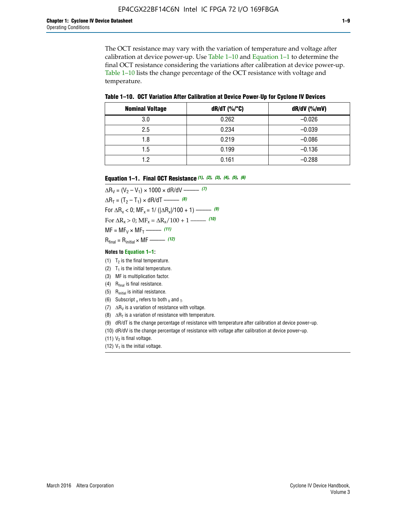The OCT resistance may vary with the variation of temperature and voltage after calibration at device power-up. Use Table 1–10 and Equation 1–1 to determine the final OCT resistance considering the variations after calibration at device power-up. Table 1–10 lists the change percentage of the OCT resistance with voltage and temperature.

**Table 1–10. OCT Variation After Calibration at Device Power**-**Up for Cyclone IV Devices**

| <b>Nominal Voltage</b> | dR/dT (%/°C) | $dR/dV$ (%/mV) |
|------------------------|--------------|----------------|
| 3.0                    | 0.262        | $-0.026$       |
| 2.5                    | 0.234        | $-0.039$       |
| 1.8                    | 0.219        | $-0.086$       |
| 1.5                    | 0.199        | $-0.136$       |
| 1.2                    | 0.161        | $-0.288$       |

#### **Equation 1–1. Final OCT Resistance** *(1)***,** *(2)***,** *(3)***,** *(4)***,** *(5)***,** *(6)*

 $\Delta R_V = (V_2 - V_1) \times 1000 \times dR/dV$  ––––––––––––(7)  $\Delta R_T = (T_2 - T_1) \times dR/dT$  ––––––– (8) For  $\Delta R_x < 0$ ; MF<sub>x</sub> = 1/ ( $|\Delta R_x|/100 + 1$ ) –––––– (9) For  $\Delta R_x > 0$ ;  $\text{MF}_x = \Delta R_x / 100 + 1$  ——– (10)  $MF = MF_V \times MF_T$  –––––––––––(11) Rfinal = Rinitial × MF ––––– *(12)*

#### **Notes to Equation 1–1:**

- (1)  $T_2$  is the final temperature.
- (2)  $T_1$  is the initial temperature.
- (3) MF is multiplication factor.
- (4)  $R<sub>final</sub>$  is final resistance.
- (5) Rinitial is initial resistance.
- (6) Subscript x refers to both  $\sqrt{v}$  and  $\sqrt{v}$ .
- (7)  $\Delta R_V$  is a variation of resistance with voltage.
- (8)  $\Delta R_T$  is a variation of resistance with temperature.
- (9) dR/dT is the change percentage of resistance with temperature after calibration at device power-up.
- (10) dR/dV is the change percentage of resistance with voltage after calibration at device power-up.
- (11)  $V_2$  is final voltage.
- (12)  $V_1$  is the initial voltage.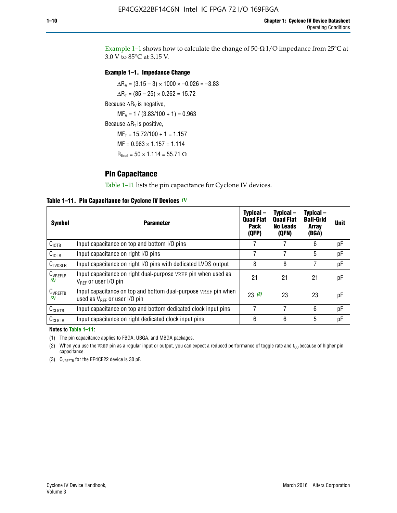Example 1-1 shows how to calculate the change of  $50$ - $\Omega$  I/O impedance from 25°C at 3.0 V to 85°C at 3.15 V.

### **Example 1–1. Impedance Change**

 $\Delta R_V = (3.15 - 3) \times 1000 \times -0.026 = -3.83$  $\Delta R_T = (85 - 25) \times 0.262 = 15.72$ Because  $\Delta R_V$  is negative,  $MF_V = 1 / (3.83/100 + 1) = 0.963$ Because  $\Delta R_T$  is positive,  $MF_T = 15.72/100 + 1 = 1.157$  $MF = 0.963 \times 1.157 = 1.114$  $R_{final} = 50 \times 1.114 = 55.71 \Omega$ 

## **Pin Capacitance**

Table 1–11 lists the pin capacitance for Cyclone IV devices.

**Table 1–11. Pin Capacitance for Cyclone IV Devices** *(1)*

| <b>Symbol</b>       | <b>Parameter</b>                                                                                    | Typical-<br><b>Quad Flat</b><br><b>Pack</b><br>(QFP) | Typical-<br><b>Quad Flat</b><br><b>No Leads</b><br>(QFN) | Typical-<br><b>Ball-Grid</b><br><b>Array</b><br>(BGA) | <b>Unit</b> |
|---------------------|-----------------------------------------------------------------------------------------------------|------------------------------------------------------|----------------------------------------------------------|-------------------------------------------------------|-------------|
| C <sub>IOTB</sub>   | Input capacitance on top and bottom I/O pins                                                        |                                                      |                                                          | 6                                                     | рF          |
| $C_{IOLR}$          | Input capacitance on right I/O pins                                                                 |                                                      |                                                          | 5                                                     | pF          |
| $C_{LVDSLR}$        | Input capacitance on right I/O pins with dedicated LVDS output                                      | 8                                                    | 8                                                        | 7                                                     | рF          |
| $C_{VREFLR}$<br>(2) | Input capacitance on right dual-purpose VREF pin when used as<br>$V_{BFF}$ or user I/O pin          | 21                                                   | 21                                                       | 21                                                    | pF          |
| $C_{VREFTB}$<br>(2) | Input capacitance on top and bottom dual-purpose VREF pin when<br>used as $V_{BFF}$ or user I/O pin | 23(3)                                                | 23                                                       | 23                                                    | рF          |
| $C_{CLKTB}$         | Input capacitance on top and bottom dedicated clock input pins                                      |                                                      | 7                                                        | 6                                                     | рF          |
| $C_{CLKLR}$         | Input capacitance on right dedicated clock input pins                                               | 6                                                    | 6                                                        | 5                                                     | рF          |

#### **Notes to Table 1–11:**

(1) The pin capacitance applies to FBGA, UBGA, and MBGA packages.

(2) When you use the VREF pin as a regular input or output, you can expect a reduced performance of toggle rate and  $t_{\rm CO}$  because of higher pin capacitance.

(3) CVREFTB for the EP4CE22 device is 30 pF.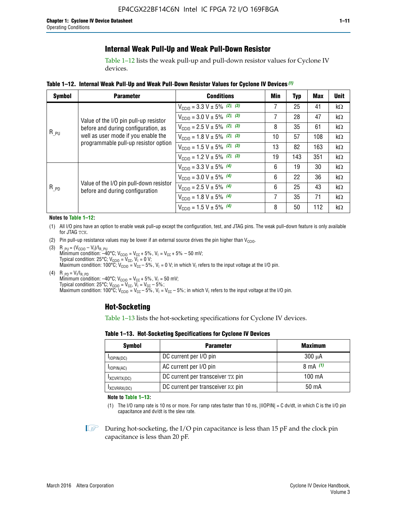## **Internal Weak Pull-Up and Weak Pull-Down Resistor**

Table 1–12 lists the weak pull-up and pull-down resistor values for Cyclone IV devices.

**Table 1–12. Internal Weak Pull**-**Up and Weak Pull**-**Down Resistor Values for Cyclone IV Devices** *(1)*

| <b>Symbol</b> | <b>Parameter</b>                                                            | <b>Conditions</b>                                  | Min | Typ | <b>Max</b> | <b>Unit</b> |
|---------------|-----------------------------------------------------------------------------|----------------------------------------------------|-----|-----|------------|-------------|
|               |                                                                             | $V_{\text{CC10}} = 3.3 \text{ V} \pm 5\%$ (2), (3) | 7   | 25  | 41         | kΩ          |
|               | Value of the I/O pin pull-up resistor                                       | $V_{\text{CC10}} = 3.0 \text{ V} \pm 5\%$ (2), (3) | 7   | 28  | 47         | kΩ          |
|               | before and during configuration, as                                         | $V_{\text{CC10}} = 2.5 V \pm 5\%$ (2), (3)         | 8   | 35  | 61         | kΩ          |
| $R_{PU}$      | well as user mode if you enable the<br>programmable pull-up resistor option | $V_{\text{CC10}} = 1.8 V \pm 5\%$ (2), (3)         | 10  | 57  | 108        | kΩ          |
|               |                                                                             | $V_{\text{CC10}} = 1.5 \text{ V} \pm 5\%$ (2), (3) | 13  | 82  | 163        | kΩ          |
|               |                                                                             | $V_{\text{CC10}} = 1.2 \text{ V} \pm 5\%$ (2), (3) | 19  | 143 | 351        | kΩ          |
|               |                                                                             | $V_{\text{CC10}} = 3.3 V \pm 5\%$ (4)              | 6   | 19  | 30         | kΩ          |
|               |                                                                             | $V_{\text{CC10}} = 3.0 V \pm 5\%$ (4)              | 6   | 22  | 36         | kΩ          |
| $R_{PD}$      | Value of the I/O pin pull-down resistor<br>before and during configuration  | $V_{\text{CC10}} = 2.5 V \pm 5\%$ (4)              | 6   | 25  | 43         | kΩ          |
|               |                                                                             | $V_{\text{CC10}} = 1.8 \text{ V} \pm 5\%$ (4)      | 7   | 35  | 71         | kΩ          |
|               |                                                                             | $V_{\text{CC10}} = 1.5 V \pm 5\%$ (4)              | 8   | 50  | 112        | kΩ          |

#### **Notes to Table 1–12:**

- (1) All I/O pins have an option to enable weak pull-up except the configuration, test, and JTAG pins. The weak pull-down feature is only available for JTAG TCK.
- (2) Pin pull-up resistance values may be lower if an external source drives the pin higher than  $V_{\text{CCIO}}$ .
- (3)  $R_{PU} = (V_{CC10} V_1)/I_{R_PU}$ Minimum condition: –40°C; V<sub>CCIO</sub> = V<sub>CC</sub> + 5%, V<sub>I</sub> = V<sub>CC</sub> + 5% – 50 mV; Typical condition: 25°C; V<sub>CCIO</sub> = V<sub>CC</sub>, V<sub>I</sub> = 0 V; Maximum condition: 100°C;  $V_{\text{CCIO}} = V_{\text{CC}} - 5\%$ ,  $V_1 = 0$  V; in which  $V_1$  refers to the input voltage at the I/O pin.
- (4)  $R_{PD} = V_I/I_{R_PD}$ Minimum condition:  $-40^{\circ}$ C; V<sub>CCIO</sub> = V<sub>CC</sub> + 5%, V<sub>I</sub> = 50 mV; Typical condition: 25°C;  $V_{\text{CCIO}} = V_{\text{CC}}$ ,  $V_{\text{I}} = V_{\text{CC}} - 5\%$ ; Maximum condition: 100°C; V<sub>CClO</sub> = V<sub>CC</sub> – 5%, V<sub>I</sub> = V<sub>CC</sub> – 5%; in which V<sub>I</sub> refers to the input voltage at the I/O pin.

## **Hot-Socketing**

Table 1–13 lists the hot-socketing specifications for Cyclone IV devices.

**Table 1–13. Hot**-**Socketing Specifications for Cyclone IV Devices**

| <b>Symbol</b> | <b>Maximum</b>                    |             |
|---------------|-----------------------------------|-------------|
| $I$ IOPIN(DC) | DC current per I/O pin            | $300 \mu A$ |
| $I$ IOPIN(AC) | AC current per I/O pin            | 8 mA $(1)$  |
| IXCVRTX(DC)   | DC current per transceiver TX pin | 100 mA      |
| IXCVRRX(DC)   | DC current per transceiver RX pin | 50 mA       |

**Note to Table 1–13:**

(1) The I/O ramp rate is 10 ns or more. For ramp rates faster than 10 ns, |IIOPIN| = C dv/dt, in which C is the I/O pin capacitance and dv/dt is the slew rate.

 $\mathbb{I} \rightarrow \mathbb{I}$  During hot-socketing, the I/O pin capacitance is less than 15 pF and the clock pin capacitance is less than 20 pF.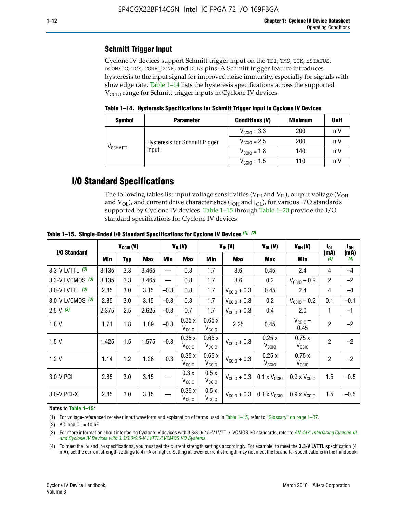## **Schmitt Trigger Input**

Cyclone IV devices support Schmitt trigger input on the TDI, TMS, TCK, nSTATUS, nCONFIG, nCE, CONF\_DONE, and DCLK pins. A Schmitt trigger feature introduces hysteresis to the input signal for improved noise immunity, especially for signals with slow edge rate. Table 1–14 lists the hysteresis specifications across the supported  $V<sub>CCIO</sub>$  range for Schmitt trigger inputs in Cyclone IV devices.

**Table 1–14. Hysteresis Specifications for Schmitt Trigger Input in Cyclone IV Devices**

| <b>Symbol</b>                  | <b>Parameter</b>               | <b>Conditions (V)</b>   | <b>Minimum</b> | <b>Unit</b> |
|--------------------------------|--------------------------------|-------------------------|----------------|-------------|
| $\mathsf{V}_{\mathsf{SCHMIT}}$ |                                | $V_{\text{CGI0}} = 3.3$ | 200            | mV          |
|                                | Hysteresis for Schmitt trigger | $V_{\text{CGI0}} = 2.5$ | 200            | mV          |
|                                | input                          | $V_{\text{CCIO}} = 1.8$ | 140            | mV          |
|                                |                                | $V_{\text{CC10}} = 1.5$ | 110            | mV          |

## **I/O Standard Specifications**

The following tables list input voltage sensitivities ( $V<sub>IH</sub>$  and  $V<sub>II</sub>$ ), output voltage ( $V<sub>OH</sub>$ and  $V_{OL}$ ), and current drive characteristics ( $I_{OH}$  and  $I_{OL}$ ), for various I/O standards supported by Cyclone IV devices. Table 1–15 through Table 1–20 provide the I/O standard specifications for Cyclone IV devices.

|                   | $V_{CClO}(V)$ |     | $V_{IL}(V)$ |        |                            | $V_{IH} (V)$               | $V_{OL}(V)$             | $V_{OH} (V)$                 | l <sub>OL</sub>              | l <sub>oh</sub> |             |
|-------------------|---------------|-----|-------------|--------|----------------------------|----------------------------|-------------------------|------------------------------|------------------------------|-----------------|-------------|
| I/O Standard      | Min           | Typ | <b>Max</b>  | Min    | <b>Max</b>                 | Min                        | <b>Max</b>              | Max                          | Min                          | (mA)<br>(4)     | (mA)<br>(4) |
| 3.3-V LVTTL (3)   | 3.135         | 3.3 | 3.465       |        | 0.8                        | 1.7                        | 3.6                     | 0.45                         | 2.4                          | 4               | $-4$        |
| 3.3-V LVCMOS (3)  | 3.135         | 3.3 | 3.465       |        | 0.8                        | 1.7                        | 3.6                     | 0.2                          | $V_{\text{CCIO}} - 0.2$      | $\overline{2}$  | $-2$        |
| 3.0-V LVTTL $(3)$ | 2.85          | 3.0 | 3.15        | $-0.3$ | 0.8                        | 1.7                        | $V_{\text{CC10}} + 0.3$ | 0.45                         | 2.4                          | 4               | $-4$        |
| 3.0-V LVCMOS (3)  | 2.85          | 3.0 | 3.15        | $-0.3$ | 0.8                        | 1.7                        | $V_{\text{CCI}0}$ + 0.3 | 0.2                          | $V_{\text{CC10}} - 0.2$      | 0.1             | $-0.1$      |
| $2.5 V$ (3)       | 2.375         | 2.5 | 2.625       | $-0.3$ | 0.7                        | 1.7                        | $V_{\text{CCI}0}$ + 0.3 | 0.4                          | 2.0                          | 1               | $-1$        |
| 1.8V              | 1.71          | 1.8 | 1.89        | $-0.3$ | 0.35x<br>V <sub>CCIO</sub> | 0.65x<br>V <sub>CCIO</sub> | 2.25                    | 0.45                         | $V_{CGIO}$ –<br>0.45         | $\overline{2}$  | $-2$        |
| 1.5V              | 1.425         | 1.5 | 1.575       | $-0.3$ | 0.35x<br>V <sub>CCIO</sub> | 0.65x<br>V <sub>CCIO</sub> | $V_{\text{CC10}} + 0.3$ | 0.25x<br>$V_{\rm CClO}$      | 0.75x<br>V <sub>CCIO</sub>   | $\overline{2}$  | $-2$        |
| 1.2V              | 1.14          | 1.2 | 1.26        | $-0.3$ | 0.35x<br>V <sub>CCIO</sub> | 0.65x<br>V <sub>CCIO</sub> | $V_{\text{CGI0}} + 0.3$ | 0.25x<br>$V_{\rm CClO}$      | 0.75x<br>V <sub>CCIO</sub>   | $\overline{2}$  | $-2$        |
| 3.0-V PCI         | 2.85          | 3.0 | 3.15        |        | 0.3x<br>V <sub>CCIO</sub>  | 0.5x<br>V <sub>CCIO</sub>  | $V_{\text{CC10}} + 0.3$ | $0.1 \times V_{CC10}$        | $0.9 \times V_{\text{CC10}}$ | 1.5             | $-0.5$      |
| 3.0-V PCI-X       | 2.85          | 3.0 | 3.15        |        | 0.35x<br>V <sub>CCIO</sub> | 0.5x<br>V <sub>CCIO</sub>  | $V_{\text{CC}10} + 0.3$ | $0.1 \times V_{\text{CC10}}$ | $0.9 \times V_{\text{CC10}}$ | 1.5             | $-0.5$      |

**Table 1–15. Single**-**Ended I/O Standard Specifications for Cyclone IV Devices** *(1)***,** *(2)*

#### **Notes to Table 1–15:**

(1) For voltage-referenced receiver input waveform and explanation of terms used in Table 1–15, refer to "Glossary" on page 1–37.

(2) AC load  $CL = 10$  pF

(3) For more information about interfacing Cyclone IV devices with 3.3/3.0/2.5-V LVTTL/LVCMOS I/O standards, refer to *[AN 447: Interfacing Cyclone III](http://www.altera.com/literature/an/an447.pdf)  [and Cyclone IV Devices with 3.3/3.0/2.5-V LVTTL/LVCMOS I/O Systems](http://www.altera.com/literature/an/an447.pdf)*.

(4) To meet the IOL and IOH specifications, you must set the current strength settings accordingly. For example, to meet the **3.3-V LVTTL** specification (4 mA), set the current strength settings to 4 mA or higher. Setting at lower current strength may not meet the lou and lon specifications in the handbook.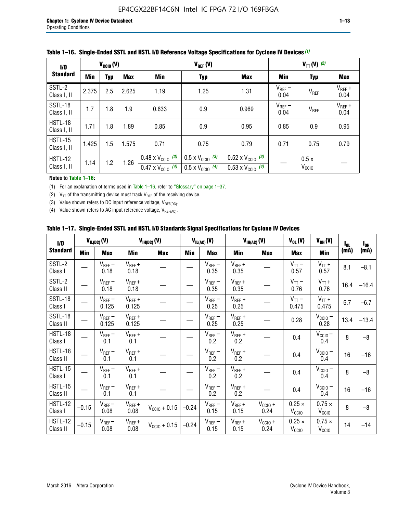| 1/0                    | $V_{CGI0}(V)$ |            |       |                                                                        | $V_{REF}(V)$                                                         |                                                                        |                     |                           | $V_{TT} (V)$ (2)    |  |  |  |
|------------------------|---------------|------------|-------|------------------------------------------------------------------------|----------------------------------------------------------------------|------------------------------------------------------------------------|---------------------|---------------------------|---------------------|--|--|--|
| <b>Standard</b>        | <b>Min</b>    | <b>Typ</b> | Max   | Min                                                                    | <b>Typ</b>                                                           | <b>Max</b>                                                             | Min                 | <b>Typ</b>                | Max                 |  |  |  |
| SSTL-2<br>Class I, II  | 2.375         | 2.5        | 2.625 | 1.19                                                                   | 1.25                                                                 | 1.31                                                                   | $V_{REF}$ –<br>0.04 | V <sub>REF</sub>          | $V_{REF}$ +<br>0.04 |  |  |  |
| SSTL-18<br>Class I, II | 1.7           | 1.8        | 1.9   | 0.833                                                                  | 0.9                                                                  | 0.969                                                                  | $V_{REF}$ –<br>0.04 | V <sub>REF</sub>          | $V_{REF}$ +<br>0.04 |  |  |  |
| HSTL-18<br>Class I, II | 1.71          | 1.8        | .89   | 0.85                                                                   | 0.9                                                                  | 0.95                                                                   | 0.85                | 0.9                       | 0.95                |  |  |  |
| HSTL-15<br>Class I, II | 1.425         | 1.5        | 1.575 | 0.71                                                                   | 0.75                                                                 | 0.79                                                                   | 0.71                | 0.75                      | 0.79                |  |  |  |
| HSTL-12<br>Class I, II | 1.14          | 1.2        | 1.26  | $0.48 \times V_{\text{CC10}}$ (3)<br>$0.47 \times V_{\text{CC10}}$ (4) | $0.5 \times V_{\text{CC10}}$ (3)<br>$0.5 \times V_{\text{CC10}}$ (4) | $0.52 \times V_{\text{CC10}}$ (3)<br>$0.53 \times V_{\text{CC10}}$ (4) |                     | 0.5x<br>V <sub>CCIO</sub> |                     |  |  |  |

|  |  |  |  | Table 1–16. Single-Ended SSTL and HSTL I/O Reference Voltage Specifications for Cyclone IV Devices (1) |
|--|--|--|--|--------------------------------------------------------------------------------------------------------|
|--|--|--|--|--------------------------------------------------------------------------------------------------------|

#### **Notes to Table 1–16:**

(1) For an explanation of terms used in Table 1–16, refer to "Glossary" on page 1–37.

(2)  $V_{TT}$  of the transmitting device must track  $V_{REF}$  of the receiving device.

(3) Value shown refers to DC input reference voltage,  $V_{REF(DC)}$ .

(4) Value shown refers to AC input reference voltage,  $V_{REF(AC)}$ .

|  | Table 1–17.  Single-Ended SSTL and HSTL I/O Standards Signal Specifications for Cyclone IV Devices |  |  |  |  |  |
|--|----------------------------------------------------------------------------------------------------|--|--|--|--|--|
|--|----------------------------------------------------------------------------------------------------|--|--|--|--|--|

| $\mathbf{I}/\mathbf{0}$    |            | $V_{IL(DC)}(V)$      |                      | $V_{IH(DC)}(V)$       |         | $V_{IL(AC)}(V)$     |                     | $V_{IH(AC)}(V)$      | $V_{OL}(V)$                        | $V_{OH} (V)$                       | $I_{0L}$ | $I_{0H}$ |
|----------------------------|------------|----------------------|----------------------|-----------------------|---------|---------------------|---------------------|----------------------|------------------------------------|------------------------------------|----------|----------|
| <b>Standard</b>            | <b>Min</b> | Max                  | <b>Min</b>           | <b>Max</b>            | Min     | <b>Max</b>          | Min                 | <b>Max</b>           | <b>Max</b>                         | Min                                | (mA)     | (mA)     |
| SSTL-2<br>Class I          |            | $V_{REF}$ –<br>0.18  | $V_{REF} +$<br>0.18  |                       |         | $V_{REF}-$<br>0.35  | $V_{REF} +$<br>0.35 |                      | $V_{TT}$ –<br>0.57                 | $V_{TT}$ +<br>0.57                 | 8.1      | $-8.1$   |
| SSTL-2<br>Class II         |            | $V_{REF}$ –<br>0.18  | $V_{REF} +$<br>0.18  |                       |         | $V_{REF}$ –<br>0.35 | $V_{REF} +$<br>0.35 |                      | $V_{TT}$ –<br>0.76                 | $V_{TT}$ +<br>0.76                 | 16.4     | $-16.4$  |
| SSTL-18<br>Class I         |            | $V_{REF}$ –<br>0.125 | $V_{REF} +$<br>0.125 |                       |         | $V_{REF}$ –<br>0.25 | $V_{REF} +$<br>0.25 |                      | $V_{TT}$ –<br>0.475                | $V_{TT}$ +<br>0.475                | 6.7      | $-6.7$   |
| SSTL-18<br>Class II        |            | $V_{REF}$ –<br>0.125 | $V_{REF}$ +<br>0.125 |                       |         | $V_{REF}$ –<br>0.25 | $V_{REF}$ +<br>0.25 |                      | 0.28                               | $V_{CC10}$ –<br>0.28               | 13.4     | $-13.4$  |
| <b>HSTL-18</b><br>Class I  |            | $V_{REF}$ –<br>0.1   | $V_{REF}$ +<br>0.1   |                       |         | $V_{REF}$ –<br>0.2  | $V_{REF}$ +<br>0.2  |                      | 0.4                                | $V_{CCIO}$ –<br>0.4                | 8        | $-8$     |
| HSTL-18<br>Class II        |            | $V_{REF}$ –<br>0.1   | $V_{REF}$ +<br>0.1   |                       |         | $V_{REF}$ –<br>0.2  | $V_{REF} +$<br>0.2  |                      | 0.4                                | $V_{CCIO}$ $-$<br>0.4              | 16       | $-16$    |
| HSTL-15<br>Class I         |            | $V_{REF}$ –<br>0.1   | $V_{REF}$ +<br>0.1   |                       |         | $V_{REF}$ –<br>0.2  | $V_{REF}$ +<br>0.2  |                      | 0.4                                | $V_{CC10} -$<br>0.4                | 8        | $-8$     |
| HSTL-15<br>Class II        |            | $V_{REF}$ –<br>0.1   | $V_{REF} +$<br>0.1   |                       |         | $V_{REF}$ –<br>0.2  | $V_{REF}$ +<br>0.2  |                      | 0.4                                | $V_{CC10}$ –<br>0.4                | 16       | $-16$    |
| <b>HSTL-12</b><br>Class I  | $-0.15$    | $V_{REF}-$<br>0.08   | $V_{REF} +$<br>0.08  | $V_{\rm CClO} + 0.15$ | $-0.24$ | $V_{REF}$ –<br>0.15 | $V_{REF} +$<br>0.15 | $V_{CC10} +$<br>0.24 | $0.25 \times$<br>$V_{\rm CClO}$    | $0.75 \times$<br>V <sub>CCIO</sub> | 8        | $-8$     |
| <b>HSTL-12</b><br>Class II | $-0.15$    | $V_{REF}-$<br>0.08   | $V_{REF} +$<br>0.08  | $V_{CGI0} + 0.15$     | $-0.24$ | $V_{REF}$ –<br>0.15 | $V_{REF} +$<br>0.15 | $V_{CC10}$ +<br>0.24 | $0.25 \times$<br>V <sub>CCIO</sub> | $0.75 \times$<br>V <sub>CCIO</sub> | 14       | $-14$    |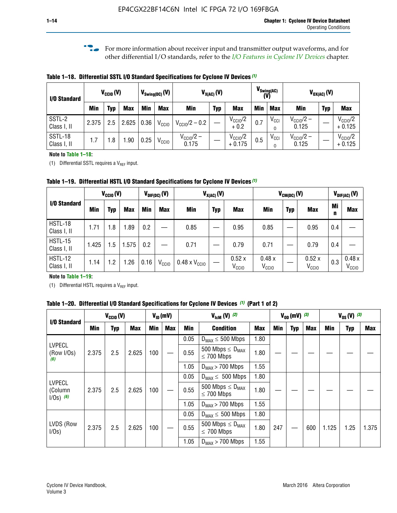**f For more information about receiver input and transmitter output waveforms, and for** other differential I/O standards, refer to the *[I/O Features in Cyclone IV Devices](http://www.altera.com/literature/hb/cyclone-iv/cyiv-51006.pdf)* chapter*.*

**Table 1–18. Differential SSTL I/O Standard Specifications for Cyclone IV Devices** *(1)*

| I/O Standard           |       | $V_{\text{CCIO}}(V)$ |            |      | $V_{\text{Swing(DC)}}(V)$ |                           |            | $V_{X(AC)}(V)$                  |     | $V_{\text{Swing}(AC)}$<br>(V) | $V_{OX(AC)}(V)$                |            |                                 |  |
|------------------------|-------|----------------------|------------|------|---------------------------|---------------------------|------------|---------------------------------|-----|-------------------------------|--------------------------------|------------|---------------------------------|--|
|                        | Min   | Typ                  | <b>Max</b> | Min  | <b>Max</b>                | <b>Min</b>                | <b>Typ</b> | <b>Max</b>                      | Min | <b>Max</b>                    | Min                            | <b>Typ</b> | <b>Max</b>                      |  |
| SSTL-2<br>Class I, II  | 2.375 | 2.5                  | 2.625      | 0.36 | V <sub>CCIO</sub>         | $V_{\text{CC10}}/2 - 0.2$ |            | $V_{\text{CC10}}/2$<br>$+0.2$   | 0.7 | $V_{\text{CCI}}$<br>$\Omega$  | $V_{\text{CC10}}/2 -$<br>0.125 |            | $V_{\text{CC10}}/2$<br>$+0.125$ |  |
| SSTL-18<br>Class I, II | 1.7   | .8                   | .90        | 0.25 | V <sub>CCIO</sub>         | $V_{CC10}/2 -$<br>0.175   |            | $V_{\text{CC10}}/2$<br>$+0.175$ | 0.5 | $V_{\text{CCI}}$<br>0         | $V_{\text{CC10}}/2 -$<br>0.125 |            | $V_{\text{CC10}}/2$<br>$+0.125$ |  |

#### **Note to Table 1–18:**

(1) Differential SSTL requires a  $V_{REF}$  input.

**Table 1–19. Differential HSTL I/O Standard Specifications for Cyclone IV Devices** *(1)*

|                               | $V_{CClO}(V)$ |     |            | $V_{\text{DIF(DC)}}(V)$ |                   | $V_{X(AC)}(V)$                |            |                            | $V_{CM(DC)}(V)$            |            |                            |         | $V_{\text{DIF(AC)}}(V)$    |  |
|-------------------------------|---------------|-----|------------|-------------------------|-------------------|-------------------------------|------------|----------------------------|----------------------------|------------|----------------------------|---------|----------------------------|--|
| I/O Standard                  | Min           | Typ | <b>Max</b> | Min                     | <b>Max</b>        | Min                           | <b>Typ</b> | <b>Max</b>                 | Min                        | <b>Typ</b> | <b>Max</b>                 | Mi<br>n | <b>Max</b>                 |  |
| HSTL-18<br>Class I, II        | 1.71          | 1.8 | .89        | 0.2                     |                   | 0.85                          |            | 0.95                       | 0.85                       |            | 0.95                       | 0.4     |                            |  |
| <b>HSTL-15</b><br>Class I, II | 1.425         | 1.5 | .575       | $0.2\,$                 |                   | 0.71                          |            | 0.79                       | 0.71                       |            | 0.79                       | 0.4     |                            |  |
| <b>HSTL-12</b><br>Class I, II | 1.14          | 1.2 | 1.26       | 0.16                    | V <sub>CCIO</sub> | $0.48 \times V_{\text{CC10}}$ |            | 0.52x<br>V <sub>CCIO</sub> | 0.48x<br>V <sub>CCIO</sub> |            | 0.52x<br>V <sub>CCIO</sub> | 0.3     | 0.48x<br>V <sub>CCIO</sub> |  |

### **Note to Table 1–19:**

(1) Differential HSTL requires a  $V_{REF}$  input.

**Table 1–20. Differential I/O Standard Specifications for Cyclone IV Devices** *(1)* **(Part 1 of 2)**

| I/O Standard                            |       | $V_{CCl0} (V)$ |            |            | $V_{\text{lcm}}(V)^{(2)}$<br>$V_{ID}$ (mV) |      | $V_{0D}$ (mV) $(3)$                                 |            |     | $V_{0S} (V)^{(3)}$ |     |       |            |       |
|-----------------------------------------|-------|----------------|------------|------------|--------------------------------------------|------|-----------------------------------------------------|------------|-----|--------------------|-----|-------|------------|-------|
|                                         | Min   | Typ            | <b>Max</b> | <b>Min</b> | <b>Max</b>                                 | Min  | <b>Condition</b>                                    | <b>Max</b> | Min | Typ                | Max | Min   | <b>Typ</b> | Max   |
|                                         |       |                |            |            |                                            | 0.05 | $D_{MAX} \leq 500$ Mbps                             | 1.80       |     |                    |     |       |            |       |
| <b>LVPECL</b><br>(Row I/Os)<br>(6)      | 2.375 | 2.5            | 2.625      | 100        |                                            | 0.55 | 500 Mbps $\leq$ D <sub>MAX</sub><br>$\leq$ 700 Mbps | 1.80       |     |                    |     |       |            |       |
|                                         |       |                |            |            |                                            | 1.05 | $D_{MAX}$ > 700 Mbps                                | 1.55       |     |                    |     |       |            |       |
|                                         |       |                |            |            |                                            | 0.05 | $D_{MAX} \leq 500$ Mbps                             | 1.80       |     |                    |     |       |            |       |
| <b>LVPECL</b><br>(Column<br>$1/Os)$ (6) | 2.375 | 2.5            | 2.625      | 100        |                                            | 0.55 | 500 Mbps $\leq D_{MAX}$<br>$\leq$ 700 Mbps          | 1.80       |     |                    |     |       |            |       |
|                                         |       |                |            |            |                                            | 1.05 | $D_{MAX}$ > 700 Mbps                                | 1.55       |     |                    |     |       |            |       |
|                                         |       |                |            |            |                                            | 0.05 | $D_{MAX} \leq 500$ Mbps                             | 1.80       |     |                    |     |       |            |       |
| LVDS (Row<br>I/Os)                      | 2.375 | 2.5            | 2.625      | 100        |                                            | 0.55 | 500 Mbps $\leq D_{MAX}$<br>$\leq 700$ Mbps          | 1.80       | 247 |                    | 600 | 1.125 | 1.25       | 1.375 |
|                                         |       |                |            |            |                                            | 1.05 | $D_{MAX}$ > 700 Mbps                                | 1.55       |     |                    |     |       |            |       |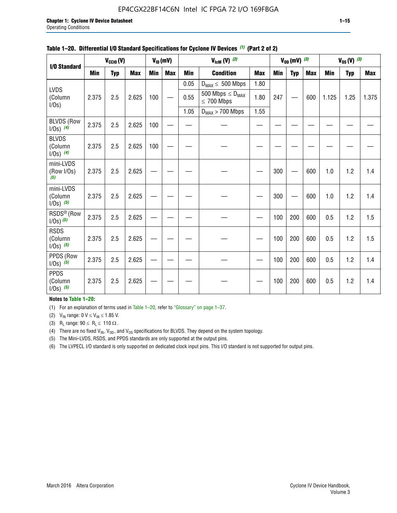## EP4CGX22BF14C6N Intel IC FPGA 72 I/O 169FBGA

|                                         |            | $V_{\text{CCIO}}(V)$ |            |            | $V_{ID}(mV)$ | $V_{\text{lcm}}(V)^{(2)}$ |                                            |            | $V_{0D}$ (mV) $(3)$ |            | $V_{0S} (V)$ (3) |       |            |            |
|-----------------------------------------|------------|----------------------|------------|------------|--------------|---------------------------|--------------------------------------------|------------|---------------------|------------|------------------|-------|------------|------------|
| I/O Standard                            | <b>Min</b> | <b>Typ</b>           | <b>Max</b> | <b>Min</b> | <b>Max</b>   | <b>Min</b>                | <b>Condition</b>                           | <b>Max</b> | Min                 | <b>Typ</b> | <b>Max</b>       | Min   | <b>Typ</b> | <b>Max</b> |
|                                         |            |                      |            |            |              | 0.05                      | $D_{MAX} \leq 500$ Mbps                    | 1.80       |                     |            |                  |       |            |            |
| <b>LVDS</b><br>(Column<br>$I/Os$ )      | 2.375      | 2.5                  | 2.625      | 100        |              | 0.55                      | 500 Mbps $\leq D_{MAX}$<br>$\leq 700$ Mbps | 1.80       | 247                 |            | 600              | 1.125 | 1.25       | 1.375      |
|                                         |            |                      |            |            |              | 1.05                      | $D_{MAX}$ > 700 Mbps                       | 1.55       |                     |            |                  |       |            |            |
| <b>BLVDS (Row</b><br>$1/0s)$ (4)        | 2.375      | 2.5                  | 2.625      | 100        |              |                           |                                            |            |                     |            |                  |       |            |            |
| <b>BLVDS</b><br>(Column<br>$1/0s)$ (4)  | 2.375      | 2.5                  | 2.625      | 100        |              |                           |                                            |            |                     |            |                  |       |            |            |
| mini-LVDS<br>(Row I/Os)<br>(5)          | 2.375      | 2.5                  | 2.625      |            |              |                           |                                            |            | 300                 |            | 600              | 1.0   | 1.2        | 1.4        |
| mini-LVDS<br>(Column<br>$1/0s)$ (5)     | 2.375      | 2.5                  | 2.625      |            |              |                           |                                            |            | 300                 |            | 600              | 1.0   | 1.2        | 1.4        |
| RSDS <sup>®</sup> (Row<br>$1/0s)$ $(5)$ | 2.375      | 2.5                  | 2.625      |            |              |                           |                                            |            | 100                 | 200        | 600              | 0.5   | 1.2        | 1.5        |
| <b>RSDS</b><br>(Column<br>$1/0s)$ (5)   | 2.375      | 2.5                  | 2.625      |            |              |                           |                                            |            | 100                 | 200        | 600              | 0.5   | 1.2        | 1.5        |
| PPDS (Row<br>$1/Os)$ (5)                | 2.375      | 2.5                  | 2.625      |            |              |                           |                                            |            | 100                 | 200        | 600              | 0.5   | 1.2        | 1.4        |
| <b>PPDS</b><br>(Column<br>$1/Os)$ (5)   | 2.375      | 2.5                  | 2.625      |            |              |                           |                                            |            | 100                 | 200        | 600              | 0.5   | 1.2        | 1.4        |

#### **Table 1–20. Differential I/O Standard Specifications for Cyclone IV Devices** *(1)* **(Part 2 of 2)**

### **Notes to Table 1–20:**

(1) For an explanation of terms used in Table 1–20, refer to "Glossary" on page 1–37.

(2)  $V_{IN}$  range: 0  $V \le V_{IN} \le 1.85$  V.

(3) R<sub>L</sub> range:  $90 \le R_L \le 110 \Omega$ .

(4) There are no fixed  $V_{IN}$ ,  $V_{OD}$ , and  $V_{OS}$  specifications for BLVDS. They depend on the system topology.

(5) The Mini-LVDS, RSDS, and PPDS standards are only supported at the output pins.

(6) The LVPECL I/O standard is only supported on dedicated clock input pins. This I/O standard is not supported for output pins.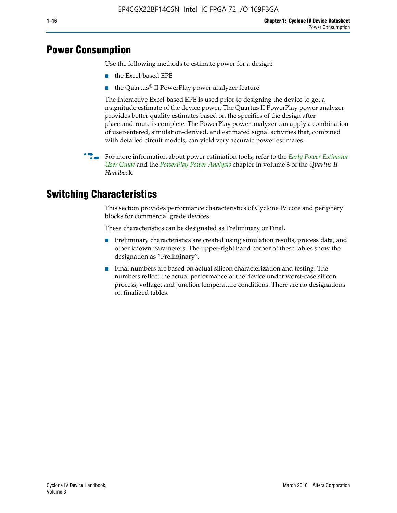## **Power Consumption**

Use the following methods to estimate power for a design:

- the Excel-based EPE
- the Quartus® II PowerPlay power analyzer feature

The interactive Excel-based EPE is used prior to designing the device to get a magnitude estimate of the device power. The Quartus II PowerPlay power analyzer provides better quality estimates based on the specifics of the design after place-and-route is complete. The PowerPlay power analyzer can apply a combination of user-entered, simulation-derived, and estimated signal activities that, combined with detailed circuit models, can yield very accurate power estimates.

f For more information about power estimation tools, refer to the *[Early Power Estimator](http://www.altera.com/literature/ug/ug_epe.pdf
)  [User Guide](http://www.altera.com/literature/ug/ug_epe.pdf
)* and the *[PowerPlay Power Analysis](http://www.altera.com/literature/hb/qts/qts_qii53013.pdf)* chapter in volume 3 of the *Quartus II Handboo*k.

## **Switching Characteristics**

This section provides performance characteristics of Cyclone IV core and periphery blocks for commercial grade devices.

These characteristics can be designated as Preliminary or Final.

- Preliminary characteristics are created using simulation results, process data, and other known parameters. The upper-right hand corner of these tables show the designation as "Preliminary".
- Final numbers are based on actual silicon characterization and testing. The numbers reflect the actual performance of the device under worst-case silicon process, voltage, and junction temperature conditions. There are no designations on finalized tables.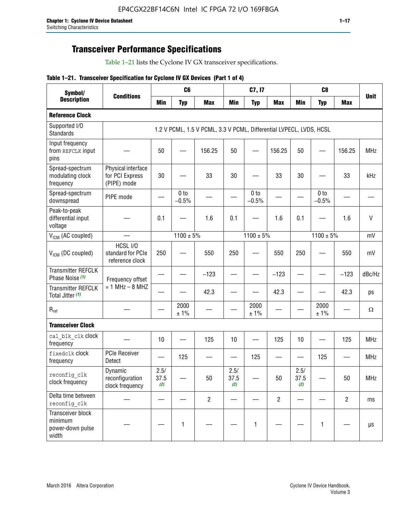## **Transceiver Performance Specifications**

Table 1–21 lists the Cyclone IV GX transceiver specifications.

|  |  |  |  | Table 1-21. Transceiver Specification for Cyclone IV GX Devices (Part 1 of 4) |  |
|--|--|--|--|-------------------------------------------------------------------------------|--|
|--|--|--|--|-------------------------------------------------------------------------------|--|

| Symbol/                                                   | <b>Conditions</b>                                    |                     | C <sub>6</sub>  |                                                                     |                     | C7, I7          |                          |                     | C <sub>8</sub>  |                | <b>Unit</b>  |
|-----------------------------------------------------------|------------------------------------------------------|---------------------|-----------------|---------------------------------------------------------------------|---------------------|-----------------|--------------------------|---------------------|-----------------|----------------|--------------|
| <b>Description</b>                                        |                                                      | Min                 | <b>Typ</b>      | <b>Max</b>                                                          | <b>Min</b>          | <b>Typ</b>      | <b>Max</b>               | <b>Min</b>          | <b>Typ</b>      | <b>Max</b>     |              |
| <b>Reference Clock</b>                                    |                                                      |                     |                 |                                                                     |                     |                 |                          |                     |                 |                |              |
| Supported I/O<br><b>Standards</b>                         |                                                      |                     |                 | 1.2 V PCML, 1.5 V PCML, 3.3 V PCML, Differential LVPECL, LVDS, HCSL |                     |                 |                          |                     |                 |                |              |
| Input frequency<br>from REFCLK input<br>pins              |                                                      | 50                  |                 | 156.25                                                              | 50                  |                 | 156.25                   | 50                  |                 | 156.25         | <b>MHz</b>   |
| Spread-spectrum<br>modulating clock<br>frequency          | Physical interface<br>for PCI Express<br>(PIPE) mode | 30                  |                 | 33                                                                  | 30                  |                 | 33                       | 30                  |                 | 33             | kHz          |
| Spread-spectrum<br>downspread                             | PIPE mode                                            |                     | 0 to<br>$-0.5%$ |                                                                     |                     | 0 to<br>$-0.5%$ | $\overline{\phantom{0}}$ |                     | 0 to<br>$-0.5%$ |                |              |
| Peak-to-peak<br>differential input<br>voltage             |                                                      | 0.1                 |                 | 1.6                                                                 | 0.1                 |                 | 1.6                      | 0.1                 |                 | 1.6            | $\mathsf{V}$ |
| V <sub>ICM</sub> (AC coupled)                             |                                                      |                     | $1100 \pm 5\%$  |                                                                     |                     | $1100 \pm 5\%$  |                          |                     | $1100 \pm 5\%$  |                | mV           |
| $V_{ICM}$ (DC coupled)                                    | HCSL I/O<br>standard for PCIe<br>reference clock     | 250                 |                 | 550                                                                 | 250                 |                 | 550                      | 250                 |                 | 550            | mV           |
| <b>Transmitter REFCLK</b><br>Phase Noise (1)              | Frequency offset                                     |                     |                 | $-123$                                                              |                     |                 | $-123$                   |                     |                 | $-123$         | dBc/Hz       |
| <b>Transmitter REFCLK</b><br>Total Jitter (1)             | $= 1$ MHz $- 8$ MHZ                                  |                     |                 | 42.3                                                                |                     |                 | 42.3                     |                     |                 | 42.3           | ps           |
| $R_{ref}$                                                 |                                                      |                     | 2000<br>±1%     |                                                                     |                     | 2000<br>± 1%    |                          |                     | 2000<br>± 1%    |                | $\Omega$     |
| <b>Transceiver Clock</b>                                  |                                                      |                     |                 |                                                                     |                     |                 |                          |                     |                 |                |              |
| cal blk clk clock<br>frequency                            |                                                      | 10                  |                 | 125                                                                 | 10                  |                 | 125                      | 10                  |                 | 125            | <b>MHz</b>   |
| fixedclk Clock<br>frequency                               | <b>PCIe Receiver</b><br>Detect                       |                     | 125             |                                                                     |                     | 125             |                          |                     | 125             |                | <b>MHz</b>   |
| reconfig_clk<br>clock frequency                           | Dynamic<br>reconfiguration<br>clock frequency        | 2.5/<br>37.5<br>(2) |                 | 50                                                                  | 2.5/<br>37.5<br>(2) |                 | $50\,$                   | 2.5/<br>37.5<br>(2) |                 | 50             | MHz          |
| Delta time between<br>reconfig clk                        |                                                      |                     |                 | $\overline{2}$                                                      |                     |                 | $\overline{2}$           |                     |                 | $\overline{2}$ | ms           |
| Transceiver block<br>minimum<br>power-down pulse<br>width |                                                      |                     | $\mathbf{1}$    |                                                                     |                     | 1               |                          |                     | $\mathbf{1}$    |                | $\mu s$      |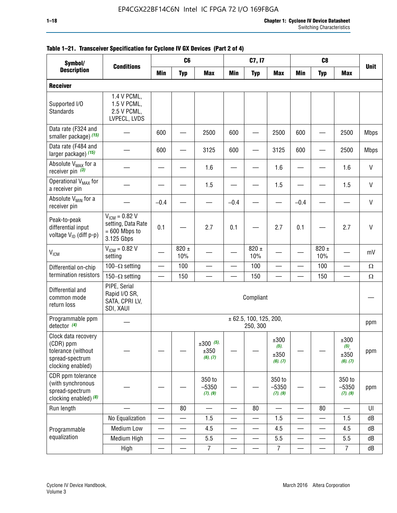| Symbol/                                                                                        |                                                                           | C <sub>6</sub><br>C7, I7<br>C <sub>8</sub> |                          |                                    |                          |                                    |                                     |                          |                          |                                                |              |
|------------------------------------------------------------------------------------------------|---------------------------------------------------------------------------|--------------------------------------------|--------------------------|------------------------------------|--------------------------|------------------------------------|-------------------------------------|--------------------------|--------------------------|------------------------------------------------|--------------|
| <b>Description</b>                                                                             | <b>Conditions</b>                                                         | Min                                        | <b>Typ</b>               | <b>Max</b>                         | <b>Min</b>               | <b>Typ</b>                         | <b>Max</b>                          | <b>Min</b>               | <b>Typ</b>               | <b>Max</b>                                     | <b>Unit</b>  |
| <b>Receiver</b>                                                                                |                                                                           |                                            |                          |                                    |                          |                                    |                                     |                          |                          |                                                |              |
| Supported I/O<br>Standards                                                                     | 1.4 V PCML,<br>1.5 V PCML,<br>2.5 V PCML,<br>LVPECL, LVDS                 |                                            |                          |                                    |                          |                                    |                                     |                          |                          |                                                |              |
| Data rate (F324 and<br>smaller package) (15)                                                   |                                                                           | 600                                        |                          | 2500                               | 600                      |                                    | 2500                                | 600                      |                          | 2500                                           | <b>Mbps</b>  |
| Data rate (F484 and<br>larger package) (15)                                                    |                                                                           | 600                                        |                          | 3125                               | 600                      |                                    | 3125                                | 600                      |                          | 2500                                           | <b>Mbps</b>  |
| Absolute V <sub>MAX</sub> for a<br>receiver pin $(3)$                                          |                                                                           |                                            |                          | 1.6                                |                          |                                    | 1.6                                 |                          |                          | 1.6                                            | $\mathsf{V}$ |
| Operational V <sub>MAX</sub> for<br>a receiver pin                                             |                                                                           |                                            |                          | 1.5                                |                          |                                    | 1.5                                 |                          |                          | 1.5                                            | $\mathsf{V}$ |
| Absolute V <sub>MIN</sub> for a<br>receiver pin                                                |                                                                           | $-0.4$                                     |                          |                                    | $-0.4$                   |                                    |                                     | $-0.4$                   |                          |                                                | $\mathsf{V}$ |
| Peak-to-peak<br>differential input<br>voltage V <sub>ID</sub> (diff p-p)                       | $V_{ICM} = 0.82 V$<br>setting, Data Rate<br>$= 600$ Mbps to<br>3.125 Gbps | 0.1                                        |                          | 2.7                                | 0.1                      |                                    | 2.7                                 | 0.1                      |                          | 2.7                                            | $\vee$       |
| $\rm V_{IGM}$                                                                                  | $V_{IGM} = 0.82 V$<br>setting                                             |                                            | $820 \pm$<br>10%         |                                    |                          | 820 $\pm$<br>10%                   |                                     |                          | $820 \pm$<br>10%         |                                                | mV           |
| Differential on-chip                                                                           | 100 $-\Omega$ setting                                                     | $\overline{\phantom{0}}$                   | 100                      | —                                  |                          | 100                                | —                                   | $\overline{\phantom{0}}$ | 100                      |                                                | $\Omega$     |
| termination resistors                                                                          | 150 $-\Omega$ setting                                                     |                                            | 150                      |                                    |                          | 150                                |                                     |                          | 150                      |                                                | $\Omega$     |
| Differential and<br>common mode<br>return loss                                                 | PIPE, Serial<br>Rapid I/O SR,<br>SATA, CPRI LV,<br>SDI, XAUI              |                                            |                          |                                    |                          | Compliant                          |                                     |                          |                          |                                                |              |
| Programmable ppm<br>detector $(4)$                                                             |                                                                           |                                            |                          |                                    |                          | ± 62.5, 100, 125, 200,<br>250, 300 |                                     |                          |                          |                                                | ppm          |
| Clock data recovery<br>(CDR) ppm<br>tolerance (without<br>spread-spectrum<br>clocking enabled) |                                                                           |                                            |                          | $\pm 300$ (5),<br>±350<br>(6), (7) |                          |                                    | ±300<br>$(5)$ ,<br>±350<br>(6), (7) |                          |                          | ±300<br>$(5)$ <sub>,</sub><br>±350<br>(6), (7) | ppm          |
| CDR ppm tolerance<br>(with synchronous<br>spread-spectrum<br>clocking enabled) $(8)$           |                                                                           |                                            |                          | 350 to<br>$-5350$<br>(7), (9)      |                          |                                    | 350 to<br>$-5350$<br>(7), (9)       |                          |                          | 350 to<br>$-5350$<br>(7), (9)                  | ppm          |
| Run length                                                                                     |                                                                           | $\overline{\phantom{0}}$                   | 80                       |                                    | $\overline{\phantom{0}}$ | 80                                 | $\overline{\phantom{0}}$            |                          | 80                       | $\overline{\phantom{0}}$                       | UI           |
|                                                                                                | No Equalization                                                           |                                            |                          | 1.5                                | $\overline{\phantom{0}}$ | —                                  | 1.5                                 | $\overline{\phantom{0}}$ | $\overline{\phantom{0}}$ | 1.5                                            | dB           |
| Programmable                                                                                   | Medium Low                                                                | —                                          | $\overline{\phantom{0}}$ | 4.5                                |                          | —                                  | 4.5                                 | —                        |                          | 4.5                                            | dB           |
| equalization                                                                                   | Medium High                                                               | $\overline{\phantom{0}}$                   | $\qquad \qquad$          | 5.5                                | $\overline{\phantom{0}}$ | $\qquad \qquad$                    | 5.5                                 | $\overline{\phantom{0}}$ | $\overline{\phantom{0}}$ | 5.5                                            | dB           |
|                                                                                                | High                                                                      | —                                          | —                        | $\overline{7}$                     | —                        | $\overline{\phantom{0}}$           | $\boldsymbol{7}$                    | —                        | $\equiv$                 | $\overline{7}$                                 | dB           |

### **Table 1–21. Transceiver Specification for Cyclone IV GX Devices (Part 2 of 4)**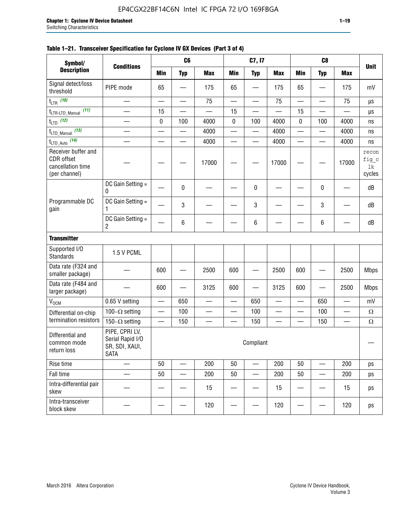| Symbol/                                                                 | <b>Conditions</b>                                                   |           | C <sub>6</sub>           |                        |                          | C7, I7                   |            |                          | C <sub>8</sub>           |            | <b>Unit</b>                    |
|-------------------------------------------------------------------------|---------------------------------------------------------------------|-----------|--------------------------|------------------------|--------------------------|--------------------------|------------|--------------------------|--------------------------|------------|--------------------------------|
| <b>Description</b>                                                      |                                                                     | Min       | <b>Typ</b>               | <b>Max</b>             | <b>Min</b>               | <b>Typ</b>               | <b>Max</b> | <b>Min</b>               | <b>Typ</b>               | <b>Max</b> |                                |
| Signal detect/loss<br>threshold                                         | PIPE mode                                                           | 65        |                          | 175                    | 65                       |                          | 175        | 65                       |                          | 175        | mV                             |
| $t_{LTR}$ (10)                                                          |                                                                     |           |                          | 75                     |                          |                          | 75         |                          |                          | 75         | $\mu s$                        |
| $t_{\text{LTR-LTD\_Manual}}$<br>(11)                                    |                                                                     | 15        |                          |                        | 15                       |                          |            | 15                       |                          |            | μs                             |
| $t_{LTD}$ (12)                                                          |                                                                     | $\pmb{0}$ | 100                      | 4000                   | $\pmb{0}$                | 100                      | 4000       | 0                        | 100                      | 4000       | ns                             |
| $t_{\text{LTD\_Manual}}$ (13)                                           | $\overline{\phantom{0}}$                                            |           |                          | 4000                   | $\qquad \qquad$          | $\overline{\phantom{0}}$ | 4000       | —                        | $\overline{\phantom{0}}$ | 4000       | ns                             |
| $t_{\text{LTD\_Auto}}$ (14)                                             |                                                                     |           | $\overline{\phantom{0}}$ | 4000                   | $\overline{\phantom{0}}$ | $\overline{\phantom{0}}$ | 4000       | —                        | $\overline{\phantom{0}}$ | 4000       | ns                             |
| Receiver buffer and<br>CDR offset<br>cancellation time<br>(per channel) |                                                                     |           |                          | 17000                  |                          |                          | 17000      |                          |                          | 17000      | recon<br>fig_c<br>1k<br>cycles |
|                                                                         | DC Gain Setting =<br>0                                              |           | $\mathbf 0$              |                        |                          | 0                        |            |                          | $\mathbf 0$              |            | dB                             |
| Programmable DC<br>gain                                                 | DC Gain Setting $=$<br>1                                            |           | 3                        |                        |                          | 3                        |            |                          | $\mathbf 3$              |            | dB                             |
|                                                                         | DC Gain Setting =<br>2                                              |           | $\,6\,$                  |                        |                          | 6                        |            |                          | 6                        |            | dB                             |
| <b>Transmitter</b>                                                      |                                                                     |           |                          |                        |                          |                          |            |                          |                          |            |                                |
| Supported I/O<br>Standards                                              | 1.5 V PCML                                                          |           |                          |                        |                          |                          |            |                          |                          |            |                                |
| Data rate (F324 and<br>smaller package)                                 |                                                                     | 600       |                          | 2500                   | 600                      |                          | 2500       | 600                      |                          | 2500       | <b>Mbps</b>                    |
| Data rate (F484 and<br>larger package)                                  |                                                                     | 600       |                          | 3125                   | 600                      |                          | 3125       | 600                      |                          | 2500       | <b>Mbps</b>                    |
| $\mathsf{V}_{\mathsf{OCM}}$                                             | 0.65 V setting                                                      | —         | 650                      | $\qquad \qquad \qquad$ | $\equiv$                 | 650                      |            | $\overline{\phantom{0}}$ | 650                      | —          | mV                             |
| Differential on-chip                                                    | 100 $-\Omega$ setting                                               |           | 100                      |                        |                          | 100                      |            |                          | 100                      |            | $\Omega$                       |
| termination resistors                                                   | 150 $-\Omega$ setting                                               |           | 150                      |                        |                          | 150                      |            |                          | 150                      |            | $\Omega$                       |
| Differential and<br>common mode<br>return loss                          | PIPE, CPRI LV,<br>Serial Rapid I/O<br>SR, SDI, XAUI,<br><b>SATA</b> |           |                          |                        |                          | Compliant                |            |                          |                          |            |                                |
| Rise time                                                               |                                                                     | $50\,$    |                          | 200                    | 50                       | —                        | 200        | 50                       |                          | 200        | ps                             |
| Fall time                                                               |                                                                     | 50        |                          | 200                    | 50                       |                          | 200        | 50                       |                          | 200        | ps                             |
| Intra-differential pair<br>skew                                         |                                                                     |           |                          | 15                     |                          |                          | 15         |                          |                          | 15         | ps                             |
| Intra-transceiver<br>block skew                                         |                                                                     |           |                          | 120                    |                          |                          | 120        |                          |                          | 120        | ps                             |

### **Table 1–21. Transceiver Specification for Cyclone IV GX Devices (Part 3 of 4)**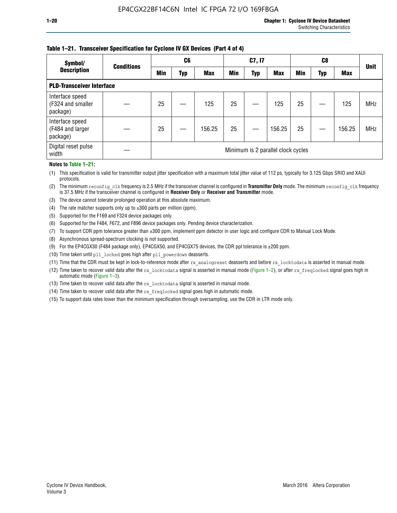### **Table 1–21. Transceiver Specification for Cyclone IV GX Devices (Part 4 of 4)**

| Symbol/                                          | <b>Conditions</b> | C <sub>6</sub>                     |     |            | C7, I7 |            |            | C8         |     |            | <b>Unit</b> |
|--------------------------------------------------|-------------------|------------------------------------|-----|------------|--------|------------|------------|------------|-----|------------|-------------|
| <b>Description</b>                               |                   | Min                                | Typ | <b>Max</b> | Min    | <b>Typ</b> | <b>Max</b> | <b>Min</b> | Typ | <b>Max</b> |             |
| <b>PLD-Transceiver Interface</b>                 |                   |                                    |     |            |        |            |            |            |     |            |             |
| Interface speed<br>(F324 and smaller<br>package) |                   | 25                                 |     | 125        | 25     |            | 125        | 25         |     | 125        | <b>MHz</b>  |
| Interface speed<br>(F484 and larger<br>package)  |                   | 25                                 |     | 156.25     | 25     |            | 156.25     | 25         |     | 156.25     | <b>MHz</b>  |
| Digital reset pulse<br>width                     |                   | Minimum is 2 parallel clock cycles |     |            |        |            |            |            |     |            |             |

#### **Notes to Table 1–21:**

(1) This specification is valid for transmitter output jitter specification with a maximum total jitter value of 112 ps, typically for 3.125 Gbps SRIO and XAUI protocols.

(2) The minimum reconfig\_clk frequency is 2.5 MHz if the transceiver channel is configured in **Transmitter Only** mode. The minimum reconfig\_clk frequency is 37.5 MHz if the transceiver channel is configured in **Receiver Only** or **Receiver and Transmitter** mode.

(3) The device cannot tolerate prolonged operation at this absolute maximum.

- (4) The rate matcher supports only up to  $\pm 300$  parts per million (ppm).
- (5) Supported for the F169 and F324 device packages only.
- (6) Supported for the F484, F672, and F896 device packages only. Pending device characterization.
- (7) To support CDR ppm tolerance greater than ±300 ppm, implement ppm detector in user logic and configure CDR to Manual Lock Mode.
- (8) Asynchronous spread-spectrum clocking is not supported.
- (9) For the EP4CGX30 (F484 package only), EP4CGX50, and EP4CGX75 devices, the CDR ppl tolerance is ±200 ppm.
- (10) Time taken until pll\_locked goes high after pll\_powerdown deasserts.
- (11) Time that the CDR must be kept in lock-to-reference mode after rx analogreset deasserts and before rx locktodata is asserted in manual mode.

(12) Time taken to recover valid data after the rx locktodata signal is asserted in manual mode (Figure 1–2), or after rx freqlocked signal goes high in automatic mode (Figure 1–3).

(13) Time taken to recover valid data after the rx locktodata signal is asserted in manual mode.

- (14) Time taken to recover valid data after the rx freqlocked signal goes high in automatic mode.
- (15) To support data rates lower than the minimum specification through oversampling, use the CDR in LTR mode only.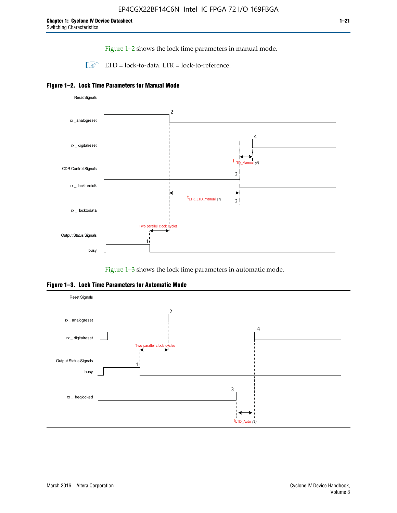Figure 1–2 shows the lock time parameters in manual mode.

 $\Box$  LTD = lock-to-data. LTR = lock-to-reference.





Figure 1–3 shows the lock time parameters in automatic mode.

**Figure 1–3. Lock Time Parameters for Automatic Mode**

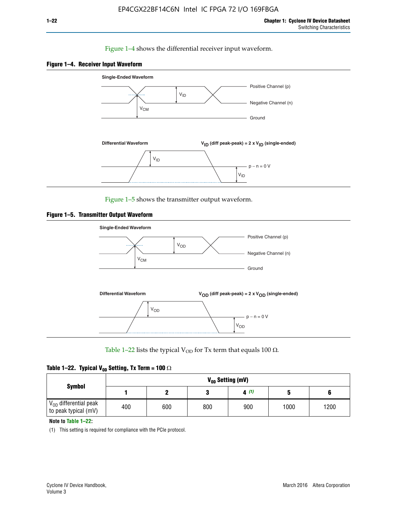### Figure 1–4 shows the differential receiver input waveform.





Figure 1–5 shows the transmitter output waveform.





Table 1–22 lists the typical V<sub>OD</sub> for Tx term that equals 100  $\Omega$ .

| Table 1–22. Typical V <sub>0D</sub> Setting, Tx Term = 100 $\Omega$ |  |  |  |  |  |  |  |
|---------------------------------------------------------------------|--|--|--|--|--|--|--|
|---------------------------------------------------------------------|--|--|--|--|--|--|--|

|                                                        |     |     |     | V <sub>on</sub> Setting (mV) |      |      |
|--------------------------------------------------------|-----|-----|-----|------------------------------|------|------|
| <b>Symbol</b>                                          |     |     |     | 4(1)                         |      |      |
| $\rm V_{OD}$ differential peak<br>to peak typical (mV) | 400 | 600 | 800 | 900                          | 1000 | 1200 |

**Note to Table 1–22:**

(1) This setting is required for compliance with the PCIe protocol.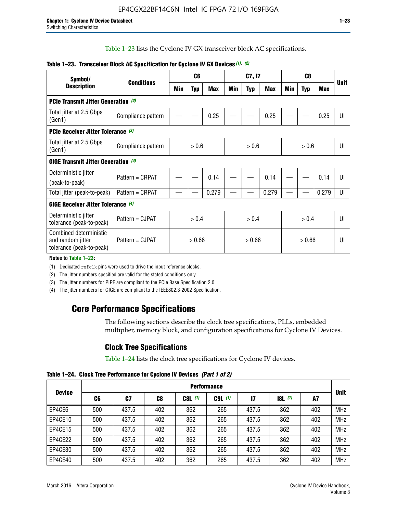Table 1–23 lists the Cyclone IV GX transceiver block AC specifications.

| Symbol/                                                                 | <b>Conditions</b>  |       | C <sub>6</sub> |            | C7, I7 |            |       | C <sub>8</sub> |            |       |             |
|-------------------------------------------------------------------------|--------------------|-------|----------------|------------|--------|------------|-------|----------------|------------|-------|-------------|
| <b>Description</b>                                                      |                    | Min   | <b>Typ</b>     | <b>Max</b> | Min    | <b>Typ</b> | Max   | Min            | <b>Typ</b> | Max   | <b>Unit</b> |
| PCIe Transmit Jitter Generation (3)                                     |                    |       |                |            |        |            |       |                |            |       |             |
| Total jitter at 2.5 Gbps<br>(Gen1)                                      | Compliance pattern |       |                | 0.25       |        |            | 0.25  |                |            | 0.25  | UI          |
| PCIe Receiver Jitter Tolerance (3)                                      |                    |       |                |            |        |            |       |                |            |       |             |
| Total jitter at 2.5 Gbps<br>(Gen1)                                      | Compliance pattern | > 0.6 |                | > 0.6      |        | > 0.6      |       |                | UI         |       |             |
| <b>GIGE Transmit Jitter Generation (4)</b>                              |                    |       |                |            |        |            |       |                |            |       |             |
| Deterministic jitter                                                    | Pattern = CRPAT    |       |                | 0.14       |        |            | 0.14  |                |            | 0.14  | UI          |
| (peak-to-peak)                                                          |                    |       |                |            |        |            |       |                |            |       |             |
| Total jitter (peak-to-peak)                                             | Pattern = CRPAT    |       |                | 0.279      |        |            | 0.279 |                |            | 0.279 | UI          |
| <b>GIGE Receiver Jitter Tolerance (4)</b>                               |                    |       |                |            |        |            |       |                |            |       |             |
| Deterministic jitter<br>tolerance (peak-to-peak)                        | Pattern = CJPAT    |       | > 0.4          |            |        | > 0.4      |       |                | > 0.4      |       | U           |
| Combined deterministic<br>and random jitter<br>tolerance (peak-to-peak) | Pattern = CJPAT    |       | > 0.66         |            |        | > 0.66     |       |                | > 0.66     |       | UI          |

### **Table 1–23. Transceiver Block AC Specification for Cyclone IV GX Devices** *(1)***,** *(2)*

**Notes to Table 1–23:**

(1) Dedicated refclk pins were used to drive the input reference clocks.

(2) The jitter numbers specified are valid for the stated conditions only.

(3) The jitter numbers for PIPE are compliant to the PCIe Base Specification 2.0.

(4) The jitter numbers for GIGE are compliant to the IEEE802.3-2002 Specification.

## **Core Performance Specifications**

The following sections describe the clock tree specifications, PLLs, embedded multiplier, memory block, and configuration specifications for Cyclone IV Devices.

## **Clock Tree Specifications**

Table 1–24 lists the clock tree specifications for Cyclone IV devices.

**Table 1–24. Clock Tree Performance for Cyclone IV Devices** *(Part 1 of 2)*

|               | <b>Performance</b> |       |     |           |             |               |                  |     |             |
|---------------|--------------------|-------|-----|-----------|-------------|---------------|------------------|-----|-------------|
| <b>Device</b> | C6                 | C7    | C8  | $C8L$ (1) | $C9L$ $(1)$ | $\mathsf{I}7$ | <b>18L</b> $(1)$ | A7  | <b>Unit</b> |
| EP4CE6        | 500                | 437.5 | 402 | 362       | 265         | 437.5         | 362              | 402 | <b>MHz</b>  |
| EP4CE10       | 500                | 437.5 | 402 | 362       | 265         | 437.5         | 362              | 402 | <b>MHz</b>  |
| EP4CE15       | 500                | 437.5 | 402 | 362       | 265         | 437.5         | 362              | 402 | <b>MHz</b>  |
| EP4CE22       | 500                | 437.5 | 402 | 362       | 265         | 437.5         | 362              | 402 | <b>MHz</b>  |
| EP4CE30       | 500                | 437.5 | 402 | 362       | 265         | 437.5         | 362              | 402 | <b>MHz</b>  |
| EP4CE40       | 500                | 437.5 | 402 | 362       | 265         | 437.5         | 362              | 402 | <b>MHz</b>  |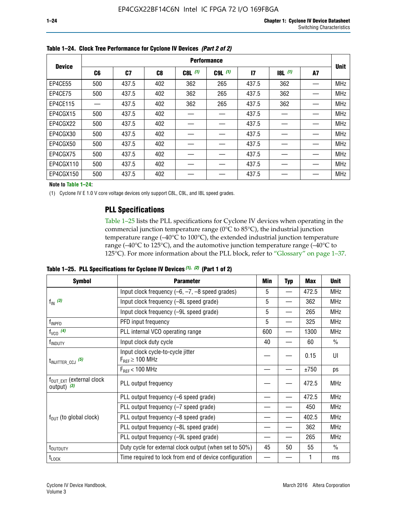|               | <b>Performance</b> |       |     |             |             |       |       |    |             |  |
|---------------|--------------------|-------|-----|-------------|-------------|-------|-------|----|-------------|--|
| <b>Device</b> | C6                 | C7    | C8  | $C8L$ $(1)$ | $C9L$ $(1)$ | 17    | 8L(1) | A7 | <b>Unit</b> |  |
| EP4CE55       | 500                | 437.5 | 402 | 362         | 265         | 437.5 | 362   |    | <b>MHz</b>  |  |
| EP4CE75       | 500                | 437.5 | 402 | 362         | 265         | 437.5 | 362   |    | <b>MHz</b>  |  |
| EP4CE115      |                    | 437.5 | 402 | 362         | 265         | 437.5 | 362   |    | <b>MHz</b>  |  |
| EP4CGX15      | 500                | 437.5 | 402 |             |             | 437.5 |       |    | <b>MHz</b>  |  |
| EP4CGX22      | 500                | 437.5 | 402 |             |             | 437.5 |       |    | <b>MHz</b>  |  |
| EP4CGX30      | 500                | 437.5 | 402 |             |             | 437.5 |       |    | <b>MHz</b>  |  |
| EP4CGX50      | 500                | 437.5 | 402 |             |             | 437.5 |       |    | <b>MHz</b>  |  |
| EP4CGX75      | 500                | 437.5 | 402 |             |             | 437.5 |       |    | MHz         |  |
| EP4CGX110     | 500                | 437.5 | 402 |             |             | 437.5 |       |    | MHz         |  |
| EP4CGX150     | 500                | 437.5 | 402 |             |             | 437.5 |       |    | <b>MHz</b>  |  |

**Table 1–24. Clock Tree Performance for Cyclone IV Devices** *(Part 2 of 2)*

**Note to Table 1–24:**

(1) Cyclone IV E 1.0 V core voltage devices only support C8L, C9L, and I8L speed grades.

## **PLL Specifications**

Table 1–25 lists the PLL specifications for Cyclone IV devices when operating in the commercial junction temperature range (0°C to 85°C), the industrial junction temperature range (–40°C to 100°C), the extended industrial junction temperature range (–40°C to 125°C), and the automotive junction temperature range (–40°C to 125°C). For more information about the PLL block, refer to "Glossary" on page 1–37.

|  |  | Table 1–25. PLL Specifications for Cyclone IV Devices $(1)$ , $(2)$ (Part 1 of 2) |  |
|--|--|-----------------------------------------------------------------------------------|--|
|--|--|-----------------------------------------------------------------------------------|--|

| <b>Symbol</b>                                          | <b>Parameter</b>                                            | Min | <b>Typ</b>               | <b>Max</b> | <b>Unit</b>   |
|--------------------------------------------------------|-------------------------------------------------------------|-----|--------------------------|------------|---------------|
|                                                        | Input clock frequency $(-6, -7, -8)$ speed grades)          | 5   | $\qquad \qquad$          | 472.5      | <b>MHz</b>    |
| $f_{\text{IN}}(3)$                                     | Input clock frequency (-8L speed grade)                     | 5   |                          | 362        | <b>MHz</b>    |
|                                                        | Input clock frequency (-9L speed grade)                     | 5   |                          | 265        | <b>MHz</b>    |
| f <sub>INPFD</sub>                                     | PFD input frequency                                         | 5   | $\overline{\phantom{0}}$ | 325        | <b>MHz</b>    |
| $f_{VCO}$ (4)                                          | PLL internal VCO operating range                            | 600 |                          | 1300       | <b>MHz</b>    |
| f <sub>INDUTY</sub>                                    | Input clock duty cycle                                      | 40  |                          | 60         | $\frac{0}{0}$ |
| $t_{\text{INJITTER\_CCJ}}$ (5)                         | Input clock cycle-to-cycle jitter<br>$F_{REF} \geq 100$ MHz |     |                          | 0.15       | UI            |
|                                                        | $F_{RFF}$ < 100 MHz                                         |     |                          | ±750       | ps            |
| $f_{\text{OUT\_EXT}}$ (external clock<br>output) $(3)$ | PLL output frequency                                        |     |                          | 472.5      | <b>MHz</b>    |
|                                                        | PLL output frequency (-6 speed grade)                       |     |                          | 472.5      | <b>MHz</b>    |
|                                                        | PLL output frequency (-7 speed grade)                       |     |                          | 450        | <b>MHz</b>    |
| $f_{OUT}$ (to global clock)                            | PLL output frequency (-8 speed grade)                       |     |                          | 402.5      | <b>MHz</b>    |
|                                                        | PLL output frequency (-8L speed grade)                      |     |                          | 362        | <b>MHz</b>    |
|                                                        | PLL output frequency (-9L speed grade)                      |     |                          | 265        | <b>MHz</b>    |
| t <sub>outduty</sub>                                   | Duty cycle for external clock output (when set to 50%)      | 45  | 50                       | 55         | $\frac{0}{0}$ |
| $t_{\text{LOCK}}$                                      | Time required to lock from end of device configuration      |     |                          |            | ms            |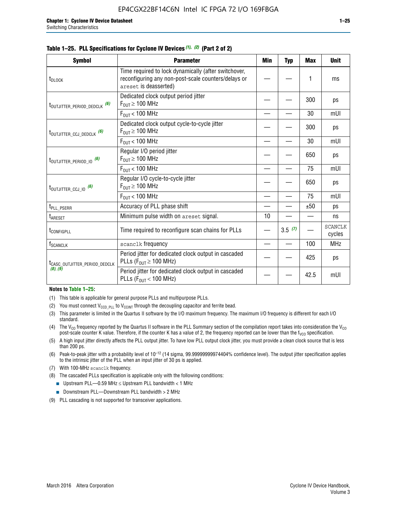| i. PLL Specifications for Cyclone IV Devices (1), (2) (Part 2 of 2) |                                                                                                                                      |     |            |            |             |  |  |  |
|---------------------------------------------------------------------|--------------------------------------------------------------------------------------------------------------------------------------|-----|------------|------------|-------------|--|--|--|
| Svmbol                                                              | <b>Parameter</b>                                                                                                                     | Min | <b>Typ</b> | <b>Max</b> | <b>Unit</b> |  |  |  |
|                                                                     | Time required to lock dynamically (after switchover,<br>reconfiguring any non-post-scale counters/delays or<br>areset is deasserted) |     |            |            | ms          |  |  |  |
| $P_{EPI2D} P_{EPI2L}$                                               | Dedicated clock output period jitter<br>$F_{OUT} \geq 100$ MHz                                                                       |     |            | 300        | ps          |  |  |  |

#### **Table 1–25. PLL Specifications for Cyclone IV Devices** *(1), (2)* **(Part 2 of 2)**

| t <sub>DLOCK</sub>                                                                                                 | Time required to lock dynamically (after switchover,<br>reconfiguring any non-post-scale counters/delays or<br>areset is deasserted) |                                                                                        |     |     | ms                       |
|--------------------------------------------------------------------------------------------------------------------|--------------------------------------------------------------------------------------------------------------------------------------|----------------------------------------------------------------------------------------|-----|-----|--------------------------|
| t <sub>outjitter_period_dedclk</sub> (6)                                                                           | Dedicated clock output period jitter<br>$F_{OUT} \geq 100$ MHz                                                                       |                                                                                        |     | 300 | ps                       |
|                                                                                                                    | $F_{OUT}$ < 100 MHz                                                                                                                  | 30<br>300<br>30<br>650<br>75<br>650<br>75<br>±50<br>10<br>3.5(7)<br>100<br>425<br>42.5 | mUI |     |                          |
| t <sub>outjitter_ccj_dedclk</sub> (6)<br>t <sub>outjitter_period_io</sub> (6)<br>t <sub>outjitter_ccj_io</sub> (6) | Dedicated clock output cycle-to-cycle jitter<br>$F_{\text{OUT}} \geq 100 \text{ MHz}$                                                |                                                                                        |     |     | ps                       |
|                                                                                                                    | $F_{OUT}$ < 100 MHz                                                                                                                  |                                                                                        |     |     | mUI                      |
|                                                                                                                    | Regular I/O period jitter<br>$F_{\text{OUT}} \geq 100 \text{ MHz}$                                                                   |                                                                                        |     |     | ps                       |
|                                                                                                                    | $F_{OUT}$ < 100 MHz                                                                                                                  |                                                                                        |     |     | mUI                      |
|                                                                                                                    | Regular I/O cycle-to-cycle jitter<br>$F_{\text{OUT}} \geq 100 \text{ MHz}$                                                           |                                                                                        |     |     | ps                       |
|                                                                                                                    | $F_{OUT}$ < 100 MHz                                                                                                                  |                                                                                        |     | mUI |                          |
| t <sub>PLL_PSERR</sub>                                                                                             | Accuracy of PLL phase shift                                                                                                          |                                                                                        |     |     | ps                       |
| t <sub>ARESET</sub>                                                                                                | Minimum pulse width on areset signal.                                                                                                |                                                                                        |     |     | ns                       |
| <b><i>LCONFIGPLL</i></b>                                                                                           | Time required to reconfigure scan chains for PLLs                                                                                    |                                                                                        |     |     | <b>SCANCLK</b><br>cycles |
| f <sub>SCANCLK</sub>                                                                                               | scanclk frequency                                                                                                                    |                                                                                        |     |     | <b>MHz</b>               |
| ICASC OUTJITTER PERIOD DEDCLK                                                                                      | Period jitter for dedicated clock output in cascaded<br>PLLs ( $F_{OUT} \ge 100$ MHz)                                                |                                                                                        |     |     | ps                       |
| (8), (9)                                                                                                           | Period jitter for dedicated clock output in cascaded<br>PLLs ( $F_{OUT}$ < 100 MHz)                                                  |                                                                                        |     |     | mUI                      |

#### **Notes to Table 1–25:**

- (1) This table is applicable for general purpose PLLs and multipurpose PLLs.
- (2) You must connect  $V_{CCD-PLL}$  to  $V_{CCINT}$  through the decoupling capacitor and ferrite bead.
- (3) This parameter is limited in the Quartus II software by the I/O maximum frequency. The maximum I/O frequency is different for each I/O standard.
- (4) The V<sub>CO</sub> frequency reported by the Quartus II software in the PLL Summary section of the compilation report takes into consideration the V<sub>CO</sub> post-scale counter K value. Therefore, if the counter K has a value of 2, the frequency reported can be lower than the f<sub>VCO</sub> specification.
- (5) A high input jitter directly affects the PLL output jitter. To have low PLL output clock jitter, you must provide a clean clock source that is less than 200 ps.
- (6) Peak-to-peak jitter with a probability level of 10–12 (14 sigma, 99.99999999974404% confidence level). The output jitter specification applies to the intrinsic jitter of the PLL when an input jitter of 30 ps is applied.
- (7) With 100-MHz scanclk frequency.
- (8) The cascaded PLLs specification is applicable only with the following conditions:
	- **■** Upstream PLL—0.59 MHz  $\leq$  Upstream PLL bandwidth  $<$  1 MHz
	- Downstream PLL—Downstream PLL bandwidth > 2 MHz
- (9) PLL cascading is not supported for transceiver applications.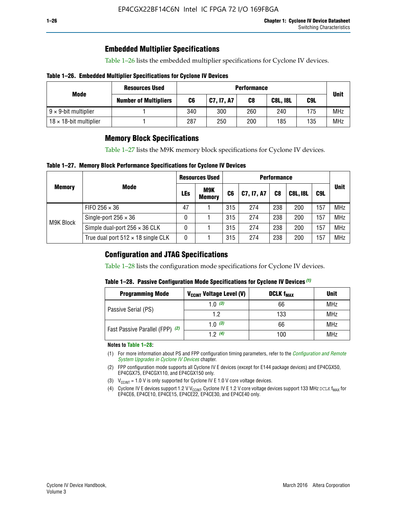## **Embedded Multiplier Specifications**

Table 1–26 lists the embedded multiplier specifications for Cyclone IV devices.

### **Table 1–26. Embedded Multiplier Specifications for Cyclone IV Devices**

| Mode                           | <b>Resources Used</b>        | <b>Performance</b> |            |     |                 |     |             |
|--------------------------------|------------------------------|--------------------|------------|-----|-----------------|-----|-------------|
|                                | <b>Number of Multipliers</b> | C6                 | C7, I7, A7 | C8  | <b>C8L, I8L</b> | C9L | <b>Unit</b> |
| $9 \times 9$ -bit multiplier   |                              | 340                | 300        | 260 | 240             | 175 | <b>MHz</b>  |
| $18 \times 18$ -bit multiplier |                              | 287                | 250        | 200 | 185             | 135 | <b>MHz</b>  |

## **Memory Block Specifications**

Table 1–27 lists the M9K memory block specifications for Cyclone IV devices.

### **Table 1–27. Memory Block Performance Specifications for Cyclone IV Devices**

|               |                                           |            | <b>Resources Used</b>       | <b>Performance</b> |            |                |                 |                                 |             |  |
|---------------|-------------------------------------------|------------|-----------------------------|--------------------|------------|----------------|-----------------|---------------------------------|-------------|--|
| <b>Memory</b> | <b>Mode</b>                               | <b>LEs</b> | <b>M9K</b><br><b>Memory</b> | C <sub>6</sub>     | C7, I7, A7 | C <sub>8</sub> | <b>C8L, I8L</b> | C9L<br>157<br>157<br>157<br>157 | <b>Unit</b> |  |
|               | FIFO 256 $\times$ 36                      | 47         |                             | 315                | 274        | 238            | 200             |                                 | <b>MHz</b>  |  |
| M9K Block     | Single-port $256 \times 36$               | 0          |                             | 315                | 274        | 238            | 200             |                                 | <b>MHz</b>  |  |
|               | Simple dual-port $256 \times 36$ CLK      | 0          |                             | 315                | 274        | 238            | 200             |                                 | <b>MHz</b>  |  |
|               | True dual port $512 \times 18$ single CLK | 0          |                             | 315                | 274        | 238            | 200             |                                 | <b>MHz</b>  |  |

## **Configuration and JTAG Specifications**

Table 1–28 lists the configuration mode specifications for Cyclone IV devices.

### **Table 1–28. Passive Configuration Mode Specifications for Cyclone IV Devices** *(1)*

| <b>Programming Mode</b>         | V <sub>CCINT</sub> Voltage Level (V) | <b>DCLK f<sub>MAX</sub></b> | <b>Unit</b> |
|---------------------------------|--------------------------------------|-----------------------------|-------------|
| Passive Serial (PS)             | 1.0 $(3)$                            | 66                          | MHz         |
|                                 | 1.2                                  | 133                         | MHz         |
| Fast Passive Parallel (FPP) (2) | 1.0 $(3)$                            | 66                          | <b>MHz</b>  |
|                                 | 12(4)<br>100                         | <b>MHz</b>                  |             |

#### **Notes to Table 1–28:**

- (1) For more information about PS and FPP configuration timing parameters, refer to the *[Configuration and Remote](http://www.altera.com/literature/hb/cyclone-iv/cyiv-51008.pdf)  [System Upgrades in Cyclone IV Devices](http://www.altera.com/literature/hb/cyclone-iv/cyiv-51008.pdf)* chapter.
- (2) FPP configuration mode supports all Cyclone IV E devices (except for E144 package devices) and EP4CGX50, EP4CGX75, EP4CGX110, and EP4CGX150 only.
- (3)  $V_{CCMT}$  = 1.0 V is only supported for Cyclone IV E 1.0 V core voltage devices.
- (4) Cyclone IV E devices support 1.2 V V<sub>CCINT</sub>. Cyclone IV E 1.2 V core voltage devices support 133 MHz DCLK f<sub>MAX</sub> for EP4CE6, EP4CE10, EP4CE15, EP4CE22, EP4CE30, and EP4CE40 only.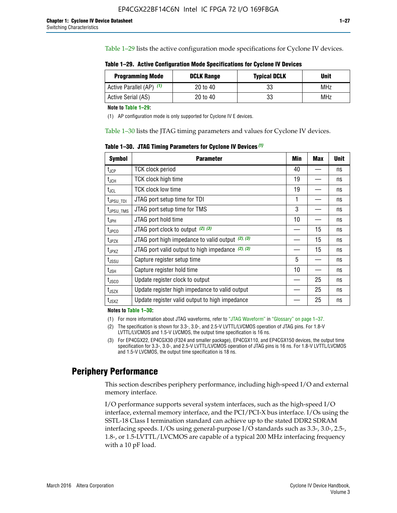Table 1–29 lists the active configuration mode specifications for Cyclone IV devices.

**Table 1–29. Active Configuration Mode Specifications for Cyclone IV Devices**

| <b>Programming Mode</b>  | <b>DCLK Range</b> | <b>Typical DCLK</b> | <b>Unit</b> |
|--------------------------|-------------------|---------------------|-------------|
| Active Parallel (AP) (1) | 20 to 40          | 33                  | MHz         |
| Active Serial (AS)       | 20 to 40          | 33                  | MHz         |

**Note to Table 1–29:**

(1) AP configuration mode is only supported for Cyclone IV E devices.

Table 1–30 lists the JTAG timing parameters and values for Cyclone IV devices.

**Table 1–30. JTAG Timing Parameters for Cyclone IV Devices** *(1)*

| Symbol                       | <b>Parameter</b>                                       | <b>Min</b> | <b>Max</b> | <b>Unit</b> |
|------------------------------|--------------------------------------------------------|------------|------------|-------------|
| t <sub>JCP</sub>             | <b>TCK clock period</b>                                | 40         |            | ns          |
| t <sub>JCH</sub>             | <b>TCK clock high time</b>                             | 19         |            | ns          |
| $t_{JCL}$                    | TCK clock low time                                     | 19         |            | ns          |
| t <sub>JPSU_TDI</sub>        | JTAG port setup time for TDI                           | 1          |            | ns          |
| t <sub>JPSU_TMS</sub>        | JTAG port setup time for TMS                           | 3          |            | ns          |
| t <sub>JPH</sub>             | JTAG port hold time                                    | 10         |            | ns          |
| t <sub>JPCO</sub>            | JTAG port clock to output $(2)$ , $(3)$                |            | 15         | ns          |
| t <sub>JPZX</sub>            | JTAG port high impedance to valid output $(2)$ , $(3)$ |            | 15         | ns          |
| t <sub>JPXZ</sub>            | JTAG port valid output to high impedance $(2)$ , $(3)$ |            | 15         | ns          |
| ${\rm t}_{\rm JSSU}$         | Capture register setup time                            | 5          |            | ns          |
| $\mathsf{t}_{\mathsf{JSH}}$  | Capture register hold time                             | 10         |            | ns          |
| $t_{\rm JSCO}$               | Update register clock to output                        |            | 25         | ns          |
| $t_{\footnotesize \rm JSZX}$ | Update register high impedance to valid output         |            | 25         | ns          |
| t <sub>JSXZ</sub>            | Update register valid output to high impedance         |            | 25         | ns          |

**Notes to Table 1–30:**

(1) For more information about JTAG waveforms, refer to "JTAG Waveform" in "Glossary" on page 1–37.

(2) The specification is shown for 3.3-, 3.0-, and 2.5-V LVTTL/LVCMOS operation of JTAG pins. For 1.8-V LVTTL/LVCMOS and 1.5-V LVCMOS, the output time specification is 16 ns.

(3) For EP4CGX22, EP4CGX30 (F324 and smaller package), EP4CGX110, and EP4CGX150 devices, the output time specification for 3.3-, 3.0-, and 2.5-V LVTTL/LVCMOS operation of JTAG pins is 16 ns. For 1.8-V LVTTL/LVCMOS and 1.5-V LVCMOS, the output time specification is 18 ns.

## **Periphery Performance**

This section describes periphery performance, including high-speed I/O and external memory interface.

I/O performance supports several system interfaces, such as the high-speed I/O interface, external memory interface, and the PCI/PCI-X bus interface. I/Os using the SSTL-18 Class I termination standard can achieve up to the stated DDR2 SDRAM interfacing speeds. I/Os using general-purpose I/O standards such as 3.3-, 3.0-, 2.5-, 1.8-, or 1.5-LVTTL/LVCMOS are capable of a typical 200 MHz interfacing frequency with a 10 pF load.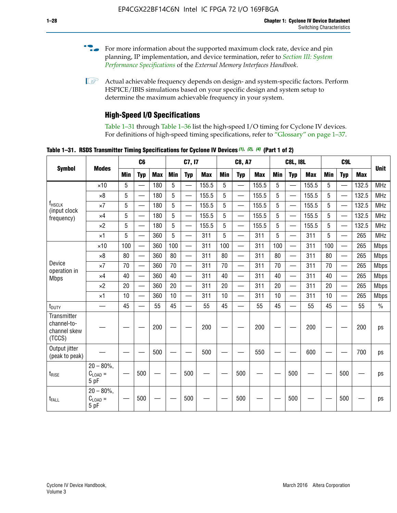- For more information about the supported maximum clock rate, device and pin planning, IP implementation, and device termination, refer to *[Section III: System](http://www.altera.com/literature/hb/external-memory/emi_intro_specs.pdf)  [Performance Specifications](http://www.altera.com/literature/hb/external-memory/emi_intro_specs.pdf)* of the *External Memory Interfaces Handbook*.
- **1 Actual achievable frequency depends on design- and system-specific factors. Perform** HSPICE/IBIS simulations based on your specific design and system setup to determine the maximum achievable frequency in your system.

## **High-Speed I/O Specifications**

Table 1–31 through Table 1–36 list the high-speed I/O timing for Cyclone IV devices. For definitions of high-speed timing specifications, refer to "Glossary" on page 1–37.

**Table 1–31. RSDS Transmitter Timing Specifications for Cyclone IV Devices** *(1)***,** *(2)***,** *(4)* **(Part 1 of 2)**

| <b>Symbol</b>                                        |                                                    |     | C <sub>6</sub>           |            |            | C7, I7                   |            |            | <b>C8, A7</b>            |            |            | <b>C8L, I8L</b>          |            |            | C <sub>9</sub> L         |            |               |
|------------------------------------------------------|----------------------------------------------------|-----|--------------------------|------------|------------|--------------------------|------------|------------|--------------------------|------------|------------|--------------------------|------------|------------|--------------------------|------------|---------------|
|                                                      | <b>Modes</b>                                       | Min | <b>Typ</b>               | <b>Max</b> | <b>Min</b> | <b>Typ</b>               | <b>Max</b> | <b>Min</b> | <b>Typ</b>               | <b>Max</b> | <b>Min</b> | <b>Typ</b>               | <b>Max</b> | <b>Min</b> | <b>Typ</b>               | <b>Max</b> | <b>Unit</b>   |
|                                                      | $\times$ 10                                        | 5   |                          | 180        | 5          |                          | 155.5      | 5          | $\overline{\phantom{0}}$ | 155.5      | 5          |                          | 155.5      | 5          |                          | 132.5      | <b>MHz</b>    |
|                                                      | $\times 8$                                         | 5   | $\overline{\phantom{0}}$ | 180        | 5          | —                        | 155.5      | 5          | $\overline{\phantom{0}}$ | 155.5      | 5          | $\overline{\phantom{0}}$ | 155.5      | 5          | $\overline{\phantom{0}}$ | 132.5      | <b>MHz</b>    |
| <b>f</b> <sub>HSCLK</sub><br>(input clock            | $\times 7$                                         | 5   | $\overline{\phantom{0}}$ | 180        | 5          | —                        | 155.5      | 5          |                          | 155.5      | 5          | —                        | 155.5      | 5          | <u>—</u>                 | 132.5      | <b>MHz</b>    |
| frequency)                                           | $\times$ 4                                         | 5   | $\equiv$                 | 180        | 5          | $\overline{\phantom{0}}$ | 155.5      | 5          |                          | 155.5      | 5          | $\equiv$                 | 155.5      | 5          |                          | 132.5      | <b>MHz</b>    |
|                                                      | $\times 2$                                         | 5   |                          | 180        | 5          | $\overline{\phantom{0}}$ | 155.5      | 5          | $\overline{\phantom{0}}$ | 155.5      | 5          | $\overline{\phantom{0}}$ | 155.5      | 5          | $\overline{\phantom{0}}$ | 132.5      | <b>MHz</b>    |
|                                                      | $\times$ 1                                         | 5   | $\overline{\phantom{0}}$ | 360        | 5          |                          | 311        | 5          | $\overline{\phantom{0}}$ | 311        | 5          | $\overline{\phantom{0}}$ | 311        | 5          |                          | 265        | <b>MHz</b>    |
|                                                      | $\times$ 10                                        | 100 | $\overline{\phantom{0}}$ | 360        | 100        |                          | 311        | 100        | $\overline{\phantom{0}}$ | 311        | 100        | $\overline{\phantom{0}}$ | 311        | 100        | $\overline{\phantom{0}}$ | 265        | <b>Mbps</b>   |
|                                                      | $\times 8$                                         | 80  |                          | 360        | 80         |                          | 311        | 80         | $\overline{\phantom{0}}$ | 311        | 80         | $\overline{\phantom{0}}$ | 311        | 80         | $\overline{\phantom{0}}$ | 265        | <b>Mbps</b>   |
| Device<br>operation in                               | $\times 7$                                         | 70  |                          | 360        | 70         |                          | 311        | 70         | $\overline{\phantom{0}}$ | 311        | 70         | $\overline{\phantom{0}}$ | 311        | 70         | $\overline{\phantom{0}}$ | 265        | <b>Mbps</b>   |
| <b>Mbps</b>                                          | $\times$ 4                                         | 40  |                          | 360        | 40         |                          | 311        | 40         | $\overline{\phantom{0}}$ | 311        | 40         |                          | 311        | 40         | $\overline{\phantom{0}}$ | 265        | <b>Mbps</b>   |
|                                                      | $\times 2$                                         | 20  |                          | 360        | 20         | $\equiv$                 | 311        | 20         | $\overline{\phantom{0}}$ | 311        | 20         |                          | 311        | 20         | $\overline{\phantom{0}}$ | 265        | <b>Mbps</b>   |
|                                                      | $\times$ 1                                         | 10  |                          | 360        | 10         |                          | 311        | 10         | $\overline{\phantom{0}}$ | 311        | 10         | $\overline{\phantom{0}}$ | 311        | 10         |                          | 265        | <b>Mbps</b>   |
| t <sub>DUTY</sub>                                    | —                                                  | 45  | $\overline{\phantom{0}}$ | 55         | 45         |                          | 55         | 45         | $\overline{\phantom{0}}$ | 55         | 45         |                          | 55         | 45         |                          | 55         | $\frac{0}{0}$ |
| Transmitter<br>channel-to-<br>channel skew<br>(TCCS) |                                                    |     |                          | 200        |            |                          | 200        |            |                          | 200        |            |                          | 200        |            |                          | 200        | ps            |
| Output jitter<br>(peak to peak)                      |                                                    |     |                          | 500        |            |                          | 500        |            |                          | 550        |            |                          | 600        |            |                          | 700        | ps            |
| $t_{RISE}$                                           | $20 - 80\%$<br>$C_{LOAD} =$<br>5 pF                |     | 500                      |            |            | 500                      |            |            | 500                      |            |            | 500                      |            |            | 500                      |            | ps            |
| t <sub>FALL</sub>                                    | $20 - 80\%$<br>$\mathrm{C}_{\text{LOAD}}=$<br>5 pF |     | 500                      |            |            | 500                      |            |            | 500                      |            |            | 500                      |            |            | 500                      |            | ps            |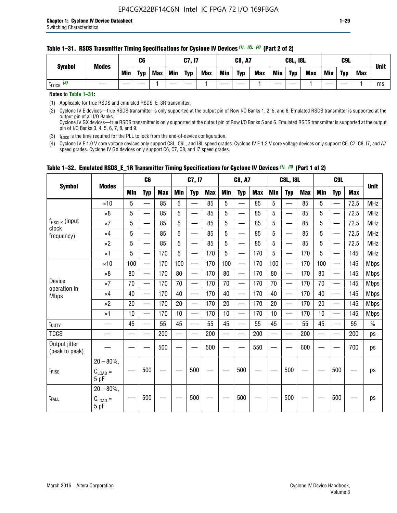#### **Table 1–31. RSDS Transmitter Timing Specifications for Cyclone IV Devices** *(1)***,** *(2)***,** *(4)* **(Part 2 of 2)**

**Notes to Table 1–31:**

(1) Applicable for true RSDS and emulated RSDS\_E\_3R transmitter.

(2) Cyclone IV E devices—true RSDS transmitter is only supported at the output pin of Row I/O Banks 1, 2, 5, and 6. Emulated RSDS transmitter is supported at the output pin of all I/O Banks. Cyclone IV GX devices—true RSDS transmitter is only supported at the output pin of Row I/O Banks 5 and 6. Emulated RSDS transmitter is supported at the output

pin of I/O Banks 3, 4, 5, 6, 7, 8, and 9.

(3)  $t_{\text{LOCK}}$  is the time required for the PLL to lock from the end-of-device configuration.

(4) Cyclone IV E 1.0 V core voltage devices only support C8L, C9L, and I8L speed grades. Cyclone IV E 1.2 V core voltage devices only support C6, C7, C8, I7, and A7 speed grades. Cyclone IV GX devices only support C6, C7, C8, and I7 speed grades.

| <b>Symbol</b>                   |                                              |     | C <sub>6</sub>           |     |            | C7, I7                   |            |            | <b>C8, A7</b>                  |            |     | <b>C8L, I8L</b>          |            |            | C <sub>9</sub> L         |            |               |
|---------------------------------|----------------------------------------------|-----|--------------------------|-----|------------|--------------------------|------------|------------|--------------------------------|------------|-----|--------------------------|------------|------------|--------------------------|------------|---------------|
|                                 | <b>Modes</b>                                 | Min | <b>Typ</b>               | Max | <b>Min</b> | <b>Typ</b>               | <b>Max</b> | <b>Min</b> | <b>Typ</b>                     | <b>Max</b> | Min | <b>Typ</b>               | <b>Max</b> | <b>Min</b> | <b>Typ</b>               | <b>Max</b> | <b>Unit</b>   |
|                                 | $\times$ 10                                  | 5   | $\overline{\phantom{0}}$ | 85  | 5          | $\overline{\phantom{0}}$ | 85         | 5          | —                              | 85         | 5   | $\overline{\phantom{0}}$ | 85         | 5          |                          | 72.5       | <b>MHz</b>    |
|                                 | $\times 8$                                   | 5   | —                        | 85  | 5          | ÷.                       | 85         | 5          | —                              | 85         | 5   | $\overline{\phantom{0}}$ | 85         | 5          | —                        | 72.5       | <b>MHz</b>    |
| f <sub>HSCLK</sub> (input       | $\times 7$                                   | 5   | —                        | 85  | 5          | $\overline{\phantom{a}}$ | 85         | 5          | $\overline{\phantom{0}}$       | 85         | 5   | $\overline{\phantom{0}}$ | 85         | 5          |                          | 72.5       | <b>MHz</b>    |
| clock<br>frequency)             | $\times$ 4                                   | 5   | $\qquad \qquad$          | 85  | 5          | $\overline{\phantom{0}}$ | 85         | 5          | $\overline{\phantom{0}}$       | 85         | 5   | $\overline{\phantom{0}}$ | 85         | 5          |                          | 72.5       | <b>MHz</b>    |
|                                 | $\times 2$                                   | 5   | $\qquad \qquad$          | 85  | 5          | $\overline{\phantom{a}}$ | 85         | 5          | $\qquad \qquad$                | 85         | 5   | $\qquad \qquad$          | 85         | 5          | $\overline{\phantom{0}}$ | 72.5       | <b>MHz</b>    |
|                                 | $\times$ 1                                   | 5   | $\overline{\phantom{0}}$ | 170 | 5          |                          | 170        | 5          | $\overline{\phantom{0}}$       | 170        | 5   | $\overline{\phantom{0}}$ | 170        | 5          |                          | 145        | <b>MHz</b>    |
|                                 | $\times$ 10                                  | 100 | $\overline{\phantom{0}}$ | 170 | 100        | <u>in a</u>              | 170        | 100        | $\overline{\phantom{0}}$       | 170        | 100 |                          | 170        | 100        | $\qquad \qquad$          | 145        | <b>Mbps</b>   |
|                                 | $\times 8$                                   | 80  | $\overline{\phantom{0}}$ | 170 | 80         |                          | 170        | 80         | $\overline{\phantom{0}}$       | 170        | 80  |                          | 170        | 80         |                          | 145        | <b>Mbps</b>   |
| Device                          | $\times 7$                                   | 70  | $\qquad \qquad$          | 170 | 70         | $\overline{\phantom{0}}$ | 170        | 70         | $\qquad \qquad \longleftarrow$ | 170        | 70  | $\qquad \qquad$          | 170        | 70         |                          | 145        | <b>Mbps</b>   |
| operation in<br><b>Mbps</b>     | $\times$ 4                                   | 40  | $\qquad \qquad$          | 170 | 40         | —                        | 170        | 40         | $\overline{\phantom{0}}$       | 170        | 40  | $\overline{\phantom{0}}$ | 170        | 40         | —                        | 145        | <b>Mbps</b>   |
|                                 | $\times 2$                                   | 20  | $\overline{\phantom{0}}$ | 170 | 20         | $\overline{\phantom{0}}$ | 170        | 20         | $\overline{\phantom{0}}$       | 170        | 20  | $\overline{\phantom{0}}$ | 170        | 20         |                          | 145        | <b>Mbps</b>   |
|                                 | $\times$ 1                                   | 10  | $\overline{\phantom{0}}$ | 170 | 10         | $\overline{\phantom{0}}$ | 170        | 10         | $\overline{\phantom{0}}$       | 170        | 10  | $\overline{\phantom{0}}$ | 170        | 10         |                          | 145        | <b>Mbps</b>   |
| t <sub>DUTY</sub>               |                                              | 45  | $\overline{\phantom{0}}$ | 55  | 45         | $\sim$                   | 55         | 45         | —                              | 55         | 45  | $\overline{\phantom{0}}$ | 55         | 45         |                          | 55         | $\frac{0}{0}$ |
| <b>TCCS</b>                     |                                              |     |                          | 200 |            |                          | 200        | $\sim$     |                                | 200        |     | $\overline{\phantom{0}}$ | 200        |            |                          | 200        | ps            |
| Output jitter<br>(peak to peak) |                                              |     |                          | 500 |            |                          | 500        |            |                                | 550        |     |                          | 600        |            |                          | 700        | ps            |
| $t_{\text{RISE}}$               | $20 - 80\%$<br>$C_{LOAD} =$<br>5 pF          |     | 500                      |     |            | 500                      |            |            | 500                            |            |     | 500                      |            |            | 500                      |            | ps            |
| t <sub>FALL</sub>               | $20 - 80\%$ ,<br>$C_{\text{LOAD}} =$<br>5 pF |     | 500                      |     |            | 500                      |            |            | 500                            |            |     | 500                      |            |            | 500                      |            | ps            |

## **Table 1–32. Emulated RSDS\_E\_1R Transmitter Timing Specifications for Cyclone IV Devices** *(1), (3)* **(Part 1 of 2)**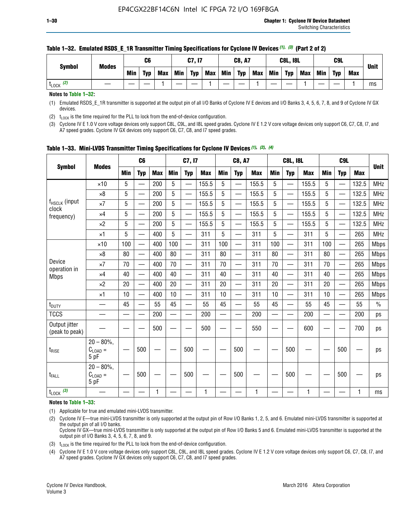| <b>Symbol</b>        | <b>Modes</b> |            | C6         |            |            | C7, I7     |            |     | <b>C8, A7</b> |            |            | <b>C8L, I8L</b> |            |     | C9L        |            | <b>Unit</b> |
|----------------------|--------------|------------|------------|------------|------------|------------|------------|-----|---------------|------------|------------|-----------------|------------|-----|------------|------------|-------------|
|                      |              | <b>Min</b> | <b>Typ</b> | <b>Max</b> | <b>Min</b> | <b>Typ</b> | <b>Max</b> | Min | <b>Typ</b>    | <b>Max</b> | <b>Min</b> | <b>Typ</b>      | <b>Max</b> | Min | <b>Typ</b> | <b>Max</b> |             |
| (2)<br><b>L</b> LOCK |              |            |            |            |            |            |            |     |               |            |            |                 |            |     |            |            | ms          |

#### **Table 1–32. Emulated RSDS\_E\_1R Transmitter Timing Specifications for Cyclone IV Devices** *(1), (3)* **(Part 2 of 2)**

**Notes to Table 1–32:**

(1) Emulated RSDS\_E\_1R transmitter is supported at the output pin of all I/O Banks of Cyclone IV E devices and I/O Banks 3, 4, 5, 6, 7, 8, and 9 of Cyclone IV GX devices.

(2)  $t_{\text{LOCK}}$  is the time required for the PLL to lock from the end-of-device configuration.

(3) Cyclone IV E 1.0 V core voltage devices only support C8L, C9L, and I8L speed grades. Cyclone IV E 1.2 V core voltage devices only support C6, C7, C8, I7, and A7 speed grades. Cyclone IV GX devices only support C6, C7, C8, and I7 speed grades.

| <b>Symbol</b>                   |                                           |            | C <sub>6</sub>           |            |                          | C7, I7                   |            |            | <b>C8, A7</b>            |              |            | <b>C8L, I8L</b>          |            |            | C <sub>9</sub> L         |            | <b>Unit</b> |
|---------------------------------|-------------------------------------------|------------|--------------------------|------------|--------------------------|--------------------------|------------|------------|--------------------------|--------------|------------|--------------------------|------------|------------|--------------------------|------------|-------------|
|                                 | <b>Modes</b>                              | <b>Min</b> | <b>Typ</b>               | <b>Max</b> | <b>Min</b>               | <b>Typ</b>               | <b>Max</b> | <b>Min</b> | <b>Typ</b>               | <b>Max</b>   | <b>Min</b> | <b>Typ</b>               | <b>Max</b> | <b>Min</b> | <b>Typ</b>               | <b>Max</b> |             |
|                                 | $\times$ 10                               | 5          |                          | 200        | 5                        | —                        | 155.5      | 5          | $\overline{\phantom{0}}$ | 155.5        | 5          | $\overline{\phantom{0}}$ | 155.5      | 5          | $\overline{\phantom{0}}$ | 132.5      | <b>MHz</b>  |
|                                 | $\times 8$                                | 5          | $\qquad \qquad$          | 200        | 5                        | $\overline{\phantom{0}}$ | 155.5      | 5          | —                        | 155.5        | 5          |                          | 155.5      | 5          |                          | 132.5      | <b>MHz</b>  |
| f <sub>HSCLK</sub> (input       | $\times 7$                                | 5          | $\qquad \qquad$          | 200        | 5                        | ÷,                       | 155.5      | 5          | —                        | 155.5        | 5          |                          | 155.5      | 5          |                          | 132.5      | <b>MHz</b>  |
| clock<br>frequency)             | $\times$ 4                                | 5          | $\overline{\phantom{0}}$ | 200        | 5                        | —                        | 155.5      | 5          | $\overline{\phantom{0}}$ | 155.5        | 5          |                          | 155.5      | 5          | $\overline{\phantom{0}}$ | 132.5      | <b>MHz</b>  |
|                                 | $\times 2$                                | 5          | $\overline{\phantom{0}}$ | 200        | 5                        | $\overline{\phantom{0}}$ | 155.5      | 5          | $\overline{\phantom{0}}$ | 155.5        | 5          | $\overline{\phantom{0}}$ | 155.5      | 5          |                          | 132.5      | <b>MHz</b>  |
|                                 | $\times$ 1                                | 5          | $\overline{\phantom{0}}$ | 400        | 5                        |                          | 311        | 5          | —                        | 311          | 5          | $\overline{\phantom{0}}$ | 311        | 5          |                          | 265        | <b>MHz</b>  |
|                                 | $\times$ 10                               | 100        |                          | 400        | 100                      | $\overline{\phantom{0}}$ | 311        | 100        | $\overline{\phantom{0}}$ | 311          | 100        | $\overline{\phantom{0}}$ | 311        | 100        |                          | 265        | <b>Mbps</b> |
|                                 | $\times 8$                                | 80         | $\overline{\phantom{0}}$ | 400        | 80                       | $\overline{\phantom{0}}$ | 311        | 80         | $\overline{\phantom{0}}$ | 311          | 80         | $\overline{\phantom{0}}$ | 311        | 80         |                          | 265        | <b>Mbps</b> |
| Device                          | $\times 7$                                | 70         |                          | 400        | 70                       |                          | 311        | 70         | $\overline{\phantom{0}}$ | 311          | 70         |                          | 311        | 70         |                          | 265        | <b>Mbps</b> |
| operation in<br><b>Mbps</b>     | $\times 4$                                | 40         | $\overline{\phantom{0}}$ | 400        | 40                       |                          | 311        | 40         | $\overline{\phantom{0}}$ | 311          | 40         | —                        | 311        | 40         |                          | 265        | <b>Mbps</b> |
|                                 | $\times 2$                                | 20         |                          | 400        | 20                       | —                        | 311        | 20         | $\overline{\phantom{0}}$ | 311          | 20         | $\overline{\phantom{0}}$ | 311        | 20         |                          | 265        | <b>Mbps</b> |
|                                 | ×1                                        | 10         | $\overline{\phantom{0}}$ | 400        | 10                       |                          | 311        | 10         | $\overline{\phantom{0}}$ | 311          | 10         | —                        | 311        | 10         |                          | 265        | <b>Mbps</b> |
| t <sub>DUTY</sub>               |                                           | 45         |                          | 55         | 45                       | $\overline{\phantom{0}}$ | 55         | 45         | $\overline{\phantom{0}}$ | 55           | 45         | $\overline{\phantom{0}}$ | 55         | 45         |                          | 55         | $\%$        |
| <b>TCCS</b>                     |                                           |            |                          | 200        | $\overline{\phantom{0}}$ |                          | 200        |            |                          | 200          | —          |                          | 200        |            |                          | 200        | ps          |
| Output jitter<br>(peak to peak) |                                           |            |                          | 500        |                          |                          | 500        |            |                          | 550          |            |                          | 600        |            |                          | 700        | ps          |
| $t_{\sf RISE}$                  | $20 - 80\%$ ,<br>$C_{LOAD} =$<br>5 pF     |            | 500                      |            |                          | 500                      |            |            | 500                      |              |            | 500                      |            |            | 500                      |            | ps          |
| t <sub>FALL</sub>               | $20 - 80\%$<br>$\rm C_{LOAD}$ $=$<br>5 pF |            | 500                      |            |                          | 500                      |            |            | 500                      |              |            | 500                      |            |            | 500                      |            | ps          |
| $t_{\text{LOCK}}$ (3)           |                                           |            |                          | 1          |                          |                          | 1          |            |                          | $\mathbf{1}$ |            |                          | 1          |            |                          | 1          | ms          |

**Table 1–33. Mini-LVDS Transmitter Timing Specifications for Cyclone IV Devices** *(1)***,** *(2)***,** *(4)*

**Notes to Table 1–33:**

(1) Applicable for true and emulated mini-LVDS transmitter.

(2) Cyclone IV E—true mini-LVDS transmitter is only supported at the output pin of Row I/O Banks 1, 2, 5, and 6. Emulated mini-LVDS transmitter is supported at the output pin of all I/O banks.

Cyclone IV GX—true mini-LVDS transmitter is only supported at the output pin of Row I/O Banks 5 and 6. Emulated mini-LVDS transmitter is supported at the output pin of I/O Banks 3, 4, 5, 6, 7, 8, and 9.

(3)  $t_{\text{LOCK}}$  is the time required for the PLL to lock from the end-of-device configuration.

(4) Cyclone IV E 1.0 V core voltage devices only support C8L, C9L, and I8L speed grades. Cyclone IV E 1.2 V core voltage devices only support C6, C7, C8, I7, and A7 speed grades. Cyclone IV GX devices only support C6, C7, C8, and I7 speed grades.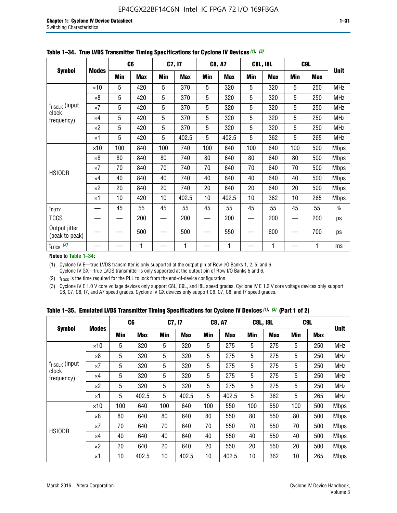|                                 |              |     | C <sub>6</sub> |     | C7, I7     |            | <b>C8, A7</b> |            | <b>C8L, I8L</b> |            | C <sub>9</sub> L |               |
|---------------------------------|--------------|-----|----------------|-----|------------|------------|---------------|------------|-----------------|------------|------------------|---------------|
| <b>Symbol</b>                   | <b>Modes</b> | Min | <b>Max</b>     | Min | <b>Max</b> | <b>Min</b> | <b>Max</b>    | <b>Min</b> | <b>Max</b>      | <b>Min</b> | <b>Max</b>       | <b>Unit</b>   |
|                                 | $\times$ 10  | 5   | 420            | 5   | 370        | 5          | 320           | 5          | 320             | 5          | 250              | <b>MHz</b>    |
|                                 | $\times 8$   | 5   | 420            | 5   | 370        | 5          | 320           | 5          | 320             | 5          | 250              | <b>MHz</b>    |
| f <sub>HSCLK</sub> (input       | $\times 7$   | 5   | 420            | 5   | 370        | 5          | 320           | 5          | 320             | 5          | 250              | <b>MHz</b>    |
| clock<br>frequency)             | $\times 4$   | 5   | 420            | 5   | 370        | 5          | 320           | 5          | 320             | 5          | 250              | MHz           |
|                                 | $\times 2$   | 5   | 420            | 5   | 370        | 5          | 320           | 5          | 320             | 5          | 250              | <b>MHz</b>    |
|                                 | $\times$ 1   | 5   | 420            | 5   | 402.5      | 5          | 402.5         | 5          | 362             | 5          | 265              | <b>MHz</b>    |
|                                 | $\times$ 10  | 100 | 840            | 100 | 740        | 100        | 640           | 100        | 640             | 100        | 500              | <b>Mbps</b>   |
|                                 | $\times 8$   | 80  | 840            | 80  | 740        | 80         | 640           | 80         | 640             | 80         | 500              | Mbps          |
| <b>HSIODR</b>                   | $\times 7$   | 70  | 840            | 70  | 740        | 70         | 640           | 70         | 640             | 70         | 500              | <b>Mbps</b>   |
|                                 | $\times 4$   | 40  | 840            | 40  | 740        | 40         | 640           | 40         | 640             | 40         | 500              | <b>Mbps</b>   |
|                                 | $\times 2$   | 20  | 840            | 20  | 740        | 20         | 640           | 20         | 640             | 20         | 500              | <b>Mbps</b>   |
|                                 | $\times$ 1   | 10  | 420            | 10  | 402.5      | 10         | 402.5         | 10         | 362             | 10         | 265              | <b>Mbps</b>   |
| t <sub>DUTY</sub>               |              | 45  | 55             | 45  | 55         | 45         | 55            | 45         | 55              | 45         | 55               | $\frac{0}{0}$ |
| <b>TCCS</b>                     |              |     | 200            |     | 200        |            | 200           |            | 200             |            | 200              | ps            |
| Output jitter<br>(peak to peak) |              |     | 500            |     | 500        |            | 550           |            | 600             |            | 700              | ps            |
| $t_{\text{LOCK}}$ (2)           |              |     | 1              |     | 1          |            | 1             |            | 1               |            | 1                | ms            |

**Table 1–34. True LVDS Transmitter Timing Specifications for Cyclone IV Devices** *(1)***,** *(3)*

**Notes to Table 1–34:**

(1) Cyclone IV E—true LVDS transmitter is only supported at the output pin of Row I/O Banks 1, 2, 5, and 6. Cyclone IV GX—true LVDS transmitter is only supported at the output pin of Row I/O Banks 5 and 6.

(2)  $t_{\text{LOCK}}$  is the time required for the PLL to lock from the end-of-device configuration.

(3) Cyclone IV E 1.0 V core voltage devices only support C8L, C9L, and I8L speed grades. Cyclone IV E 1.2 V core voltage devices only support C6, C7, C8, I7, and A7 speed grades. Cyclone IV GX devices only support C6, C7, C8, and I7 speed grades.

|  |  |  |  |  |  | Table 1–35. Emulated LVDS Transmitter Timing Specifications for Cyclone IV Devices <sup>(1),</sup> <sup>(3)</sup> (Part 1 of 2) |  |  |
|--|--|--|--|--|--|---------------------------------------------------------------------------------------------------------------------------------|--|--|
|--|--|--|--|--|--|---------------------------------------------------------------------------------------------------------------------------------|--|--|

|                             |              | C <sub>6</sub> |            | C7, I7     |            | <b>C8, A7</b> |            | <b>C8L, I8L</b> |            | C <sub>9L</sub> |            |             |
|-----------------------------|--------------|----------------|------------|------------|------------|---------------|------------|-----------------|------------|-----------------|------------|-------------|
| <b>Symbol</b>               | <b>Modes</b> | Min            | <b>Max</b> | <b>Min</b> | <b>Max</b> | <b>Min</b>    | <b>Max</b> | <b>Min</b>      | <b>Max</b> | <b>Min</b>      | <b>Max</b> | <b>Unit</b> |
|                             | $\times$ 10  | 5              | 320        | 5          | 320        | 5             | 275        | 5               | 275        | 5               | 250        | <b>MHz</b>  |
|                             | $\times 8$   | 5              | 320        | 5          | 320        | 5             | 275        | 5               | 275        | 5               | 250        | <b>MHz</b>  |
| $f_{HSCLK}$ (input<br>clock | $\times 7$   | 5              | 320        | 5          | 320        | 5             | 275        | 5               | 275        | 5               | 250        | <b>MHz</b>  |
| frequency)                  | $\times$ 4   | 5              | 320        | 5          | 320        | 5             | 275        | 5               | 275        | 5               | 250        | <b>MHz</b>  |
|                             | $\times 2$   | 5              | 320        | 5          | 320        | 5             | 275        | 5               | 275        | 5               | 250        | <b>MHz</b>  |
|                             | $\times$ 1   | 5              | 402.5      | 5          | 402.5      | 5             | 402.5      | 5               | 362        | 5               | 265        | <b>MHz</b>  |
|                             | $\times$ 10  | 100            | 640        | 100        | 640        | 100           | 550        | 100             | 550        | 100             | 500        | <b>Mbps</b> |
|                             | $\times 8$   | 80             | 640        | 80         | 640        | 80            | 550        | 80              | 550        | 80              | 500        | <b>Mbps</b> |
| <b>HSIODR</b>               | $\times 7$   | 70             | 640        | 70         | 640        | 70            | 550        | 70              | 550        | 70              | 500        | <b>Mbps</b> |
|                             | $\times$ 4   | 40             | 640        | 40         | 640        | 40            | 550        | 40              | 550        | 40              | 500        | <b>Mbps</b> |
|                             | $\times 2$   | 20             | 640        | 20         | 640        | 20            | 550        | 20              | 550        | 20              | 500        | <b>Mbps</b> |
|                             | ×1           | 10             | 402.5      | 10         | 402.5      | 10            | 402.5      | 10              | 362        | 10              | 265        | <b>Mbps</b> |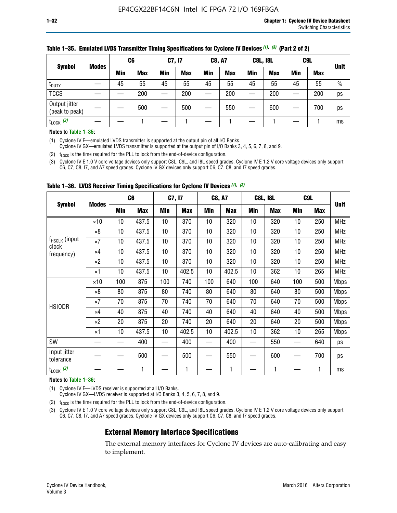|                                 |              | C6  |            | <b>C7, I7</b> |            | <b>C8, A7</b> |            | <b>C8L, I8L</b> |            |     | C9L        |               |
|---------------------------------|--------------|-----|------------|---------------|------------|---------------|------------|-----------------|------------|-----|------------|---------------|
| <b>Symbol</b>                   | <b>Modes</b> | Min | <b>Max</b> | Min           | <b>Max</b> | Min           | <b>Max</b> | Min             | <b>Max</b> | Min | <b>Max</b> | <b>Unit</b>   |
| t <sub>DUTY</sub>               |              | 45  | 55         | 45            | 55         | 45            | 55         | 45              | 55         | 45  | 55         | $\frac{0}{0}$ |
| <b>TCCS</b>                     |              |     | 200        |               | 200        | __            | 200        |                 | 200        | __  | 200        | ps            |
| Output jitter<br>(peak to peak) |              |     | 500        |               | 500        |               | 550        |                 | 600        | —   | 700        | ps            |
| $t_{\text{LOCK}}$ (2)           |              |     |            |               |            |               |            |                 |            |     |            | ms            |

#### **Table 1–35. Emulated LVDS Transmitter Timing Specifications for Cyclone IV Devices** *(1)***,** *(3)* **(Part 2 of 2)**

#### **Notes to Table 1–35:**

(1) Cyclone IV E—emulated LVDS transmitter is supported at the output pin of all I/O Banks.

Cyclone IV GX—emulated LVDS transmitter is supported at the output pin of I/O Banks 3, 4, 5, 6, 7, 8, and 9.

(2)  $t_{\text{LOCK}}$  is the time required for the PLL to lock from the end-of-device configuration.

(3) Cyclone IV E 1.0 V core voltage devices only support C8L, C9L, and I8L speed grades. Cyclone IV E 1.2 V core voltage devices only support C6, C7, C8, I7, and A7 speed grades. Cyclone IV GX devices only support C6, C7, C8, and I7 speed grades.

|                                    |              | C <sub>6</sub> |            | C7, I7     |            | <b>C8, A7</b> |            | <b>C8L, I8L</b> |            | C <sub>9</sub> L |            |             |
|------------------------------------|--------------|----------------|------------|------------|------------|---------------|------------|-----------------|------------|------------------|------------|-------------|
| <b>Symbol</b>                      | <b>Modes</b> | Min            | <b>Max</b> | <b>Min</b> | <b>Max</b> | Min           | <b>Max</b> | Min             | <b>Max</b> | Min              | <b>Max</b> | <b>Unit</b> |
|                                    | $\times$ 10  | 10             | 437.5      | 10         | 370        | 10            | 320        | 10              | 320        | 10               | 250        | <b>MHz</b>  |
|                                    | $\times 8$   | 10             | 437.5      | 10         | 370        | 10            | 320        | 10              | 320        | 10               | 250        | <b>MHz</b>  |
| f <sub>HSCLK</sub> (input<br>clock | $\times 7$   | 10             | 437.5      | 10         | 370        | 10            | 320        | 10              | 320        | 10               | 250        | <b>MHz</b>  |
| frequency)                         | ×4           | 10             | 437.5      | 10         | 370        | 10            | 320        | 10              | 320        | 10               | 250        | <b>MHz</b>  |
|                                    | $\times 2$   | 10             | 437.5      | 10         | 370        | 10            | 320        | 10              | 320        | 10               | 250        | <b>MHz</b>  |
|                                    | ×1           | 10             | 437.5      | 10         | 402.5      | 10            | 402.5      | 10              | 362        | 10               | 265        | <b>MHz</b>  |
|                                    | $\times$ 10  | 100            | 875        | 100        | 740        | 100           | 640        | 100             | 640        | 100              | 500        | <b>Mbps</b> |
|                                    | $\times 8$   | 80             | 875        | 80         | 740        | 80            | 640        | 80              | 640        | 80               | 500        | <b>Mbps</b> |
| <b>HSIODR</b>                      | $\times 7$   | 70             | 875        | 70         | 740        | 70            | 640        | 70              | 640        | 70               | 500        | <b>Mbps</b> |
|                                    | $\times 4$   | 40             | 875        | 40         | 740        | 40            | 640        | 40              | 640        | 40               | 500        | <b>Mbps</b> |
|                                    | $\times 2$   | 20             | 875        | 20         | 740        | 20            | 640        | 20              | 640        | 20               | 500        | <b>Mbps</b> |
|                                    | ×1           | 10             | 437.5      | 10         | 402.5      | 10            | 402.5      | 10              | 362        | 10               | 265        | <b>Mbps</b> |
| SW                                 |              |                | 400        |            | 400        |               | 400        |                 | 550        | —                | 640        | ps          |
| Input jitter<br>tolerance          |              |                | 500        |            | 500        |               | 550        |                 | 600        |                  | 700        | ps          |
| $t_{\text{LOCK}}$ (2)              |              |                | 1          |            | 1          |               | 1          |                 | 1          |                  | 1          | ms          |

**Table 1–36. LVDS Receiver Timing Specifications for Cyclone IV Devices** *(1)***,** *(3)*

#### **Notes to Table 1–36:**

(1) Cyclone IV E—LVDS receiver is supported at all I/O Banks.

Cyclone IV GX—LVDS receiver is supported at I/O Banks 3, 4, 5, 6, 7, 8, and 9.

(2)  $t_{\text{LOCK}}$  is the time required for the PLL to lock from the end-of-device configuration.

(3) Cyclone IV E 1.0 V core voltage devices only support C8L, C9L, and I8L speed grades. Cyclone IV E 1.2 V core voltage devices only support C6, C7, C8, I7, and A7 speed grades. Cyclone IV GX devices only support C6, C7, C8, and I7 speed grades.

## **External Memory Interface Specifications**

The external memory interfaces for Cyclone IV devices are auto-calibrating and easy to implement.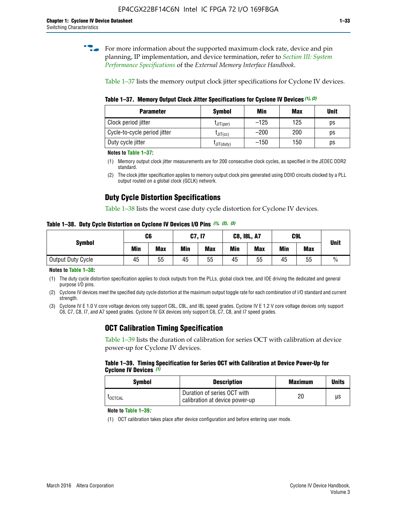**for more information about the supported maximum clock rate, device and pin** planning, IP implementation, and device termination, refer to *[Section III: System](http://www.altera.com/literature/hb/external-memory/emi_intro_specs.pdf)  [Performance Specifications](http://www.altera.com/literature/hb/external-memory/emi_intro_specs.pdf)* of the *External Memory Interface Handbook*.

Table 1–37 lists the memory output clock jitter specifications for Cyclone IV devices.

**Table 1–37. Memory Output Clock Jitter Specifications for Cyclone IV Devices** *(1)***,** *(2)*

| <b>Parameter</b>             | <b>Symbol</b>  | Min    | <b>Max</b> | <b>Unit</b> |
|------------------------------|----------------|--------|------------|-------------|
| Clock period jitter          | $L$ JIT(per)   | $-125$ | 125        | ps          |
| Cycle-to-cycle period jitter | $L$ JIT $(cc)$ | $-200$ | 200        | ps          |
| Duty cycle jitter            | LJIT(duty)     | $-150$ | 150        | рs          |

**Notes to Table 1–37:**

(1) Memory output clock jitter measurements are for 200 consecutive clock cycles, as specified in the JEDEC DDR2 standard.

(2) The clock jitter specification applies to memory output clock pins generated using DDIO circuits clocked by a PLL output routed on a global clock (GCLK) network.

## **Duty Cycle Distortion Specifications**

Table 1–38 lists the worst case duty cycle distortion for Cyclone IV devices.

**Table 1–38. Duty Cycle Distortion on Cyclone IV Devices I/O Pins** *(1)***,** *(2), (3)*

| <b>Symbol</b>     | C6         |            |     | <b>C7, I7</b> | <b>C8, I8L, A7</b> |            |     | C9L        | <b>Unit</b>   |
|-------------------|------------|------------|-----|---------------|--------------------|------------|-----|------------|---------------|
|                   | <b>Min</b> | <b>Max</b> | Min | <b>Max</b>    | Min                | <b>Max</b> | Min | <b>Max</b> |               |
| Output Duty Cycle | 45         | 55         | 45  | 55            | 45                 | 55         | 45  | 55         | $\frac{0}{0}$ |

**Notes to Table 1–38:**

(1) The duty cycle distortion specification applies to clock outputs from the PLLs, global clock tree, and IOE driving the dedicated and general purpose I/O pins.

(2) Cyclone IV devices meet the specified duty cycle distortion at the maximum output toggle rate for each combination of I/O standard and current strength.

(3) Cyclone IV E 1.0 V core voltage devices only support C8L, C9L, and I8L speed grades. Cyclone IV E 1.2 V core voltage devices only support C6, C7, C8, I7, and A7 speed grades. Cyclone IV GX devices only support C6, C7, C8, and I7 speed grades.

## **OCT Calibration Timing Specification**

Table 1–39 lists the duration of calibration for series OCT with calibration at device power-up for Cyclone IV devices.

#### **Table 1–39. Timing Specification for Series OCT with Calibration at Device Power-Up for Cyclone IV Devices** *(1)*

| Symbol  | <b>Description</b>                                            | <b>Maximum</b> | <b>Units</b> |
|---------|---------------------------------------------------------------|----------------|--------------|
| LOCTCAL | Duration of series OCT with<br>calibration at device power-up | 20             | μs           |

#### **Note to Table 1–39***:*

(1) OCT calibration takes place after device configuration and before entering user mode.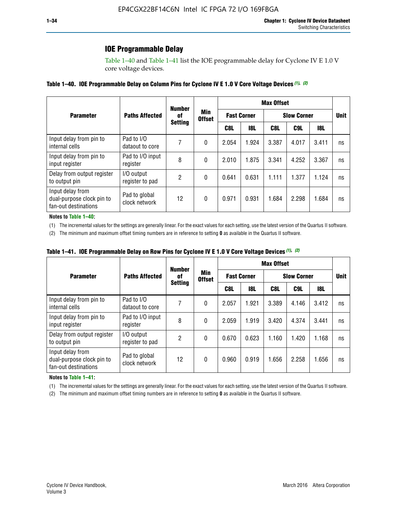## **IOE Programmable Delay**

Table 1–40 and Table 1–41 list the IOE programmable delay for Cyclone IV E 1.0 V core voltage devices.

#### **Table 1–40. IOE Programmable Delay on Column Pins for Cyclone IV E 1.0 V Core Voltage Devices** *(1)***,** *(2)*

|                                                                       |                                | <b>Number</b>  |                      |                    |            | <b>Max Offset</b> |                    |       |             |  |
|-----------------------------------------------------------------------|--------------------------------|----------------|----------------------|--------------------|------------|-------------------|--------------------|-------|-------------|--|
| <b>Parameter</b>                                                      | <b>Paths Affected</b>          | 0f             | Min<br><b>Offset</b> | <b>Fast Corner</b> |            |                   | <b>Slow Corner</b> |       | <b>Unit</b> |  |
|                                                                       |                                | <b>Setting</b> |                      | C8L                | <b>18L</b> | C8L               | C9L                | 18L   |             |  |
| Input delay from pin to<br>internal cells                             | Pad to I/O<br>dataout to core  |                | 0                    | 2.054              | 1.924      | 3.387             | 4.017              | 3.411 | ns          |  |
| Input delay from pin to<br>input register                             | Pad to I/O input<br>register   | 8              | 0                    | 2.010              | 1.875      | 3.341             | 4.252              | 3.367 | ns          |  |
| Delay from output register<br>to output pin                           | I/O output<br>register to pad  | 2              | 0                    | 0.641              | 0.631      | 1.111             | 1.377              | 1.124 | ns          |  |
| Input delay from<br>dual-purpose clock pin to<br>fan-out destinations | Pad to global<br>clock network | 12             | 0                    | 0.971              | 0.931      | 1.684             | 2.298              | 1.684 | ns          |  |

#### **Notes to Table 1–40:**

(1) The incremental values for the settings are generally linear. For the exact values for each setting, use the latest version of the Quartus II software.

(2) The minimum and maximum offset timing numbers are in reference to setting **0** as available in the Quartus II software.

| Table 1–41. IOE Programmable Delay on Row Pins for Cyclone IV E 1.0 V Core Voltage Devices (1), (2) |  |  |
|-----------------------------------------------------------------------------------------------------|--|--|
|-----------------------------------------------------------------------------------------------------|--|--|

|                                                                       |                                | <b>Number</b>  |                      |       |                    | <b>Max Offset</b> |                    |       |             |  |
|-----------------------------------------------------------------------|--------------------------------|----------------|----------------------|-------|--------------------|-------------------|--------------------|-------|-------------|--|
| <b>Parameter</b>                                                      | <b>Paths Affected</b>          | 0f             | Min<br><b>Offset</b> |       | <b>Fast Corner</b> |                   | <b>Slow Corner</b> |       | <b>Unit</b> |  |
|                                                                       |                                | <b>Setting</b> |                      | C8L   | <b>18L</b>         | C8L               | C9L                | 18L   |             |  |
| Input delay from pin to<br>internal cells                             | Pad to I/O<br>dataout to core  |                | 0                    | 2.057 | 1.921              | 3.389             | 4.146              | 3.412 | ns          |  |
| Input delay from pin to<br>input register                             | Pad to I/O input<br>register   | 8              | 0                    | 2.059 | 1.919              | 3.420             | 4.374              | 3.441 | ns          |  |
| Delay from output register<br>to output pin                           | I/O output<br>register to pad  | 2              | 0                    | 0.670 | 0.623              | 1.160             | 1.420              | 1.168 | ns          |  |
| Input delay from<br>dual-purpose clock pin to<br>fan-out destinations | Pad to global<br>clock network | 12             | 0                    | 0.960 | 0.919              | 1.656             | 2.258              | 1.656 | ns          |  |

#### **Notes to Table 1–41:**

(1) The incremental values for the settings are generally linear. For the exact values for each setting, use the latest version of the Quartus II software.

(2) The minimum and maximum offset timing numbers are in reference to setting **0** as available in the Quartus II software.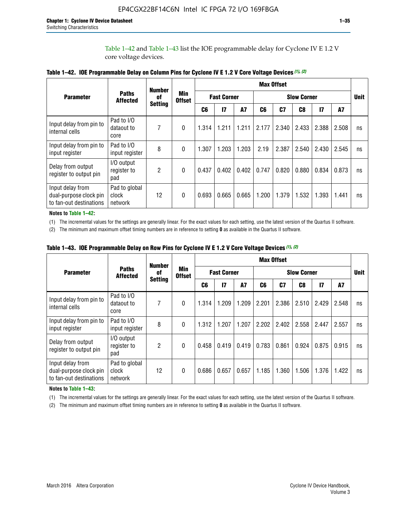Table 1–42 and Table 1–43 list the IOE programmable delay for Cyclone IV E 1.2 V core voltage devices.

|                                                                       |                                   | <b>Number</b>  |                      |                |                    |           |                    | <b>Max Offset</b> |                |               |       |             |
|-----------------------------------------------------------------------|-----------------------------------|----------------|----------------------|----------------|--------------------|-----------|--------------------|-------------------|----------------|---------------|-------|-------------|
| <b>Parameter</b>                                                      | <b>Paths</b><br><b>Affected</b>   | of             | Min<br><b>Offset</b> |                | <b>Fast Corner</b> |           | <b>Slow Corner</b> |                   |                |               |       | <b>Unit</b> |
|                                                                       |                                   | <b>Setting</b> |                      | C <sub>6</sub> | 17                 | <b>A7</b> | C6                 | C <sub>7</sub>    | C <sub>8</sub> | $\mathsf{I}7$ | A7    |             |
| Input delay from pin to<br>internal cells                             | Pad to I/O<br>dataout to<br>core  | 7              | 0                    | 1.314          | 1.211              | 1.211     | 2.177              | 2.340             | 2.433          | 2.388         | 2.508 | ns          |
| Input delay from pin to<br>input register                             | Pad to I/O<br>input register      | 8              | $\theta$             | 1.307          | 1.203              | 1.203     | 2.19               | 2.387             | 2.540          | 2.430         | 2.545 | ns          |
| Delay from output<br>register to output pin                           | I/O output<br>register to<br>pad  | $\overline{2}$ | 0                    | 0.437          | 0.402              | 0.402     | 0.747              | 0.820             | 0.880          | 0.834         | 0.873 | ns          |
| Input delay from<br>dual-purpose clock pin<br>to fan-out destinations | Pad to global<br>clock<br>network | 12             | 0                    | 0.693          | 0.665              | 0.665     | 1.200              | 1.379             | 1.532          | 1.393         | 1.441 | ns          |

**Table 1–42. IOE Programmable Delay on Column Pins for Cyclone IV E 1.2 V Core Voltage Devices** *(1)***,** *(2)*

**Notes to Table 1–42:**

(1) The incremental values for the settings are generally linear. For the exact values for each setting, use the latest version of the Quartus II software.

(2) The minimum and maximum offset timing numbers are in reference to setting **0** as available in the Quartus II software.

|                                                                       |                                   | <b>Number</b>  |                             |       |                    |           |                    | <b>Max Offset</b> |       |               |       |             |
|-----------------------------------------------------------------------|-----------------------------------|----------------|-----------------------------|-------|--------------------|-----------|--------------------|-------------------|-------|---------------|-------|-------------|
| <b>Parameter</b>                                                      | <b>Paths</b><br><b>Affected</b>   | of             | <b>Min</b><br><b>Offset</b> |       | <b>Fast Corner</b> |           | <b>Slow Corner</b> |                   |       |               |       | <b>Unit</b> |
|                                                                       |                                   | <b>Setting</b> |                             | C6    | $\mathbf{I}$       | <b>A7</b> | C6                 | C7                | C8    | $\mathsf{I}7$ | A7    |             |
| Input delay from pin to<br>internal cells                             | Pad to I/O<br>dataout to<br>core  | 7              | $\Omega$                    | 1.314 | 1.209              | 1.209     | 2.201              | 2.386             | 2.510 | 2.429         | 2.548 | ns          |
| Input delay from pin to<br>input register                             | Pad to I/O<br>input register      | 8              | $\Omega$                    | 1.312 | 1.207              | 1.207     | 2.202              | 2.402             | 2.558 | 2.447         | 2.557 | ns          |
| Delay from output<br>register to output pin                           | I/O output<br>register to<br>pad  | 2              | $\Omega$                    | 0.458 | 0.419              | 0.419     | 0.783              | 0.861             | 0.924 | 0.875         | 0.915 | ns          |
| Input delay from<br>dual-purpose clock pin<br>to fan-out destinations | Pad to global<br>clock<br>network | 12             | $\Omega$                    | 0.686 | 0.657              | 0.657     | 1.185              | 1.360             | 1.506 | 1.376         | 1.422 | ns          |

**Table 1–43. IOE Programmable Delay on Row Pins for Cyclone IV E 1.2 V Core Voltage Devices** *(1)***,** *(2)*

#### **Notes to Table 1–43:**

(1) The incremental values for the settings are generally linear. For the exact values for each setting, use the latest version of the Quartus II software.

(2) The minimum and maximum offset timing numbers are in reference to setting **0** as available in the Quartus II software.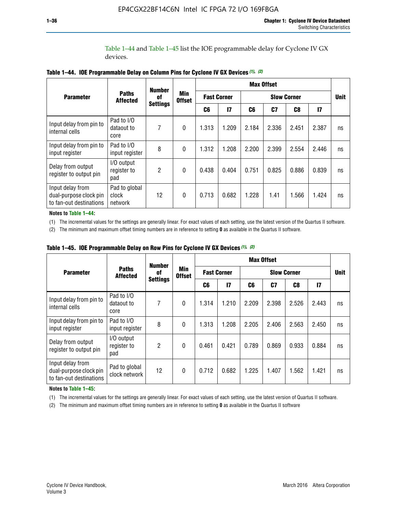Table 1–44 and Table 1–45 list the IOE programmable delay for Cyclone IV GX devices.

|                                                                       |                                   | <b>Number</b>   |                      |       |                    | <b>Max Offset</b> |                    |       |               |             |  |
|-----------------------------------------------------------------------|-----------------------------------|-----------------|----------------------|-------|--------------------|-------------------|--------------------|-------|---------------|-------------|--|
| <b>Parameter</b>                                                      | <b>Paths</b><br><b>Affected</b>   | 0f              | Min<br><b>Offset</b> |       | <b>Fast Corner</b> |                   | <b>Slow Corner</b> |       |               | <b>Unit</b> |  |
|                                                                       |                                   | <b>Settings</b> |                      | C6    | 17                 | C6                | C7                 | C8    | $\mathsf{I}7$ |             |  |
| Input delay from pin to<br>internal cells                             | Pad to I/O<br>dataout to<br>core  | 7               | 0                    | 1.313 | 1.209              | 2.184             | 2.336              | 2.451 | 2.387         | ns          |  |
| Input delay from pin to<br>input register                             | Pad to I/O<br>input register      | 8               | $\theta$             | 1.312 | 1.208              | 2.200             | 2.399              | 2.554 | 2.446         | ns          |  |
| Delay from output<br>register to output pin                           | I/O output<br>register to<br>pad  | 2               | 0                    | 0.438 | 0.404              | 0.751             | 0.825              | 0.886 | 0.839         | ns          |  |
| Input delay from<br>dual-purpose clock pin<br>to fan-out destinations | Pad to global<br>clock<br>network | 12              | 0                    | 0.713 | 0.682              | 1.228             | 1.41               | 1.566 | 1.424         | ns          |  |

**Table 1–44. IOE Programmable Delay on Column Pins for Cyclone IV GX Devices** *(1)***,** *(2)*

**Notes to Table 1–44:**

(1) The incremental values for the settings are generally linear. For exact values of each setting, use the latest version of the Quartus II software.

(2) The minimum and maximum offset timing numbers are in reference to setting **0** as available in the Quartus II software.

|                                                                       |                                  | <b>Number</b>   |                                                                         |       |       |       | <b>Max Offset</b> |       |              |    |  |
|-----------------------------------------------------------------------|----------------------------------|-----------------|-------------------------------------------------------------------------|-------|-------|-------|-------------------|-------|--------------|----|--|
| <b>Parameter</b>                                                      | <b>Paths</b><br><b>Affected</b>  | 0f              | <b>Min</b><br><b>Fast Corner</b><br><b>Slow Corner</b><br><b>Offset</b> |       |       |       | <b>Unit</b>       |       |              |    |  |
|                                                                       |                                  | <b>Settings</b> |                                                                         | C6    | 17    | C6    | C7                | C8    | $\mathbf{I}$ |    |  |
| Input delay from pin to<br>internal cells                             | Pad to I/O<br>dataout to<br>core | 7               | $\mathbf{0}$                                                            | 1.314 | 1.210 | 2.209 | 2.398             | 2.526 | 2.443        | ns |  |
| Input delay from pin to<br>input register                             | Pad to I/O<br>input register     | 8               | $\mathbf{0}$                                                            | 1.313 | 1.208 | 2.205 | 2.406             | 2.563 | 2.450        | ns |  |
| Delay from output<br>register to output pin                           | I/O output<br>register to<br>pad | $\overline{2}$  | $\mathbf{0}$                                                            | 0.461 | 0.421 | 0.789 | 0.869             | 0.933 | 0.884        | ns |  |
| Input delay from<br>dual-purpose clock pin<br>to fan-out destinations | Pad to global<br>clock network   | 12              | 0                                                                       | 0.712 | 0.682 | 1.225 | 1.407             | 1.562 | 1.421        | ns |  |

**Table 1–45. IOE Programmable Delay on Row Pins for Cyclone IV GX Devices** *(1)***,** *(2)*

#### **Notes to Table 1–45:**

(1) The incremental values for the settings are generally linear. For exact values of each setting, use the latest version of Quartus II software.

(2) The minimum and maximum offset timing numbers are in reference to setting **0** as available in the Quartus II software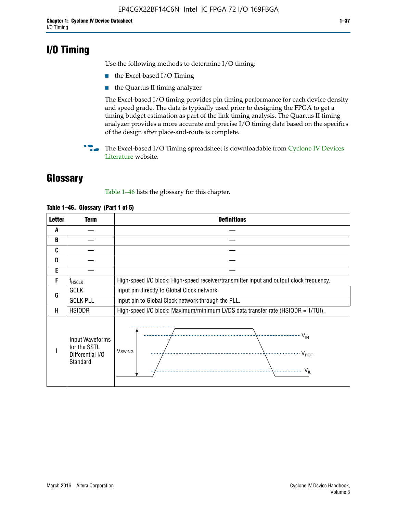## **I/O Timing**

Use the following methods to determine I/O timing:

- the Excel-based I/O Timing
- the Quartus II timing analyzer

The Excel-based I/O timing provides pin timing performance for each device density and speed grade. The data is typically used prior to designing the FPGA to get a timing budget estimation as part of the link timing analysis. The Quartus II timing analyzer provides a more accurate and precise I/O timing data based on the specifics of the design after place-and-route is complete.

**For The Excel-based I/O Timing spreadsheet is downloadable from Cyclone IV Devices** [Literature](http://www.altera.com/literature/lit-cyclone-iv.jsp) website.

## **Glossary**

Table 1–46 lists the glossary for this chapter.

| <b>Letter</b> | <b>Term</b>                                                     | <b>Definitions</b>                                                                                                                               |  |  |  |  |  |  |  |  |
|---------------|-----------------------------------------------------------------|--------------------------------------------------------------------------------------------------------------------------------------------------|--|--|--|--|--|--|--|--|
| A             |                                                                 |                                                                                                                                                  |  |  |  |  |  |  |  |  |
| B             |                                                                 |                                                                                                                                                  |  |  |  |  |  |  |  |  |
| C             |                                                                 |                                                                                                                                                  |  |  |  |  |  |  |  |  |
| D             |                                                                 |                                                                                                                                                  |  |  |  |  |  |  |  |  |
| E             |                                                                 |                                                                                                                                                  |  |  |  |  |  |  |  |  |
| F             | $f_{\sf HSCLK}$                                                 | High-speed I/O block: High-speed receiver/transmitter input and output clock frequency.                                                          |  |  |  |  |  |  |  |  |
| G             | <b>GCLK</b>                                                     | Input pin directly to Global Clock network.                                                                                                      |  |  |  |  |  |  |  |  |
|               | <b>GCLK PLL</b>                                                 | Input pin to Global Clock network through the PLL.                                                                                               |  |  |  |  |  |  |  |  |
| н             | <b>HSIODR</b>                                                   | High-speed I/O block: Maximum/minimum LVDS data transfer rate (HSIODR = 1/TUI).                                                                  |  |  |  |  |  |  |  |  |
|               | Input Waveforms<br>for the SSTL<br>Differential I/O<br>Standard | $\frac{1}{\sqrt{1+\frac{1}{2}}}\left\{ \frac{1}{\sqrt{1+\frac{1}{2}}}\right\}$<br><b>V</b> swing<br>$\cdots$ $V_{REF}$<br>\<br>$\sim V_{\rm IL}$ |  |  |  |  |  |  |  |  |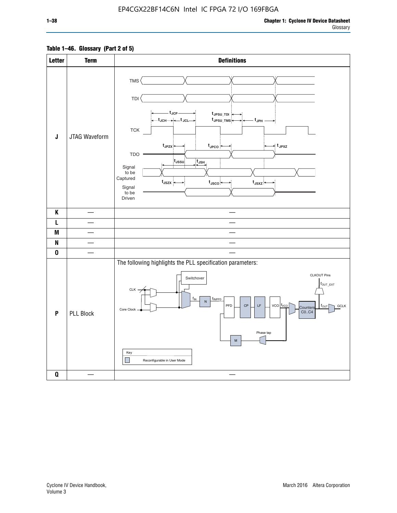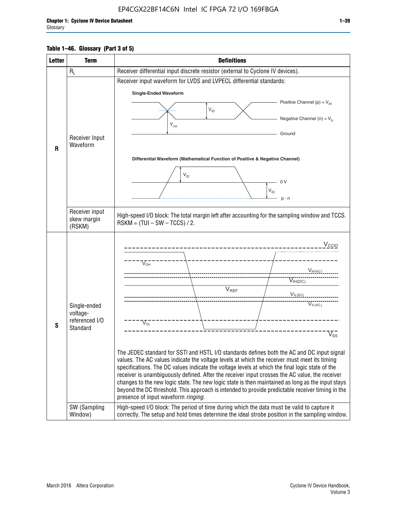## **Table 1–46. Glossary (Part 3 of 5)**

| <b>Letter</b> | <b>Term</b>                                                            | <b>Definitions</b>                                                                                                                                                                                                                                                                                                                                                                                                                                                                                                                                                                                                                                                                                                                                                                                                                                                                                                                          |  |  |  |  |  |  |  |  |  |
|---------------|------------------------------------------------------------------------|---------------------------------------------------------------------------------------------------------------------------------------------------------------------------------------------------------------------------------------------------------------------------------------------------------------------------------------------------------------------------------------------------------------------------------------------------------------------------------------------------------------------------------------------------------------------------------------------------------------------------------------------------------------------------------------------------------------------------------------------------------------------------------------------------------------------------------------------------------------------------------------------------------------------------------------------|--|--|--|--|--|--|--|--|--|
|               | $R_L$                                                                  | Receiver differential input discrete resistor (external to Cyclone IV devices).                                                                                                                                                                                                                                                                                                                                                                                                                                                                                                                                                                                                                                                                                                                                                                                                                                                             |  |  |  |  |  |  |  |  |  |
|               |                                                                        | Receiver input waveform for LVDS and LVPECL differential standards:                                                                                                                                                                                                                                                                                                                                                                                                                                                                                                                                                                                                                                                                                                                                                                                                                                                                         |  |  |  |  |  |  |  |  |  |
|               |                                                                        | <b>Single-Ended Waveform</b>                                                                                                                                                                                                                                                                                                                                                                                                                                                                                                                                                                                                                                                                                                                                                                                                                                                                                                                |  |  |  |  |  |  |  |  |  |
|               |                                                                        | Positive Channel (p) = $V_{\text{H}}$                                                                                                                                                                                                                                                                                                                                                                                                                                                                                                                                                                                                                                                                                                                                                                                                                                                                                                       |  |  |  |  |  |  |  |  |  |
|               |                                                                        | $\mathsf{V}_{\mathsf{ID}}$                                                                                                                                                                                                                                                                                                                                                                                                                                                                                                                                                                                                                                                                                                                                                                                                                                                                                                                  |  |  |  |  |  |  |  |  |  |
|               |                                                                        | Negative Channel (n) = $V_{\parallel}$<br>$\mathsf{V}_{\scriptscriptstyle \mathsf{CM}}$                                                                                                                                                                                                                                                                                                                                                                                                                                                                                                                                                                                                                                                                                                                                                                                                                                                     |  |  |  |  |  |  |  |  |  |
|               |                                                                        | Ground                                                                                                                                                                                                                                                                                                                                                                                                                                                                                                                                                                                                                                                                                                                                                                                                                                                                                                                                      |  |  |  |  |  |  |  |  |  |
|               | Receiver Input<br>Waveform                                             |                                                                                                                                                                                                                                                                                                                                                                                                                                                                                                                                                                                                                                                                                                                                                                                                                                                                                                                                             |  |  |  |  |  |  |  |  |  |
| $\mathbf{R}$  |                                                                        |                                                                                                                                                                                                                                                                                                                                                                                                                                                                                                                                                                                                                                                                                                                                                                                                                                                                                                                                             |  |  |  |  |  |  |  |  |  |
|               |                                                                        | Differential Waveform (Mathematical Function of Positive & Negative Channel)                                                                                                                                                                                                                                                                                                                                                                                                                                                                                                                                                                                                                                                                                                                                                                                                                                                                |  |  |  |  |  |  |  |  |  |
|               |                                                                        | $V_{ID}$                                                                                                                                                                                                                                                                                                                                                                                                                                                                                                                                                                                                                                                                                                                                                                                                                                                                                                                                    |  |  |  |  |  |  |  |  |  |
|               |                                                                        | - 0 V                                                                                                                                                                                                                                                                                                                                                                                                                                                                                                                                                                                                                                                                                                                                                                                                                                                                                                                                       |  |  |  |  |  |  |  |  |  |
|               |                                                                        | $V_{ID}$                                                                                                                                                                                                                                                                                                                                                                                                                                                                                                                                                                                                                                                                                                                                                                                                                                                                                                                                    |  |  |  |  |  |  |  |  |  |
|               |                                                                        | $p - n$                                                                                                                                                                                                                                                                                                                                                                                                                                                                                                                                                                                                                                                                                                                                                                                                                                                                                                                                     |  |  |  |  |  |  |  |  |  |
|               | Receiver input<br>skew margin                                          | High-speed I/O block: The total margin left after accounting for the sampling window and TCCS.<br>$RSKM = (TUI - SW - TCCS) / 2.$                                                                                                                                                                                                                                                                                                                                                                                                                                                                                                                                                                                                                                                                                                                                                                                                           |  |  |  |  |  |  |  |  |  |
|               | (RSKM)                                                                 |                                                                                                                                                                                                                                                                                                                                                                                                                                                                                                                                                                                                                                                                                                                                                                                                                                                                                                                                             |  |  |  |  |  |  |  |  |  |
| S             | Single-ended<br>voltage-<br>referenced I/O<br>Standard<br>SW (Sampling | V <sub>CCIO</sub><br>$\nabla_{\!\circ\mathsf{H}}^-$<br>V <sub>IH</sub> (AC)<br>$V_{IH(DC)}$<br>$V_{REF}$<br>$V_{I L (DC)}$<br>VIL(AC)<br>$V_{OL}$<br>$\overline{\mathsf{V}}_\mathsf{SS}^-$<br>The JEDEC standard for SSTI and HSTL I/O standards defines both the AC and DC input signal<br>values. The AC values indicate the voltage levels at which the receiver must meet its timing<br>specifications. The DC values indicate the voltage levels at which the final logic state of the<br>receiver is unambiguously defined. After the receiver input crosses the AC value, the receiver<br>changes to the new logic state. The new logic state is then maintained as long as the input stays<br>beyond the DC threshold. This approach is intended to provide predictable receiver timing in the<br>presence of input waveform ringing.<br>High-speed I/O block: The period of time during which the data must be valid to capture it |  |  |  |  |  |  |  |  |  |
|               | Window)                                                                | correctly. The setup and hold times determine the ideal strobe position in the sampling window.                                                                                                                                                                                                                                                                                                                                                                                                                                                                                                                                                                                                                                                                                                                                                                                                                                             |  |  |  |  |  |  |  |  |  |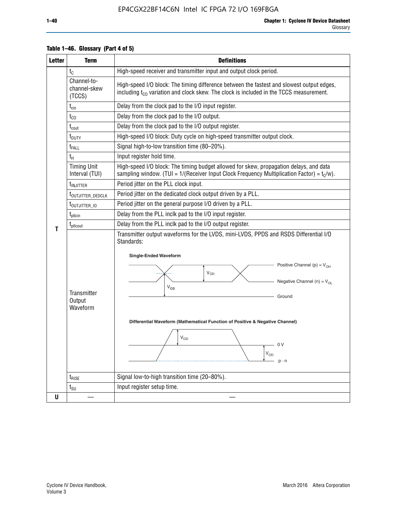| <b>Letter</b> | <b>Term</b>                                                                                                                                                                             | <b>Definitions</b>                                                                                                                                                                                                                                                                                                                                                            |  |  |  |  |  |  |  |  |  |
|---------------|-----------------------------------------------------------------------------------------------------------------------------------------------------------------------------------------|-------------------------------------------------------------------------------------------------------------------------------------------------------------------------------------------------------------------------------------------------------------------------------------------------------------------------------------------------------------------------------|--|--|--|--|--|--|--|--|--|
|               | $t_{\rm C}$                                                                                                                                                                             | High-speed receiver and transmitter input and output clock period.                                                                                                                                                                                                                                                                                                            |  |  |  |  |  |  |  |  |  |
|               | Channel-to-<br>channel-skew<br>(TCCS)                                                                                                                                                   | High-speed I/O block: The timing difference between the fastest and slowest output edges,<br>including t <sub>co</sub> variation and clock skew. The clock is included in the TCCS measurement.                                                                                                                                                                               |  |  |  |  |  |  |  |  |  |
|               | $t_{\text{cin}}$                                                                                                                                                                        | Delay from the clock pad to the I/O input register.                                                                                                                                                                                                                                                                                                                           |  |  |  |  |  |  |  |  |  |
|               | $t_{CO}$                                                                                                                                                                                | Delay from the clock pad to the I/O output.                                                                                                                                                                                                                                                                                                                                   |  |  |  |  |  |  |  |  |  |
|               | $t_{\text{cout}}$                                                                                                                                                                       | Delay from the clock pad to the I/O output register.                                                                                                                                                                                                                                                                                                                          |  |  |  |  |  |  |  |  |  |
|               | t <sub>DUTY</sub>                                                                                                                                                                       | High-speed I/O block: Duty cycle on high-speed transmitter output clock.                                                                                                                                                                                                                                                                                                      |  |  |  |  |  |  |  |  |  |
|               | t <sub>FALL</sub>                                                                                                                                                                       | Signal high-to-low transition time (80-20%).                                                                                                                                                                                                                                                                                                                                  |  |  |  |  |  |  |  |  |  |
|               | tμ                                                                                                                                                                                      | Input register hold time.                                                                                                                                                                                                                                                                                                                                                     |  |  |  |  |  |  |  |  |  |
|               | <b>Timing Unit</b><br>Interval (TUI)                                                                                                                                                    | High-speed I/O block: The timing budget allowed for skew, propagation delays, and data<br>sampling window. (TUI = $1/($ Receiver Input Clock Frequency Multiplication Factor) = $t_C/w$ ).                                                                                                                                                                                    |  |  |  |  |  |  |  |  |  |
|               | t <sub>INJITTER</sub>                                                                                                                                                                   | Period jitter on the PLL clock input.                                                                                                                                                                                                                                                                                                                                         |  |  |  |  |  |  |  |  |  |
|               | Period jitter on the dedicated clock output driven by a PLL.<br>t <sub>outjitter_dedclk</sub><br>Period jitter on the general purpose I/O driven by a PLL.<br>t <sub>outjitter_io</sub> |                                                                                                                                                                                                                                                                                                                                                                               |  |  |  |  |  |  |  |  |  |
|               |                                                                                                                                                                                         |                                                                                                                                                                                                                                                                                                                                                                               |  |  |  |  |  |  |  |  |  |
|               | $t_{\text{pllcin}}$                                                                                                                                                                     | Delay from the PLL inclk pad to the I/O input register.                                                                                                                                                                                                                                                                                                                       |  |  |  |  |  |  |  |  |  |
|               | t <sub>plicout</sub>                                                                                                                                                                    | Delay from the PLL inclk pad to the I/O output register.                                                                                                                                                                                                                                                                                                                      |  |  |  |  |  |  |  |  |  |
| Τ             | <b>Transmitter</b><br>Output<br>Waveform                                                                                                                                                | Transmitter output waveforms for the LVDS, mini-LVDS, PPDS and RSDS Differential I/O<br>Standards:<br><b>Single-Ended Waveform</b><br>Positive Channel (p) = $V_{OH}$<br>V <sub>OD</sub><br>Negative Channel (n) = $V_{OL}$<br>$V_{OS}$<br>Ground<br>Differential Waveform (Mathematical Function of Positive & Negative Channel)<br>$V_{OD}$<br>- 0 V<br>$V_{OD}$<br>$p - n$ |  |  |  |  |  |  |  |  |  |
|               | $t_{\text{RISE}}$                                                                                                                                                                       | Signal low-to-high transition time (20-80%).                                                                                                                                                                                                                                                                                                                                  |  |  |  |  |  |  |  |  |  |
|               | $t_{\text{SU}}$                                                                                                                                                                         | Input register setup time.                                                                                                                                                                                                                                                                                                                                                    |  |  |  |  |  |  |  |  |  |
| U             |                                                                                                                                                                                         |                                                                                                                                                                                                                                                                                                                                                                               |  |  |  |  |  |  |  |  |  |

## **Table 1–46. Glossary (Part 4 of 5)**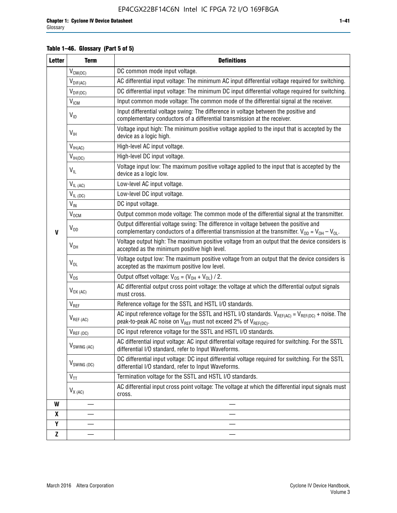## **Table 1–46. Glossary (Part 5 of 5)**

| <b>Letter</b> | <b>Term</b>               | <b>Definitions</b>                                                                                                                                                                                |
|---------------|---------------------------|---------------------------------------------------------------------------------------------------------------------------------------------------------------------------------------------------|
|               | $V_{CM(DC)}$              | DC common mode input voltage.                                                                                                                                                                     |
|               | $V_{DIF(AC)}$             | AC differential input voltage: The minimum AC input differential voltage required for switching.                                                                                                  |
|               | $V_{DIF(DC)}$             | DC differential input voltage: The minimum DC input differential voltage required for switching.                                                                                                  |
|               | V <sub>ICM</sub>          | Input common mode voltage: The common mode of the differential signal at the receiver.                                                                                                            |
|               | $V_{ID}$                  | Input differential voltage swing: The difference in voltage between the positive and<br>complementary conductors of a differential transmission at the receiver.                                  |
|               | $V_{\text{IH}}$           | Voltage input high: The minimum positive voltage applied to the input that is accepted by the<br>device as a logic high.                                                                          |
|               | $V_{IH(AC)}$              | High-level AC input voltage.                                                                                                                                                                      |
|               | $V_{IH(DC)}$              | High-level DC input voltage.                                                                                                                                                                      |
|               | $V_{IL}$                  | Voltage input low: The maximum positive voltage applied to the input that is accepted by the<br>device as a logic low.                                                                            |
|               | $V_{IL(AC)}$              | Low-level AC input voltage.                                                                                                                                                                       |
|               | $V_{IL(DC)}$              | Low-level DC input voltage.                                                                                                                                                                       |
|               | $V_{\text{IN}}$           | DC input voltage.                                                                                                                                                                                 |
|               | V <sub>OCM</sub>          | Output common mode voltage: The common mode of the differential signal at the transmitter.                                                                                                        |
| $\mathbf{V}$  | $V_{OD}$                  | Output differential voltage swing: The difference in voltage between the positive and<br>complementary conductors of a differential transmission at the transmitter. $V_{OD} = V_{OH} - V_{OL}$ . |
|               | $V_{OH}$                  | Voltage output high: The maximum positive voltage from an output that the device considers is<br>accepted as the minimum positive high level.                                                     |
|               | $V_{OL}$                  | Voltage output low: The maximum positive voltage from an output that the device considers is<br>accepted as the maximum positive low level.                                                       |
|               | $V_{OS}$                  | Output offset voltage: $V_{OS} = (V_{OH} + V_{OL}) / 2$ .                                                                                                                                         |
|               | $V_{OX(AC)}$              | AC differential output cross point voltage: the voltage at which the differential output signals<br>must cross.                                                                                   |
|               | $V_{REF}$                 | Reference voltage for the SSTL and HSTL I/O standards.                                                                                                                                            |
|               | $V_{REF\,(AC)}$           | AC input reference voltage for the SSTL and HSTL I/O standards. $V_{REF(AC)} = V_{REF(DC)} +$ noise. The<br>peak-to-peak AC noise on $V_{REF}$ must not exceed 2% of $V_{REF(DC)}$ .              |
|               | $V_{REF(DC)}$             | DC input reference voltage for the SSTL and HSTL I/O standards.                                                                                                                                   |
|               | $V_{\textrm{SWING (AC)}}$ | AC differential input voltage: AC input differential voltage required for switching. For the SSTL<br>differential I/O standard, refer to Input Waveforms.                                         |
|               | $V_{SWING (DC)}$          | DC differential input voltage: DC input differential voltage required for switching. For the SSTL<br>differential I/O standard, refer to Input Waveforms.                                         |
|               | $\text{V}_{\text{TT}}$    | Termination voltage for the SSTL and HSTL I/O standards.                                                                                                                                          |
|               | $V_{X (AC)}$              | AC differential input cross point voltage: The voltage at which the differential input signals must<br>cross.                                                                                     |
| W             |                           |                                                                                                                                                                                                   |
| X             |                           |                                                                                                                                                                                                   |
| Y             |                           |                                                                                                                                                                                                   |
| $\mathbf{Z}$  |                           |                                                                                                                                                                                                   |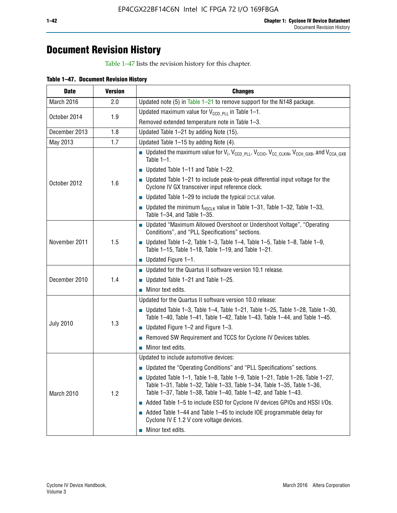## **Document Revision History**

Table 1–47 lists the revision history for this chapter.

| Table 1-47. Document Revision History |  |  |
|---------------------------------------|--|--|
|                                       |  |  |

| <b>Date</b>      | <b>Version</b> | <b>Changes</b>                                                                                                                                                                                                                            |  |
|------------------|----------------|-------------------------------------------------------------------------------------------------------------------------------------------------------------------------------------------------------------------------------------------|--|
| March 2016       | 2.0            | Updated note (5) in Table $1-21$ to remove support for the N148 package.                                                                                                                                                                  |  |
| October 2014     |                | Updated maximum value for $V_{CCD, PL}$ in Table 1-1.                                                                                                                                                                                     |  |
|                  | 1.9            | Removed extended temperature note in Table 1-3.                                                                                                                                                                                           |  |
| December 2013    | 1.8            | Updated Table 1-21 by adding Note (15).                                                                                                                                                                                                   |  |
| May 2013         | 1.7            | Updated Table 1-15 by adding Note (4).                                                                                                                                                                                                    |  |
|                  | 1.6            | Dpdated the maximum value for $V_1$ , $V_{CCD\_PLL}$ , $V_{CC10}$ , $V_{CC\_CLKIN}$ , $V_{CCH\_GXB}$ , and $V_{CCA\_GXB}$<br>Table $1-1$ .                                                                                                |  |
|                  |                | $\blacksquare$ Updated Table 1-11 and Table 1-22.                                                                                                                                                                                         |  |
| October 2012     |                | $\blacksquare$ Updated Table 1-21 to include peak-to-peak differential input voltage for the<br>Cyclone IV GX transceiver input reference clock.                                                                                          |  |
|                  |                | $\blacksquare$ Updated Table 1-29 to include the typical DCLK value.                                                                                                                                                                      |  |
|                  |                | <b>Updated the minimum f<sub>HSCLK</sub></b> value in Table 1-31, Table 1-32, Table 1-33,<br>Table 1-34, and Table 1-35.                                                                                                                  |  |
| November 2011    | 1.5            | • Updated "Maximum Allowed Overshoot or Undershoot Voltage", "Operating<br>Conditions", and "PLL Specifications" sections.                                                                                                                |  |
|                  |                | Updated Table 1-2, Table 1-3, Table 1-4, Table 1-5, Table 1-8, Table 1-9,<br>Table 1-15, Table 1-18, Table 1-19, and Table 1-21.                                                                                                          |  |
|                  |                | ■ Updated Figure $1-1$ .                                                                                                                                                                                                                  |  |
| December 2010    | 1.4            | • Updated for the Quartus II software version 10.1 release.                                                                                                                                                                               |  |
|                  |                | $\blacksquare$ Updated Table 1-21 and Table 1-25.                                                                                                                                                                                         |  |
|                  |                | $\blacksquare$ Minor text edits.                                                                                                                                                                                                          |  |
|                  | 1.3            | Updated for the Quartus II software version 10.0 release:                                                                                                                                                                                 |  |
|                  |                | Updated Table 1-3, Table 1-4, Table 1-21, Table 1-25, Table 1-28, Table 1-30,<br>Table 1-40, Table 1-41, Table 1-42, Table 1-43, Table 1-44, and Table 1-45.                                                                              |  |
| <b>July 2010</b> |                | ■ Updated Figure $1-2$ and Figure $1-3$ .                                                                                                                                                                                                 |  |
|                  |                | Removed SW Requirement and TCCS for Cyclone IV Devices tables.                                                                                                                                                                            |  |
|                  |                | $\blacksquare$ Minor text edits.                                                                                                                                                                                                          |  |
|                  | 1.2            | Updated to include automotive devices:                                                                                                                                                                                                    |  |
| March 2010       |                | • Updated the "Operating Conditions" and "PLL Specifications" sections.                                                                                                                                                                   |  |
|                  |                | $\blacksquare$ Updated Table 1-1, Table 1-8, Table 1-9, Table 1-21, Table 1-26, Table 1-27,<br>Table 1-31, Table 1-32, Table 1-33, Table 1-34, Table 1-35, Table 1-36,<br>Table 1-37, Table 1-38, Table 1-40, Table 1-42, and Table 1-43. |  |
|                  |                | Added Table 1-5 to include ESD for Cyclone IV devices GPIOs and HSSI I/Os.                                                                                                                                                                |  |
|                  |                | Added Table 1-44 and Table 1-45 to include IOE programmable delay for<br>Cyclone IV E 1.2 V core voltage devices.                                                                                                                         |  |
|                  |                | Minor text edits.                                                                                                                                                                                                                         |  |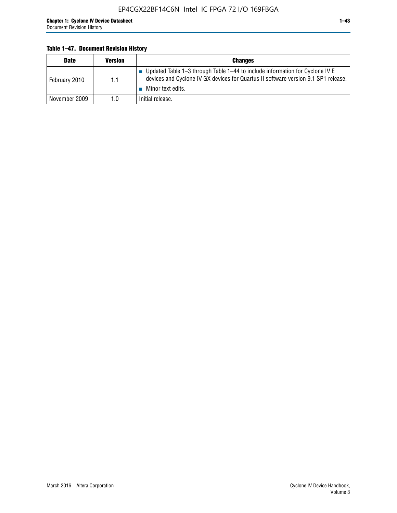## **Table 1–47. Document Revision History**

| <b>Date</b>   | <b>Version</b> | <b>Changes</b>                                                                                                                                                                          |
|---------------|----------------|-----------------------------------------------------------------------------------------------------------------------------------------------------------------------------------------|
| February 2010 | 1.1            | Updated Table 1-3 through Table 1-44 to include information for Cyclone IV E<br>devices and Cyclone IV GX devices for Quartus II software version 9.1 SP1 release.<br>Minor text edits. |
| November 2009 | 1.0            | Initial release.                                                                                                                                                                        |